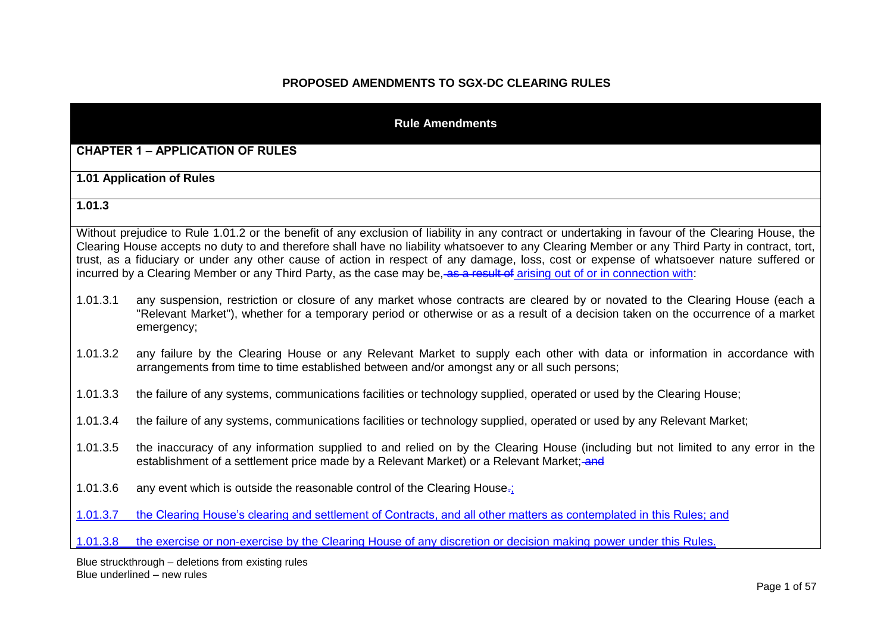# **PROPOSED AMENDMENTS TO SGX-DC CLEARING RULES**

|          | <b>Rule Amendments</b>                                                                                                                                                                                                                                                                                                                                                                                                                                                                                                                                                          |
|----------|---------------------------------------------------------------------------------------------------------------------------------------------------------------------------------------------------------------------------------------------------------------------------------------------------------------------------------------------------------------------------------------------------------------------------------------------------------------------------------------------------------------------------------------------------------------------------------|
|          | <b>CHAPTER 1 - APPLICATION OF RULES</b>                                                                                                                                                                                                                                                                                                                                                                                                                                                                                                                                         |
|          | 1.01 Application of Rules                                                                                                                                                                                                                                                                                                                                                                                                                                                                                                                                                       |
| 1.01.3   |                                                                                                                                                                                                                                                                                                                                                                                                                                                                                                                                                                                 |
|          | Without prejudice to Rule 1.01.2 or the benefit of any exclusion of liability in any contract or undertaking in favour of the Clearing House, the<br>Clearing House accepts no duty to and therefore shall have no liability whatsoever to any Clearing Member or any Third Party in contract, tort,<br>trust, as a fiduciary or under any other cause of action in respect of any damage, loss, cost or expense of whatsoever nature suffered or<br>incurred by a Clearing Member or any Third Party, as the case may be, as a result of arising out of or in connection with: |
| 1.01.3.1 | any suspension, restriction or closure of any market whose contracts are cleared by or novated to the Clearing House (each a<br>"Relevant Market"), whether for a temporary period or otherwise or as a result of a decision taken on the occurrence of a market<br>emergency;                                                                                                                                                                                                                                                                                                  |
| 1.01.3.2 | any failure by the Clearing House or any Relevant Market to supply each other with data or information in accordance with<br>arrangements from time to time established between and/or amongst any or all such persons;                                                                                                                                                                                                                                                                                                                                                         |
| 1.01.3.3 | the failure of any systems, communications facilities or technology supplied, operated or used by the Clearing House;                                                                                                                                                                                                                                                                                                                                                                                                                                                           |
| 1.01.3.4 | the failure of any systems, communications facilities or technology supplied, operated or used by any Relevant Market;                                                                                                                                                                                                                                                                                                                                                                                                                                                          |
| 1.01.3.5 | the inaccuracy of any information supplied to and relied on by the Clearing House (including but not limited to any error in the<br>establishment of a settlement price made by a Relevant Market) or a Relevant Market; and                                                                                                                                                                                                                                                                                                                                                    |
| 1.01.3.6 | any event which is outside the reasonable control of the Clearing House-;                                                                                                                                                                                                                                                                                                                                                                                                                                                                                                       |
| 1.01.3.7 | the Clearing House's clearing and settlement of Contracts, and all other matters as contemplated in this Rules; and                                                                                                                                                                                                                                                                                                                                                                                                                                                             |
| 1.01.3.8 | the exercise or non-exercise by the Clearing House of any discretion or decision making power under this Rules.                                                                                                                                                                                                                                                                                                                                                                                                                                                                 |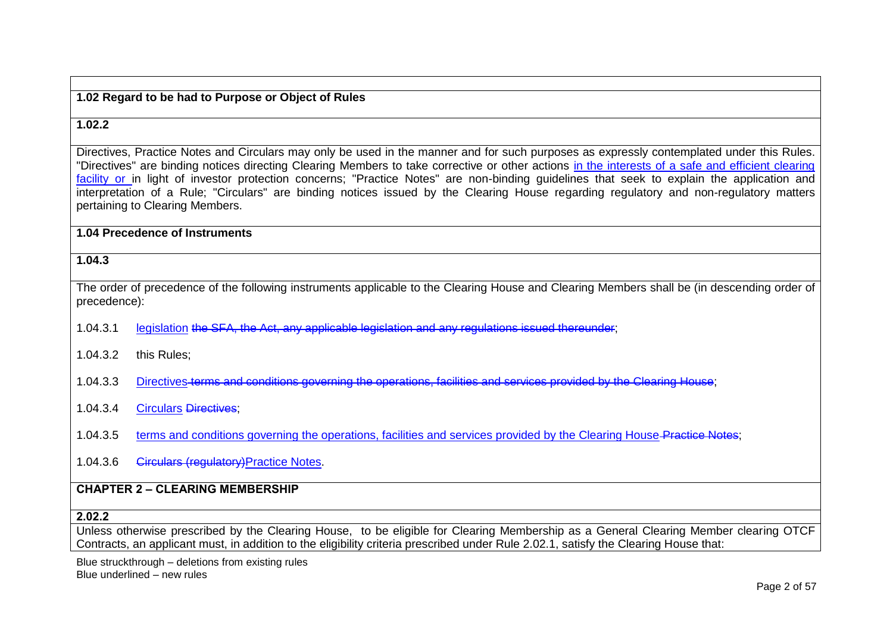### **1.02 Regard to be had to Purpose or Object of Rules**

### **1.02.2**

Directives, Practice Notes and Circulars may only be used in the manner and for such purposes as expressly contemplated under this Rules. "Directives" are binding notices directing Clearing Members to take corrective or other actions in the interests of a safe and efficient clearing facility or in light of investor protection concerns: "Practice Notes" are non-binding guidelines that seek to explain the application and interpretation of a Rule; "Circulars" are binding notices issued by the Clearing House regarding regulatory and non-regulatory matters pertaining to Clearing Members.

**1.04 Precedence of Instruments**

#### **1.04.3**

The order of precedence of the following instruments applicable to the Clearing House and Clearing Members shall be (in descending order of precedence):

- 1.04.3.1 legislation the SFA, the Act, any applicable legislation and any regulations issued thereunder:
- 1.04.3.2 this Rules;
- 1.04.3.3 Directives terms and conditions governing the operations, facilities and services provided by the Clearing House;
- 1.04.3.4 Circulars Directives;
- 1.04.3.5 terms and conditions governing the operations, facilities and services provided by the Clearing House Practice Notes;
- 1.04.3.6 **Circulars (requiatory)** Practice Notes.

#### **CHAPTER 2 – CLEARING MEMBERSHIP**

#### **2.02.2**

Unless otherwise prescribed by the Clearing House, to be eligible for Clearing Membership as a General Clearing Member clearing OTCF Contracts, an applicant must, in addition to the eligibility criteria prescribed under Rule 2.02.1, satisfy the Clearing House that: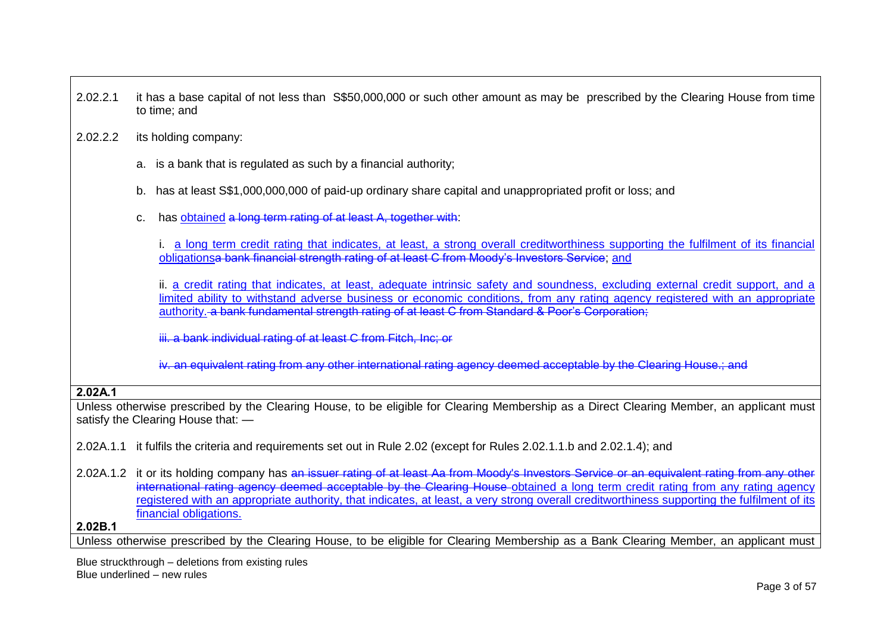- 2.02.2.1 it has a base capital of not less than S\$50,000,000 or such other amount as may be prescribed by the Clearing House from time to time; and
- 2.02.2.2 its holding company:
	- a. is a bank that is regulated as such by a financial authority;
	- b. has at least S\$1,000,000,000 of paid-up ordinary share capital and unappropriated profit or loss; and
	- c. has obtained a long term rating of at least A, together with:

i. a long term credit rating that indicates, at least, a strong overall creditworthiness supporting the fulfilment of its financial obligationsa bank financial strength rating of at least C from Moody's Investors Service; and

ii. a credit rating that indicates, at least, adequate intrinsic safety and soundness, excluding external credit support, and a limited ability to withstand adverse business or economic conditions, from any rating agency registered with an appropriate authority. a bank fundamental strength rating of at least C from Standard & Poor's Corporation;

iii. a bank individual rating of at least C from Fitch, Inc; or

iv. an equivalent rating from any other international rating agency deemed acceptable by the Clearing House.; and

#### **2.02A.1**

Unless otherwise prescribed by the Clearing House, to be eligible for Clearing Membership as a Direct Clearing Member, an applicant must satisfy the Clearing House that: —

2.02A.1.1 it fulfils the criteria and requirements set out in Rule 2.02 (except for Rules 2.02.1.1.b and 2.02.1.4); and

2.02A.1.2 it or its holding company has an issuer rating of at least Aa from Moody's Investors Service or an equivalent rating from any other international rating agency deemed acceptable by the Clearing House-obtained a long term credit rating from any rating agency registered with an appropriate authority, that indicates, at least, a very strong overall creditworthiness supporting the fulfilment of its financial obligations.

**2.02B.1**

Unless otherwise prescribed by the Clearing House, to be eligible for Clearing Membership as a Bank Clearing Member, an applicant must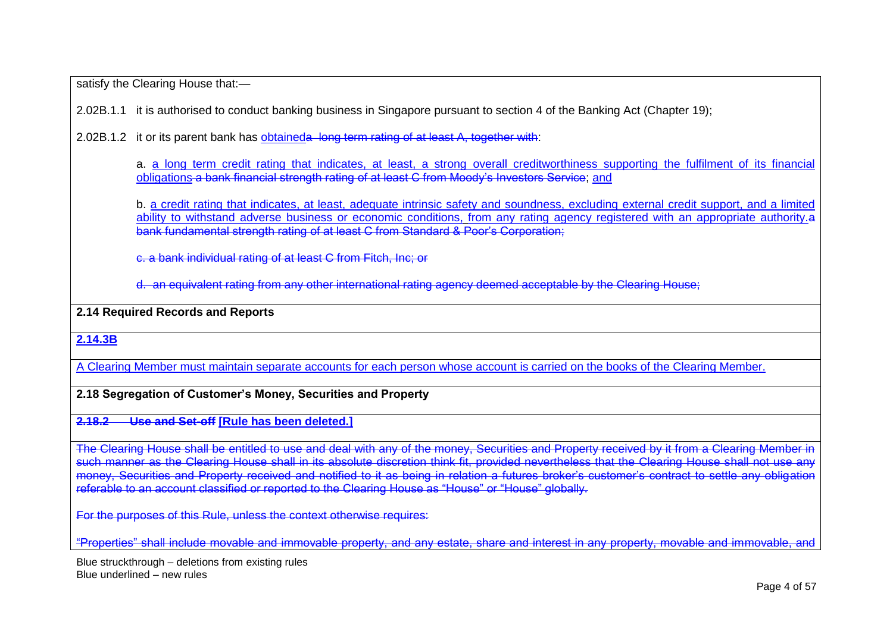satisfy the Clearing House that:-

2.02B.1.1 it is authorised to conduct banking business in Singapore pursuant to section 4 of the Banking Act (Chapter 19);

2.02B.1.2 it or its parent bank has obtaineda long term rating of at least A, together with:

a. <u>a long term credit rating that indicates, at least, a strong overall creditworthiness supporting the fulfilment of its financial</u> obligations a bank financial strength rating of at least C from Moody's Investors Service; <u>and</u>

b. a credit rating that indicates, at least, adequate intrinsic safety and soundness, excluding external credit support, and a limited ability to withstand adverse business or economic conditions, from any rating agency registered with an appropriate authority.a bank fundamental strength rating of at least C from Standard & Poor's Corporation;

c. a bank individual rating of at least C from Fitch, Inc; or

d. an equivalent rating from any other international rating agency deemed acceptable by the Clearing House;

**2.14 Required Records and Reports**

**2.14.3B**

A Clearing Member must maintain separate accounts for each person whose account is carried on the books of the Clearing Member.

**2.18 Segregation of Customer's Money, Securities and Property**

**2.18.2 Use and Set-off [Rule has been deleted.]**

The Clearing House shall be entitled to use and deal with any of the money, Securities and Property received by it from a Clearing Member in such manner as the Clearing House shall in its absolute discretion think fit, provided nevertheless that the Clearing House shall not use any money, Securities and Property received and notified to it as being in relation a futures broker's customer's contract to settle any obligation referable to an account classified or reported to the Clearing House as "House" or "House" globally.

For the purposes of this Rule, unless the context otherwise requires:

"Properties" shall include movable and immovable property, and any estate, share and interest in any property, movable and immovable, and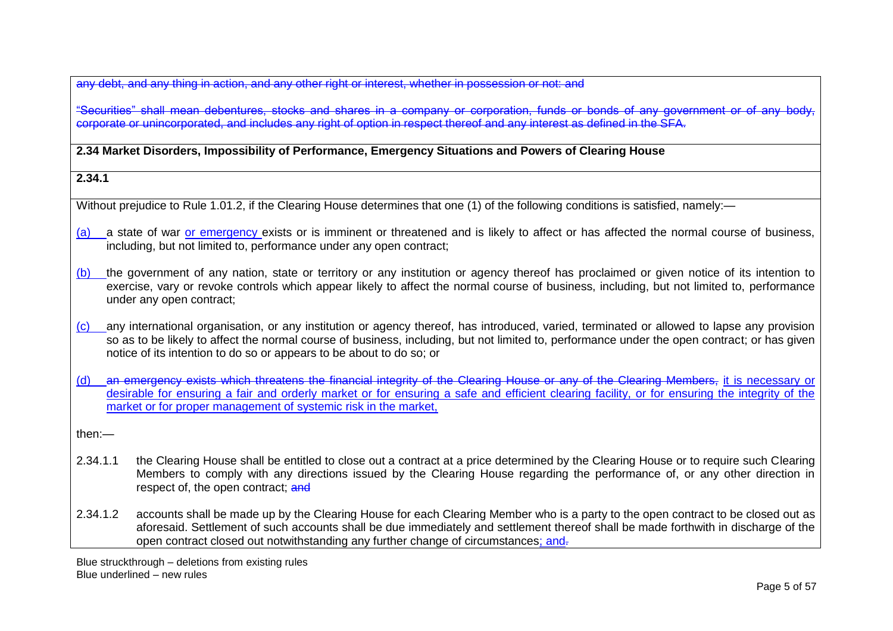any debt, and any thing in action, and any other right or interest, whether in possession or not; and

"Securities" shall mean debentures, stocks and shares in a company or corporation, funds or bonds of any government or corporate or unincorporated, and includes any right of option in respect thereof and any interest as defined in the SFA.

**2.34 Market Disorders, Impossibility of Performance, Emergency Situations and Powers of Clearing House**

### **2.34.1**

Without prejudice to Rule 1.01.2, if the Clearing House determines that one (1) of the following conditions is satisfied, namely:—

- (a) a state of war or emergency exists or is imminent or threatened and is likely to affect or has affected the normal course of business, including, but not limited to, performance under any open contract;
- (b) the government of any nation, state or territory or any institution or agency thereof has proclaimed or given notice of its intention to exercise, vary or revoke controls which appear likely to affect the normal course of business, including, but not limited to, performance under any open contract;
- (c) any international organisation, or any institution or agency thereof, has introduced, varied, terminated or allowed to lapse any provision so as to be likely to affect the normal course of business, including, but not limited to, performance under the open contract; or has given notice of its intention to do so or appears to be about to do so; or
- (d) an emergency exists which threatens the financial integrity of the Clearing House or any of the Clearing Members, it is necessary or desirable for ensuring a fair and orderly market or for ensuring a safe and efficient clearing facility, or for ensuring the integrity of the market or for proper management of systemic risk in the market,

then:—

- 2.34.1.1 the Clearing House shall be entitled to close out a contract at a price determined by the Clearing House or to require such Clearing Members to comply with any directions issued by the Clearing House regarding the performance of, or any other direction in respect of, the open contract: and
- 2.34.1.2 accounts shall be made up by the Clearing House for each Clearing Member who is a party to the open contract to be closed out as aforesaid. Settlement of such accounts shall be due immediately and settlement thereof shall be made forthwith in discharge of the open contract closed out notwithstanding any further change of circumstances; and.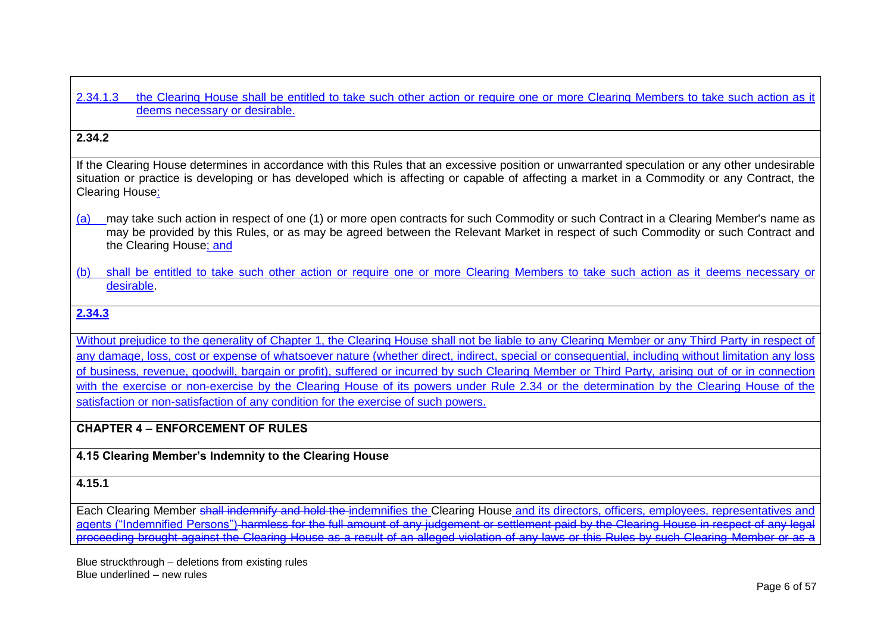#### 2.34.1.3 the Clearing House shall be entitled to take such other action or require one or more Clearing Members to take such action as it deems necessary or desirable.

### **2.34.2**

If the Clearing House determines in accordance with this Rules that an excessive position or unwarranted speculation or any other undesirable situation or practice is developing or has developed which is affecting or capable of affecting a market in a Commodity or any Contract, the Clearing House:

- (a) may take such action in respect of one (1) or more open contracts for such Commodity or such Contract in a Clearing Member's name as may be provided by this Rules, or as may be agreed between the Relevant Market in respect of such Commodity or such Contract and the Clearing House; and
- (b) shall be entitled to take such other action or require one or more Clearing Members to take such action as it deems necessary or desirable.

### **2.34.3**

Without prejudice to the generality of Chapter 1, the Clearing House shall not be liable to any Clearing Member or any Third Party in respect of any damage, loss, cost or expense of whatsoever nature (whether direct, indirect, special or consequential, including without limitation any loss of business, revenue, goodwill, bargain or profit), suffered or incurred by such Clearing Member or Third Party, arising out of or in connection with the exercise or non-exercise by the Clearing House of its powers under Rule 2.34 or the determination by the Clearing House of the satisfaction or non-satisfaction of any condition for the exercise of such powers.

# **CHAPTER 4 – ENFORCEMENT OF RULES**

### **4.15 Clearing Member's Indemnity to the Clearing House**

#### **4.15.1**

Each Clearing Member shall indemnify and hold the indemnifies the Clearing House and its directors, officers, employees, representatives and agents ("Indemnified Persons") harmless for the full amount of any judgement or settlement paid by the Clearing House in respect of any legal proceeding brought against the Clearing House as a result of an alleged violation of any laws or this Rules by such Clearing Member or as a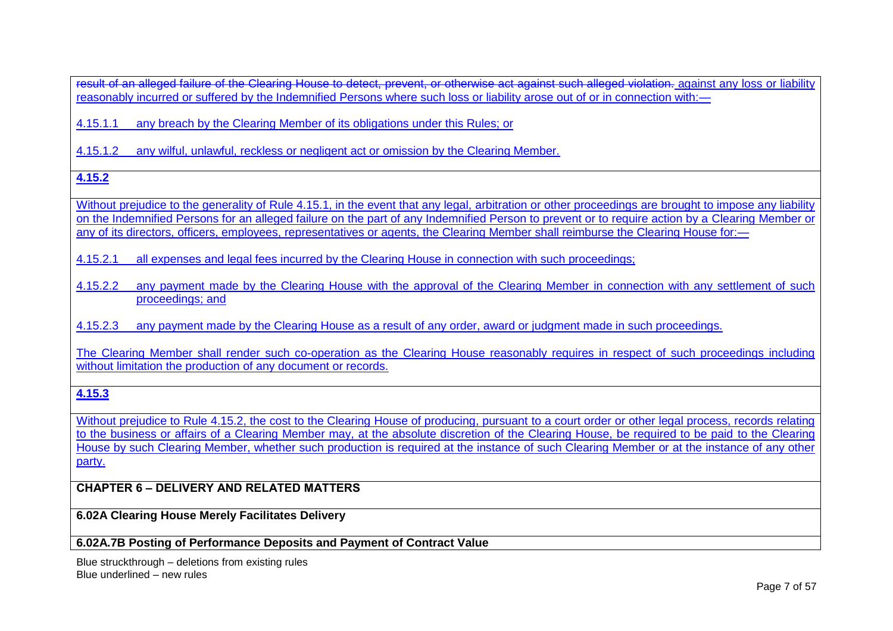result of an alleged failure of the Clearing House to detect, prevent, or otherwise act against such alleged violation. against any loss or liability reasonably incurred or suffered by the Indemnified Persons where such loss or liability arose out of or in connection with:—

4.15.1.1 any breach by the Clearing Member of its obligations under this Rules; or

4.15.1.2 any wilful, unlawful, reckless or negligent act or omission by the Clearing Member.

# **4.15.2**

Without prejudice to the generality of Rule 4.15.1, in the event that any legal, arbitration or other proceedings are brought to impose any liability on the Indemnified Persons for an alleged failure on the part of any Indemnified Person to prevent or to require action by a Clearing Member or any of its directors, officers, employees, representatives or agents, the Clearing Member shall reimburse the Clearing House for:—

4.15.2.1 all expenses and legal fees incurred by the Clearing House in connection with such proceedings;

4.15.2.2 any payment made by the Clearing House with the approval of the Clearing Member in connection with any settlement of such proceedings; and

4.15.2.3 any payment made by the Clearing House as a result of any order, award or judgment made in such proceedings.

The Clearing Member shall render such co-operation as the Clearing House reasonably requires in respect of such proceedings including without limitation the production of any document or records.

# **4.15.3**

Without prejudice to Rule 4.15.2, the cost to the Clearing House of producing, pursuant to a court order or other legal process, records relating to the business or affairs of a Clearing Member may, at the absolute discretion of the Clearing House, be required to be paid to the Clearing House by such Clearing Member, whether such production is required at the instance of such Clearing Member or at the instance of any other party.

# **CHAPTER 6 – DELIVERY AND RELATED MATTERS**

**6.02A Clearing House Merely Facilitates Delivery**

#### **6.02A.7B Posting of Performance Deposits and Payment of Contract Value**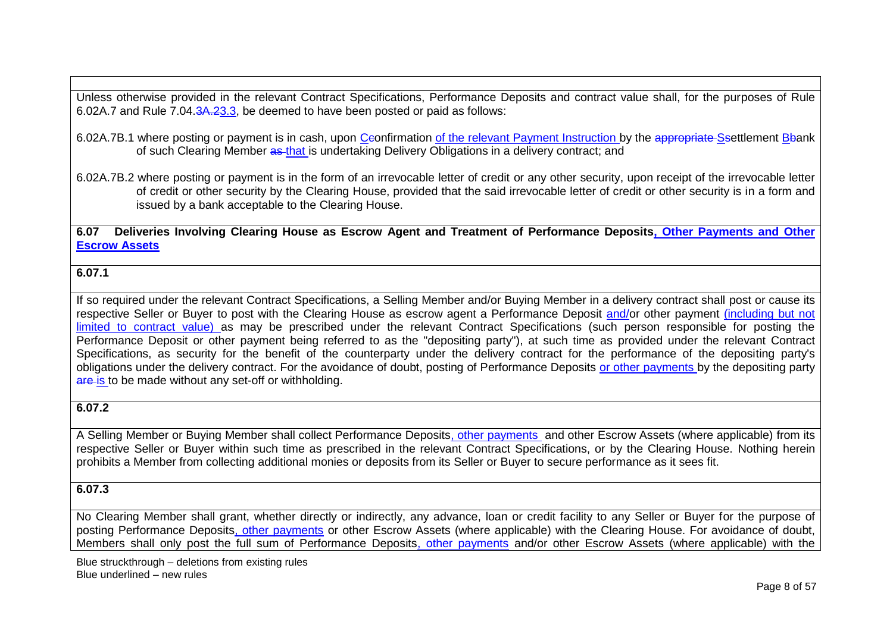Unless otherwise provided in the relevant Contract Specifications, Performance Deposits and contract value shall, for the purposes of [Rule](http://rulebook.sgx.com/en/display/display.html?rbid=3271&element_id=2276)  [6.02A.7](http://rulebook.sgx.com/en/display/display.html?rbid=3271&element_id=2276) and [Rule 7.04.3A.23.3,](http://rulebook.sgx.com/en/display/display.html?rbid=3271&element_id=2367) be deemed to have been posted or paid as follows:

- 6.02A.7B.1 where posting or payment is in cash, upon Ceonfirmation of the relevant Payment Instruction by the appropriate Ssettlement Bbank of such Clearing Member as that is undertaking Delivery Obligations in a delivery contract; and
- 6.02A.7B.2 where posting or payment is in the form of an irrevocable letter of credit or any other security, upon receipt of the irrevocable letter of credit or other security by the Clearing House, provided that the said irrevocable letter of credit or other security is in a form and issued by a bank acceptable to the Clearing House.

**6.07 Deliveries Involving Clearing House as Escrow Agent and Treatment of Performance Deposits, Other Payments and Other Escrow Assets**

#### **6.07.1**

If so required under the relevant Contract Specifications, a Selling Member and/or Buying Member in a delivery contract shall post or cause its respective Seller or Buyer to post with the Clearing House as escrow agent a Performance Deposit and/or other payment (including but not limited to contract value) as may be prescribed under the relevant Contract Specifications (such person responsible for posting the Performance Deposit or other payment being referred to as the "depositing party"), at such time as provided under the relevant Contract Specifications, as security for the benefit of the counterparty under the delivery contract for the performance of the depositing party's obligations under the delivery contract. For the avoidance of doubt, posting of Performance Deposits or other payments by the depositing party are is to be made without any set-off or withholding.

### **6.07.2**

A Selling Member or Buying Member shall collect Performance Deposits, other payments and other Escrow Assets (where applicable) from its respective Seller or Buyer within such time as prescribed in the relevant Contract Specifications, or by the Clearing House. Nothing herein prohibits a Member from collecting additional monies or deposits from its Seller or Buyer to secure performance as it sees fit.

### **6.07.3**

No Clearing Member shall grant, whether directly or indirectly, any advance, loan or credit facility to any Seller or Buyer for the purpose of posting Performance Deposits, other payments or other Escrow Assets (where applicable) with the Clearing House. For avoidance of doubt, Members shall only post the full sum of Performance Deposits, other payments and/or other Escrow Assets (where applicable) with the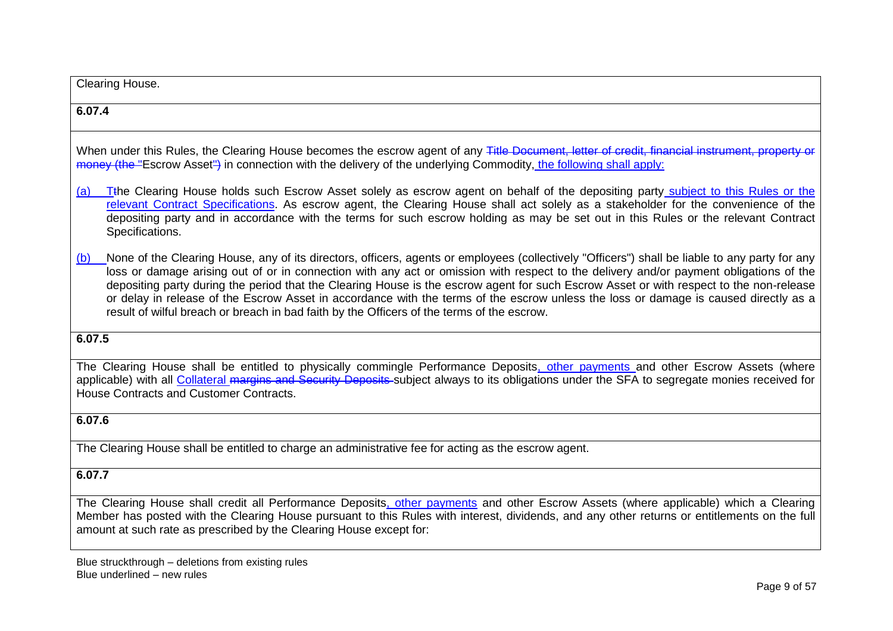| Clearing House.                                                                                                                                                                                                                                                                                                                                                                                                                                                                                                                                                                                                                                                                  |
|----------------------------------------------------------------------------------------------------------------------------------------------------------------------------------------------------------------------------------------------------------------------------------------------------------------------------------------------------------------------------------------------------------------------------------------------------------------------------------------------------------------------------------------------------------------------------------------------------------------------------------------------------------------------------------|
| 6.07.4                                                                                                                                                                                                                                                                                                                                                                                                                                                                                                                                                                                                                                                                           |
| When under this Rules, the Clearing House becomes the escrow agent of any Title Document, letter of credit, financial instrument, property or<br>money (the "Escrow Asset") in connection with the delivery of the underlying Commodity, the following shall apply:                                                                                                                                                                                                                                                                                                                                                                                                              |
| T <sub>the</sub> Clearing House holds such Escrow Asset solely as escrow agent on behalf of the depositing party subject to this Rules or the<br>(a)<br>relevant Contract Specifications. As escrow agent, the Clearing House shall act solely as a stakeholder for the convenience of the<br>depositing party and in accordance with the terms for such escrow holding as may be set out in this Rules or the relevant Contract<br>Specifications.                                                                                                                                                                                                                              |
| None of the Clearing House, any of its directors, officers, agents or employees (collectively "Officers") shall be liable to any party for any<br>(b)<br>loss or damage arising out of or in connection with any act or omission with respect to the delivery and/or payment obligations of the<br>depositing party during the period that the Clearing House is the escrow agent for such Escrow Asset or with respect to the non-release<br>or delay in release of the Escrow Asset in accordance with the terms of the escrow unless the loss or damage is caused directly as a<br>result of wilful breach or breach in bad faith by the Officers of the terms of the escrow. |
| 6.07.5                                                                                                                                                                                                                                                                                                                                                                                                                                                                                                                                                                                                                                                                           |
| The Clearing House shall be entitled to physically commingle Performance Deposits, other payments and other Escrow Assets (where<br>applicable) with all Collateral margins and Security Deposits subject always to its obligations under the SFA to segregate monies received for<br>House Contracts and Customer Contracts.                                                                                                                                                                                                                                                                                                                                                    |
| 6.07.6                                                                                                                                                                                                                                                                                                                                                                                                                                                                                                                                                                                                                                                                           |
| The Clearing House shall be entitled to charge an administrative fee for acting as the escrow agent.                                                                                                                                                                                                                                                                                                                                                                                                                                                                                                                                                                             |
| 6.07.7                                                                                                                                                                                                                                                                                                                                                                                                                                                                                                                                                                                                                                                                           |
| The Clearing House shall credit all Performance Deposits, other payments and other Escrow Assets (where applicable) which a Clearing<br>Member has posted with the Clearing House pursuant to this Rules with interest, dividends, and any other returns or entitlements on the full<br>amount at such rate as prescribed by the Clearing House except for:                                                                                                                                                                                                                                                                                                                      |
| Blue struckthrough - deletions from existing rules                                                                                                                                                                                                                                                                                                                                                                                                                                                                                                                                                                                                                               |

#### Blue underlined – new rules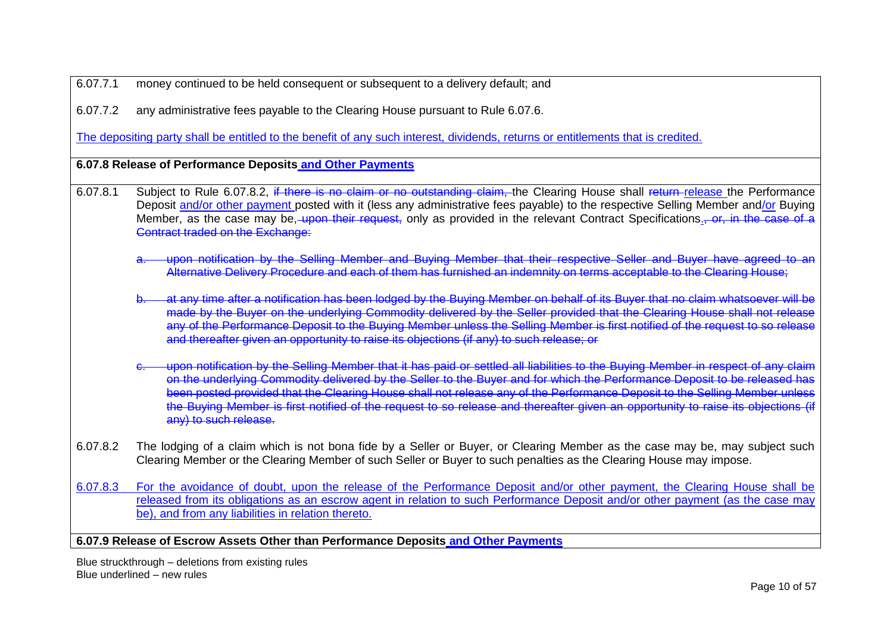6.07.7.1 money continued to be held consequent or subsequent to a delivery default; and

6.07.7.2 any administrative fees payable to the Clearing House pursuant to Rule 6.07.6.

The depositing party shall be entitled to the benefit of any such interest, dividends, returns or entitlements that is credited.

**6.07.8 Release of Performance Deposits and Other Payments**

- 6.07.8.1 Subject to Rule 6.07.8.2, if there is no claim or no outstanding claim, the Clearing House shall return release the Performance Deposit and/or other payment posted with it (less any administrative fees payable) to the respective Selling Member and/or Buying Member, as the case may be, upon their request, only as provided in the relevant Contract Specifications., or, in the case of a Contract traded on the Exchange:
	- upon notification by the Selling Member and Buying Member that their respective Seller and Buyer have agreed to an Alternative Delivery Procedure and each of them has furnished an indemnity on terms acceptable to the Clearing House;
	- b. at any time after a notification has been lodged by the Buying Member on behalf of its Buyer that no claim whatsoever will be made by the Buyer on the underlying Commodity delivered by the Seller provided that the Clearing House shall not release any of the Performance Deposit to the Buying Member unless the Selling Member is first notified of the request to so release and thereafter given an opportunity to raise its objections (if any) to such release; or
	- upon notification by the Selling Member that it has paid or settled all liabilities to the Buying Member in respect of any claim on the underlying Commodity delivered by the Seller to the Buyer and for which the Performance Deposit to be released has been posted provided that the Clearing House shall not release any of the Performance Deposit to the Selling Member unless the Buying Member is first notified of the request to so release and thereafter given an opportunity to raise its objections (if any) to such release.
- 6.07.8.2 The lodging of a claim which is not bona fide by a Seller or Buyer, or Clearing Member as the case may be, may subject such Clearing Member or the Clearing Member of such Seller or Buyer to such penalties as the Clearing House may impose.
- 6.07.8.3 For the avoidance of doubt, upon the release of the Performance Deposit and/or other payment, the Clearing House shall be released from its obligations as an escrow agent in relation to such Performance Deposit and/or other payment (as the case may be), and from any liabilities in relation thereto.

### **6.07.9 Release of Escrow Assets Other than Performance Deposits and Other Payments**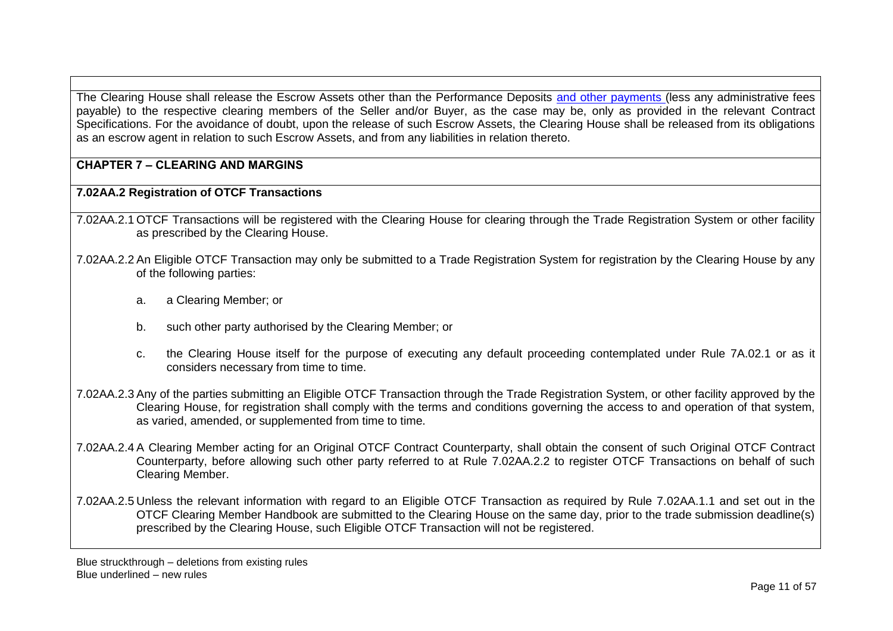The Clearing House shall release the Escrow Assets other than the Performance Deposits and other payments (less any administrative fees payable) to the respective clearing members of the Seller and/or Buyer, as the case may be, only as provided in the relevant Contract Specifications. For the avoidance of doubt, upon the release of such Escrow Assets, the Clearing House shall be released from its obligations as an escrow agent in relation to such Escrow Assets, and from any liabilities in relation thereto.

## **CHAPTER 7 – CLEARING AND MARGINS**

### **7.02AA.2 Registration of OTCF Transactions**

- 7.02AA.2.1 OTCF Transactions will be registered with the Clearing House for clearing through the Trade Registration System or other facility as prescribed by the Clearing House.
- 7.02AA.2.2 An Eligible OTCF Transaction may only be submitted to a Trade Registration System for registration by the Clearing House by any of the following parties:
	- a. a Clearing Member; or
	- b. such other party authorised by the Clearing Member; or
	- c. the Clearing House itself for the purpose of executing any default proceeding contemplated under [Rule 7A.02.1](http://rulebook.sgx.com/en/display/display.html?rbid=3271&element_id=5930) or as it considers necessary from time to time.
- 7.02AA.2.3 Any of the parties submitting an Eligible OTCF Transaction through the Trade Registration System, or other facility approved by the Clearing House, for registration shall comply with the terms and conditions governing the access to and operation of that system, as varied, amended, or supplemented from time to time.
- 7.02AA.2.4 A Clearing Member acting for an Original OTCF Contract Counterparty, shall obtain the consent of such Original OTCF Contract Counterparty, before allowing such other party referred to at Rule 7.02AA.2.2 to register OTCF Transactions on behalf of such Clearing Member.
- 7.02AA.2.5 Unless the relevant information with regard to an Eligible OTCF Transaction as required by Rule 7.02AA.1.1 and set out in the OTCF Clearing Member Handbook are submitted to the Clearing House on the same day, prior to the trade submission deadline(s) prescribed by the Clearing House, such Eligible OTCF Transaction will not be registered.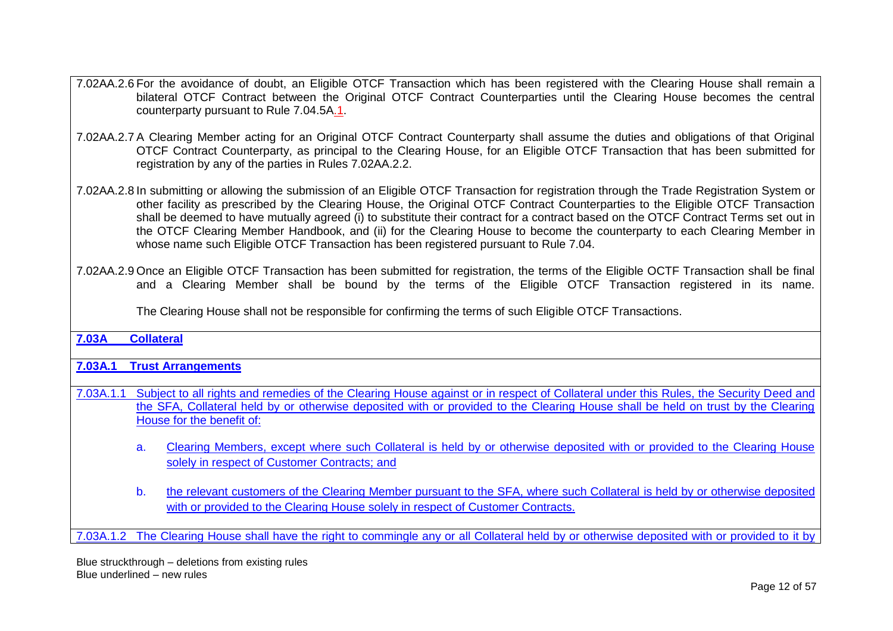- 7.02AA.2.6 For the avoidance of doubt, an Eligible OTCF Transaction which has been registered with the Clearing House shall remain a bilateral OTCF Contract between the Original OTCF Contract Counterparties until the Clearing House becomes the central counterparty pursuant to Rule 7.04.5A.1.
- 7.02AA.2.7 A Clearing Member acting for an Original OTCF Contract Counterparty shall assume the duties and obligations of that Original OTCF Contract Counterparty, as principal to the Clearing House, for an Eligible OTCF Transaction that has been submitted for registration by any of the parties in Rules 7.02AA.2.2.
- 7.02AA.2.8 In submitting or allowing the submission of an Eligible OTCF Transaction for registration through the Trade Registration System or other facility as prescribed by the Clearing House, the Original OTCF Contract Counterparties to the Eligible OTCF Transaction shall be deemed to have mutually agreed (i) to substitute their contract for a contract based on the OTCF Contract Terms set out in the OTCF Clearing Member Handbook, and (ii) for the Clearing House to become the counterparty to each Clearing Member in whose name such Eligible OTCF Transaction has been registered pursuant to Rule 7.04.
- 7.02AA.2.9 Once an Eligible OTCF Transaction has been submitted for registration, the terms of the Eligible OCTF Transaction shall be final and a Clearing Member shall be bound by the terms of the Eligible OTCF Transaction registered in its name.

The Clearing House shall not be responsible for confirming the terms of such Eligible OTCF Transactions.

# **7.03A Collateral**

### **7.03A.1 Trust Arrangements**

- 7.03A.1.1 Subject to all rights and remedies of the Clearing House against or in respect of Collateral under this Rules, the Security Deed and the SFA, Collateral held by or otherwise deposited with or provided to the Clearing House shall be held on trust by the Clearing House for the benefit of:
	- a. Clearing Members, except where such Collateral is held by or otherwise deposited with or provided to the Clearing House solely in respect of Customer Contracts; and
	- b. the relevant customers of the Clearing Member pursuant to the SFA, where such Collateral is held by or otherwise deposited with or provided to the Clearing House solely in respect of Customer Contracts.

7.03A.1.2 The Clearing House shall have the right to commingle any or all Collateral held by or otherwise deposited with or provided to it by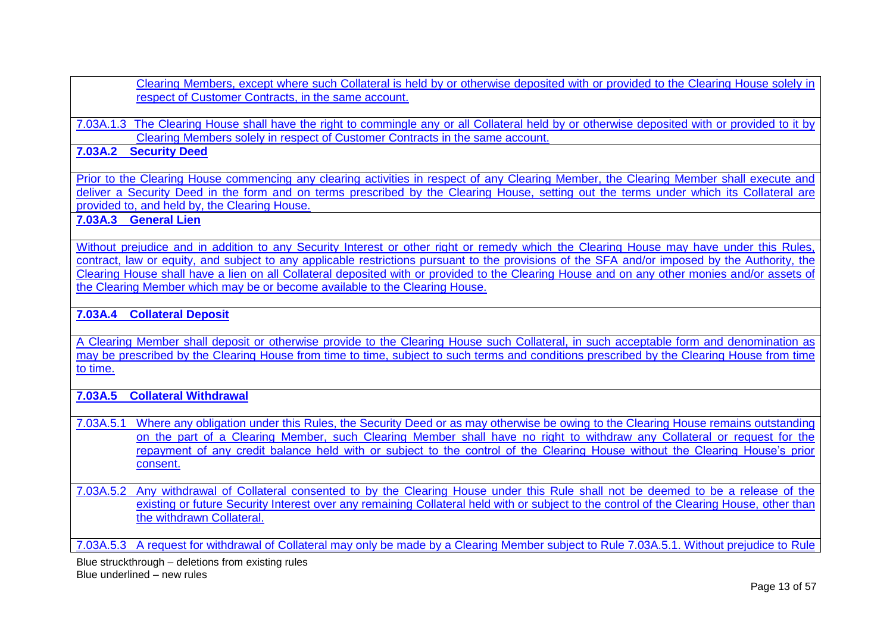Clearing Members, except where such Collateral is held by or otherwise deposited with or provided to the Clearing House solely in respect of Customer Contracts, in the same account.

7.03A.1.3 The Clearing House shall have the right to commingle any or all Collateral held by or otherwise deposited with or provided to it by Clearing Members solely in respect of Customer Contracts in the same account.

# **7.03A.2 Security Deed**

Prior to the Clearing House commencing any clearing activities in respect of any Clearing Member, the Clearing Member shall execute and deliver a Security Deed in the form and on terms prescribed by the Clearing House, setting out the terms under which its Collateral are provided to, and held by, the Clearing House.

# **7.03A.3 General Lien**

Without prejudice and in addition to any Security Interest or other right or remedy which the Clearing House may have under this Rules. contract, law or equity, and subject to any applicable restrictions pursuant to the provisions of the SFA and/or imposed by the Authority, the Clearing House shall have a lien on all Collateral deposited with or provided to the Clearing House and on any other monies and/or assets of the Clearing Member which may be or become available to the Clearing House.

### **7.03A.4 Collateral Deposit**

A Clearing Member shall deposit or otherwise provide to the Clearing House such Collateral, in such acceptable form and denomination as may be prescribed by the Clearing House from time to time, subject to such terms and conditions prescribed by the Clearing House from time to time.

## **7.03A.5 Collateral Withdrawal**

7.03A.5.1 Where any obligation under this Rules, the Security Deed or as may otherwise be owing to the Clearing House remains outstanding on the part of a Clearing Member, such Clearing Member shall have no right to withdraw any Collateral or request for the repayment of any credit balance held with or subject to the control of the Clearing House without the Clearing House's prior consent.

7.03A.5.2 Any withdrawal of Collateral consented to by the Clearing House under this Rule shall not be deemed to be a release of the existing or future Security Interest over any remaining Collateral held with or subject to the control of the Clearing House, other than the withdrawn Collateral.

7.03A.5.3 A request for withdrawal of Collateral may only be made by a Clearing Member subject to Rule 7.03A.5.1. Without prejudice to Rule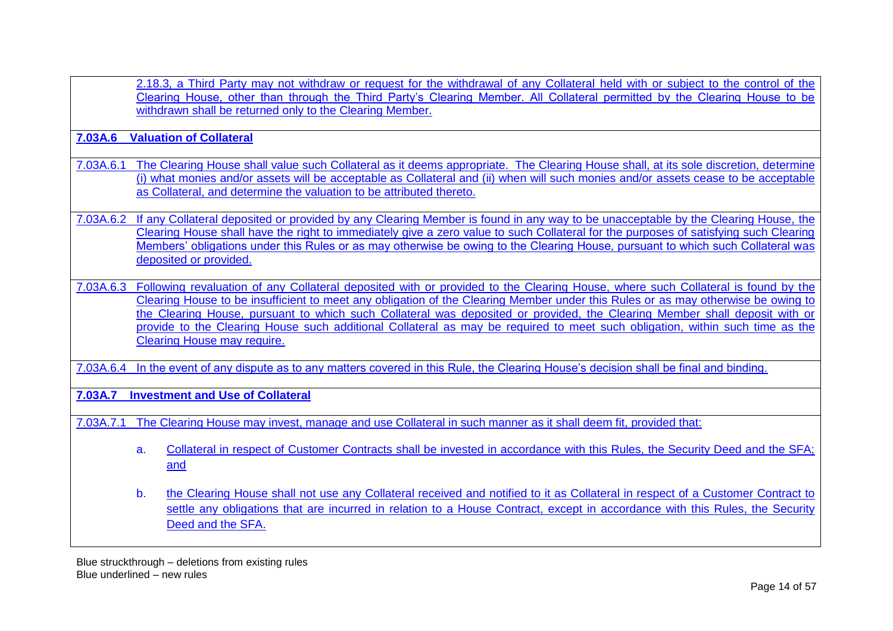2.18.3, a Third Party may not withdraw or request for the withdrawal of any Collateral held with or subject to the control of the Clearing House, other than through the Third Party's Clearing Member. All Collateral permitted by the Clearing House to be withdrawn shall be returned only to the Clearing Member.

**7.03A.6 Valuation of Collateral**

- 7.03A.6.1 The Clearing House shall value such Collateral as it deems appropriate. The Clearing House shall, at its sole discretion, determine (i) what monies and/or assets will be acceptable as Collateral and (ii) when will such monies and/or assets cease to be acceptable as Collateral, and determine the valuation to be attributed thereto.
- 7.03A.6.2 If any Collateral deposited or provided by any Clearing Member is found in any way to be unacceptable by the Clearing House, the Clearing House shall have the right to immediately give a zero value to such Collateral for the purposes of satisfying such Clearing Members' obligations under this Rules or as may otherwise be owing to the Clearing House, pursuant to which such Collateral was deposited or provided.
- 7.03A.6.3 Following revaluation of any Collateral deposited with or provided to the Clearing House, where such Collateral is found by the Clearing House to be insufficient to meet any obligation of the Clearing Member under this Rules or as may otherwise be owing to the Clearing House, pursuant to which such Collateral was deposited or provided, the Clearing Member shall deposit with or provide to the Clearing House such additional Collateral as may be required to meet such obligation, within such time as the Clearing House may require.

7.03A.6.4 In the event of any dispute as to any matters covered in this Rule, the Clearing House's decision shall be final and binding.

**7.03A.7 Investment and Use of Collateral**

7.03A.7.1 The Clearing House may invest, manage and use Collateral in such manner as it shall deem fit, provided that:

- a. Collateral in respect of Customer Contracts shall be invested in accordance with this Rules, the Security Deed and the SFA; and
- b. the Clearing House shall not use any Collateral received and notified to it as Collateral in respect of a Customer Contract to settle any obligations that are incurred in relation to a House Contract, except in accordance with this Rules, the Security Deed and the SFA.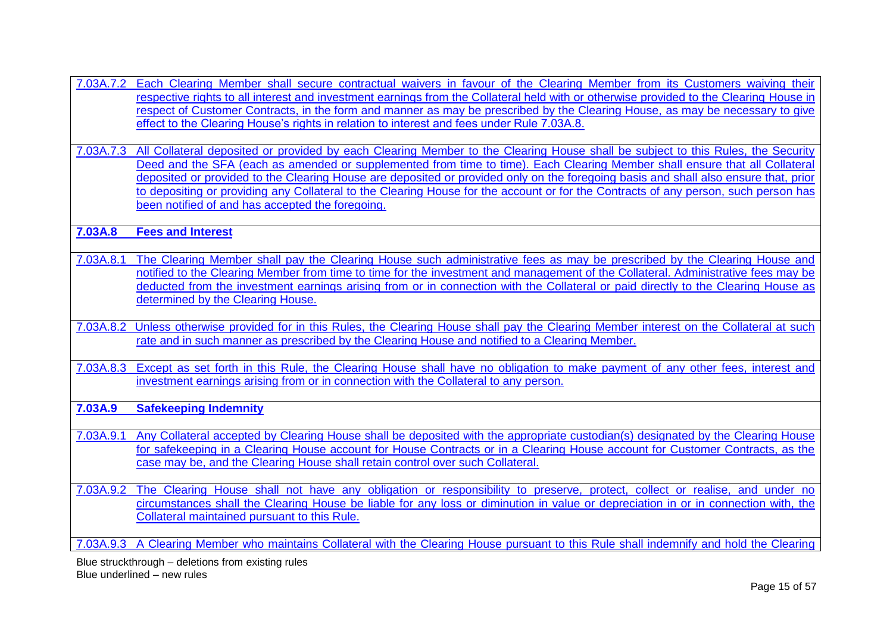- 7.03A.7.2 Each Clearing Member shall secure contractual waivers in favour of the Clearing Member from its Customers waiving their respective rights to all interest and investment earnings from the Collateral held with or otherwise provided to the Clearing House in respect of Customer Contracts, in the form and manner as may be prescribed by the Clearing House, as may be necessary to give effect to the Clearing House's rights in relation to interest and fees under Rule 7.03A.8.
- 7.03A.7.3 All Collateral deposited or provided by each Clearing Member to the Clearing House shall be subject to this Rules, the Security Deed and the SFA (each as amended or supplemented from time to time). Each Clearing Member shall ensure that all Collateral deposited or provided to the Clearing House are deposited or provided only on the foregoing basis and shall also ensure that, prior to depositing or providing any Collateral to the Clearing House for the account or for the Contracts of any person, such person has been notified of and has accepted the foregoing.

**7.03A.8 Fees and Interest**

- 7.03A.8.1 The Clearing Member shall pay the Clearing House such administrative fees as may be prescribed by the Clearing House and notified to the Clearing Member from time to time for the investment and management of the Collateral. Administrative fees may be deducted from the investment earnings arising from or in connection with the Collateral or paid directly to the Clearing House as determined by the Clearing House.
- 7.03A.8.2 Unless otherwise provided for in this Rules, the Clearing House shall pay the Clearing Member interest on the Collateral at such rate and in such manner as prescribed by the Clearing House and notified to a Clearing Member.
- 7.03A.8.3 Except as set forth in this Rule, the Clearing House shall have no obligation to make payment of any other fees, interest and investment earnings arising from or in connection with the Collateral to any person.

**7.03A.9 Safekeeping Indemnity**

- 7.03A.9.1 Any Collateral accepted by Clearing House shall be deposited with the appropriate custodian(s) designated by the Clearing House for safekeeping in a Clearing House account for House Contracts or in a Clearing House account for Customer Contracts, as the case may be, and the Clearing House shall retain control over such Collateral.
- 7.03A.9.2 The Clearing House shall not have any obligation or responsibility to preserve, protect, collect or realise, and under no circumstances shall the Clearing House be liable for any loss or diminution in value or depreciation in or in connection with, the Collateral maintained pursuant to this Rule.

7.03A.9.3 A Clearing Member who maintains Collateral with the Clearing House pursuant to this Rule shall indemnify and hold the Clearing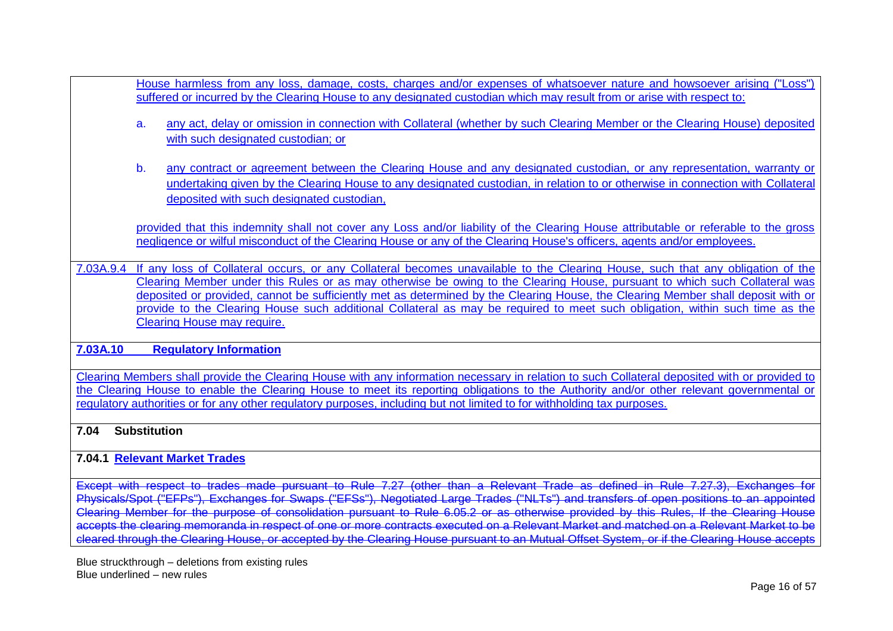House harmless from any loss, damage, costs, charges and/or expenses of whatsoever nature and howsoever arising ("Loss") suffered or incurred by the Clearing House to any designated custodian which may result from or arise with respect to: a. any act, delay or omission in connection with Collateral (whether by such Clearing Member or the Clearing House) deposited with such designated custodian; or b. any contract or agreement between the Clearing House and any designated custodian, or any representation, warranty or undertaking given by the Clearing House to any designated custodian, in relation to or otherwise in connection with Collateral deposited with such designated custodian, provided that this indemnity shall not cover any Loss and/or liability of the Clearing House attributable or referable to the gross negligence or wilful misconduct of the Clearing House or any of the Clearing House's officers, agents and/or employees. 7.03A.9.4 If any loss of Collateral occurs, or any Collateral becomes unavailable to the Clearing House, such that any obligation of the Clearing Member under this Rules or as may otherwise be owing to the Clearing House, pursuant to which such Collateral was deposited or provided, cannot be sufficiently met as determined by the Clearing House, the Clearing Member shall deposit with or provide to the Clearing House such additional Collateral as may be required to meet such obligation, within such time as the Clearing House may require. **7.03A.10 Regulatory Information**

Clearing Members shall provide the Clearing House with any information necessary in relation to such Collateral deposited with or provided to the Clearing House to enable the Clearing House to meet its reporting obligations to the Authority and/or other relevant governmental or regulatory authorities or for any other regulatory purposes, including but not limited to for withholding tax purposes.

# **7.04 Substitution**

# **7.04.1 Relevant Market Trades**

Except with respect to trades made pursuant to Rule 7.27 (other than a Relevant Trade as defined in Rule 7.27.3), Exchanges Physicals/Spot ("EFPs"), Exchanges for Swaps ("EFSs"), Negotiated Large Trades ("NLTs") and transfers of open positions to an appointed Clearing Member for the purpose of consolidation pursuant to Rule 6.05.2 or as otherwise provided by this Rules, If the Clearing House accepts the clearing memoranda in respect of one or more contracts executed on a Relevant Market and matched on a Relevant Market to be decepts the clearing memoranda in respect or one or more contracts of security on a reservant manner and matter on a recording memorant is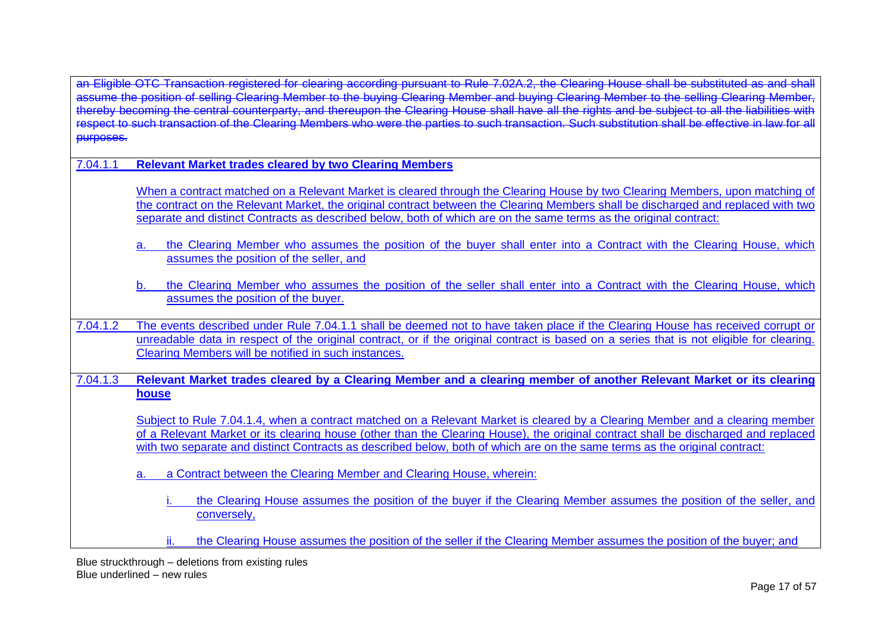an Eligible OTC Transaction registered for clearing according pursuant to Rule 7.02A.2, the Clearing House shall be substituted as and shall assume the position of selling Clearing Member to the buying Clearing Member and buying Clearing Member to the selling Clearing Member thereby becoming the central counterparty, and thereupon the Clearing Mombor and buying Glearing Mombor to the soling Clearing Mombor,<br>Thereby becoming the central counterparty, and thereupon the Clearing House shall have reby becoming the central counterparty, and thereupon the electring medic chainmaxe an the name and se easyed to such the unsults made<br>bect to such transaction of the Clearing Members who were the parties to such transacti purposes.

7.04.1.1 **Relevant Market trades cleared by two Clearing Members**

When a contract matched on a Relevant Market is cleared through the Clearing House by two Clearing Members, upon matching of the contract on the Relevant Market, the original contract between the Clearing Members shall be discharged and replaced with two separate and distinct Contracts as described below, both of which are on the same terms as the original contract:

- a. the Clearing Member who assumes the position of the buyer shall enter into a Contract with the Clearing House, which assumes the position of the seller, and
- the Clearing Member who assumes the position of the seller shall enter into a Contract with the Clearing House, which assumes the position of the buyer.
- 7.04.1.2 The events described under Rule 7.04.1.1 shall be deemed not to have taken place if the Clearing House has received corrupt or unreadable data in respect of the original contract, or if the original contract is based on a series that is not eligible for clearing. Clearing Members will be notified in such instances.

7.04.1.3 **Relevant Market trades cleared by a Clearing Member and a clearing member of another Relevant Market or its clearing house**

Subject to Rule 7.04.1.4, when a contract matched on a Relevant Market is cleared by a Clearing Member and a clearing member of a Relevant Market or its clearing house (other than the Clearing House), the original contract shall be discharged and replaced with two separate and distinct Contracts as described below, both of which are on the same terms as the original contract:

a. a Contract between the Clearing Member and Clearing House, wherein:

- the Clearing House assumes the position of the buver if the Clearing Member assumes the position of the seller, and conversely,
- ii. the Clearing House assumes the position of the seller if the Clearing Member assumes the position of the buyer; and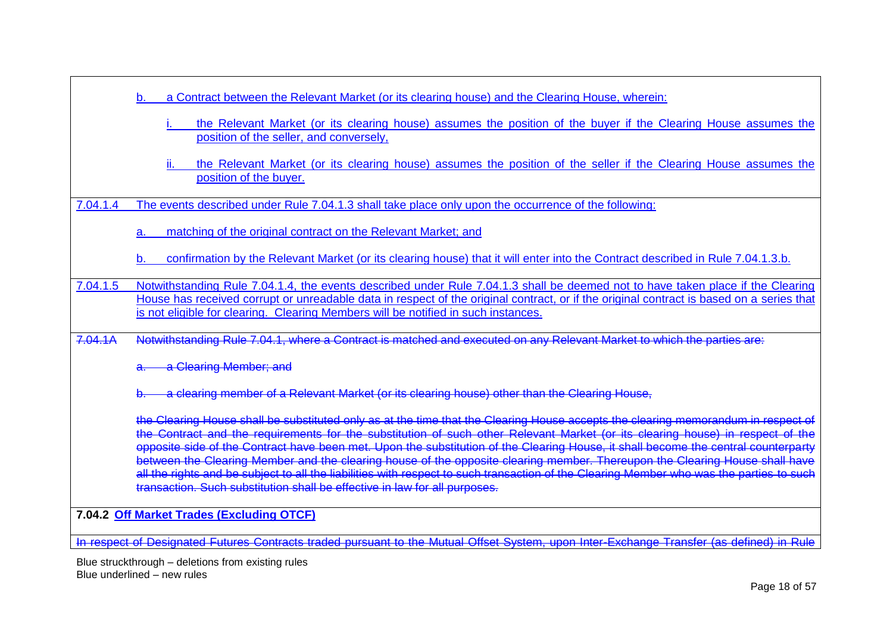|          | b. |    | a Contract between the Relevant Market (or its clearing house) and the Clearing House, wherein:                                                                                                                                                                                                                                                                                                                                                                                                                                                                                                                                                                                                                                                                    |
|----------|----|----|--------------------------------------------------------------------------------------------------------------------------------------------------------------------------------------------------------------------------------------------------------------------------------------------------------------------------------------------------------------------------------------------------------------------------------------------------------------------------------------------------------------------------------------------------------------------------------------------------------------------------------------------------------------------------------------------------------------------------------------------------------------------|
|          |    |    | the Relevant Market (or its clearing house) assumes the position of the buyer if the Clearing House assumes the<br>position of the seller, and conversely,                                                                                                                                                                                                                                                                                                                                                                                                                                                                                                                                                                                                         |
|          |    | Ш. | the Relevant Market (or its clearing house) assumes the position of the seller if the Clearing House assumes the<br>position of the buyer.                                                                                                                                                                                                                                                                                                                                                                                                                                                                                                                                                                                                                         |
| 7.04.1.4 |    |    | The events described under Rule 7.04.1.3 shall take place only upon the occurrence of the following:                                                                                                                                                                                                                                                                                                                                                                                                                                                                                                                                                                                                                                                               |
|          | a. |    | matching of the original contract on the Relevant Market; and                                                                                                                                                                                                                                                                                                                                                                                                                                                                                                                                                                                                                                                                                                      |
|          | b. |    | confirmation by the Relevant Market (or its clearing house) that it will enter into the Contract described in Rule 7.04.1.3.b.                                                                                                                                                                                                                                                                                                                                                                                                                                                                                                                                                                                                                                     |
| 7.04.1.5 |    |    | Notwithstanding Rule 7.04.1.4, the events described under Rule 7.04.1.3 shall be deemed not to have taken place if the Clearing<br>House has received corrupt or unreadable data in respect of the original contract, or if the original contract is based on a series that<br>is not eligible for clearing. Clearing Members will be notified in such instances.                                                                                                                                                                                                                                                                                                                                                                                                  |
| 7.04.1A  |    |    | Notwithstanding Rule 7.04.1, where a Contract is matched and executed on any Relevant Market to which the parties are:                                                                                                                                                                                                                                                                                                                                                                                                                                                                                                                                                                                                                                             |
|          |    |    | a Clearing Member; and                                                                                                                                                                                                                                                                                                                                                                                                                                                                                                                                                                                                                                                                                                                                             |
|          |    |    | a clearing member of a Relevant Market (or its clearing house) other than the Clearing House,                                                                                                                                                                                                                                                                                                                                                                                                                                                                                                                                                                                                                                                                      |
|          |    |    | the Clearing House shall be substituted only as at the time that the Clearing House accepts the clearing memorandum in respect of<br>the Contract and the requirements for the substitution of such other Relevant Market (or its clearing house) in respect of the<br>opposite side of the Contract have been met. Upon the substitution of the Clearing House, it shall become the central counterparty<br>between the Clearing Member and the clearing house of the opposite clearing member. Thereupon the Clearing House shall have<br>all the rights and be subject to all the liabilities with respect to such transaction of the Clearing Member who was the parties to such<br>transaction. Such substitution shall be effective in law for all purposes. |

**7.04.2 Off Market Trades (Excluding OTCF)**

In respect of Designated Futures Contracts traded pursuant to the Mutual Offset System, upon Inter-Exchange Transfer (as defined) in Rule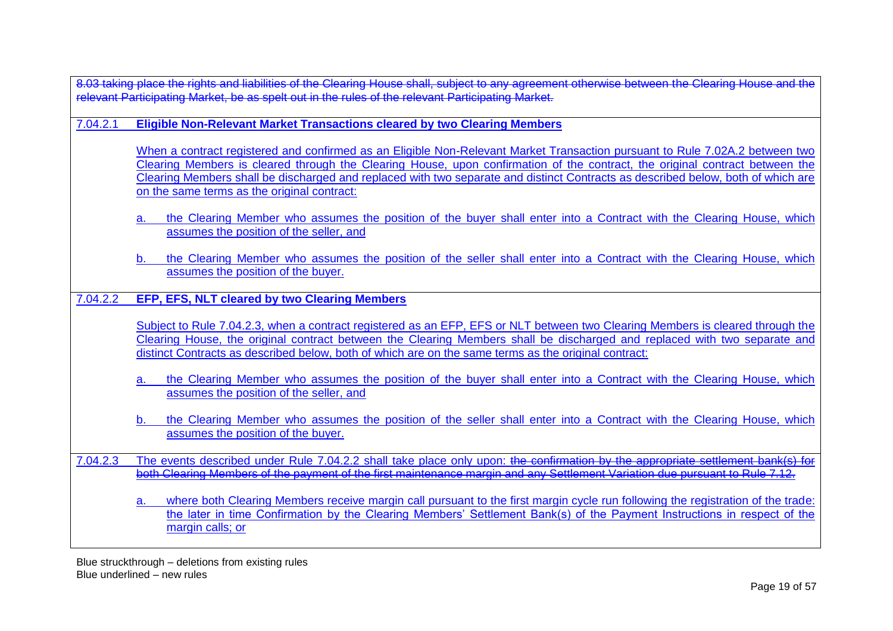8.03 taking place the rights and liabilities of the Clearing House shall, subject to any agreement otherwise between the Clearing House and the relevant Participating Market, be as spelt out in the rules of the relevant Participating Market.

7.04.2.1 **Eligible Non-Relevant Market Transactions cleared by two Clearing Members**

When a contract registered and confirmed as an Eligible Non-Relevant Market Transaction pursuant to Rule 7.02A.2 between two Clearing Members is cleared through the Clearing House, upon confirmation of the contract, the original contract between the Clearing Members shall be discharged and replaced with two separate and distinct Contracts as described below, both of which are on the same terms as the original contract:

- the Clearing Member who assumes the position of the buyer shall enter into a Contract with the Clearing House, which assumes the position of the seller, and
- b. the Clearing Member who assumes the position of the seller shall enter into a Contract with the Clearing House, which assumes the position of the buyer.
- 7.04.2.2 **EFP, EFS, NLT cleared by two Clearing Members**

Subject to Rule 7.04.2.3, when a contract registered as an EFP. EFS or NLT between two Clearing Members is cleared through the Clearing House, the original contract between the Clearing Members shall be discharged and replaced with two separate and distinct Contracts as described below, both of which are on the same terms as the original contract:

- the Clearing Member who assumes the position of the buyer shall enter into a Contract with the Clearing House, which assumes the position of the seller, and
- b. the Clearing Member who assumes the position of the seller shall enter into a Contract with the Clearing House, which assumes the position of the buyer.

7.04.2.3 The events described under Rule 7.04.2.2 shall take place only upon: the confirmation by the appropriate settlement bank(s) for both Clearing Members of the payment of the first maintenance margin and any Settlement Variation due pursuant to Rule 7.12.

a. where both Clearing Members receive margin call pursuant to the first margin cycle run following the registration of the trade: the later in time Confirmation by the Clearing Members' Settlement Bank(s) of the Payment Instructions in respect of the margin calls; or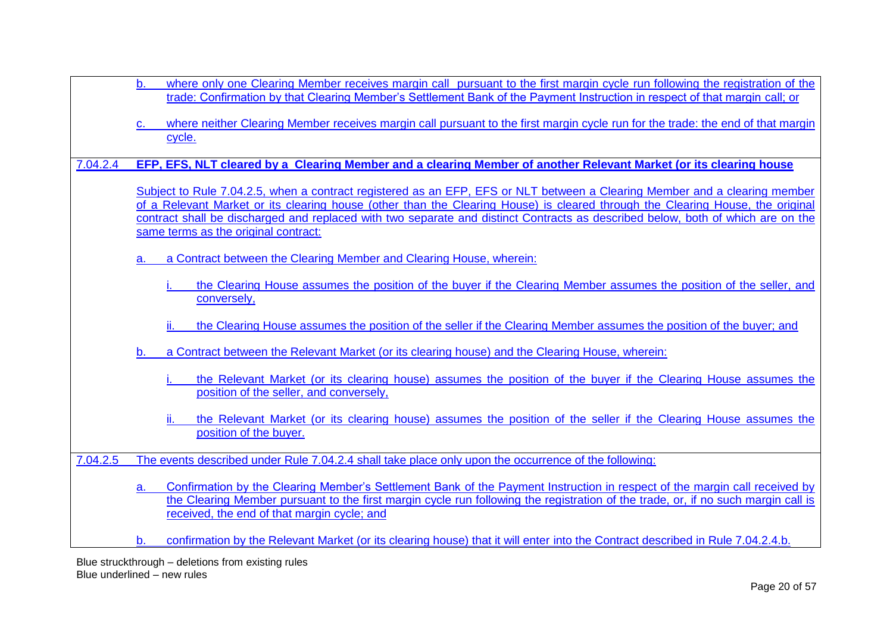| b.<br>where only one Clearing Member receives margin call pursuant to the first margin cycle run following the registration of the<br>trade: Confirmation by that Clearing Member's Settlement Bank of the Payment Instruction in respect of that margin call; or                                                                                                                                                                       |
|-----------------------------------------------------------------------------------------------------------------------------------------------------------------------------------------------------------------------------------------------------------------------------------------------------------------------------------------------------------------------------------------------------------------------------------------|
| where neither Clearing Member receives margin call pursuant to the first margin cycle run for the trade: the end of that margin<br>C.<br>cycle.                                                                                                                                                                                                                                                                                         |
| EFP, EFS, NLT cleared by a Clearing Member and a clearing Member of another Relevant Market (or its clearing house<br>7.04.2.4                                                                                                                                                                                                                                                                                                          |
| Subject to Rule 7.04.2.5, when a contract registered as an EFP, EFS or NLT between a Clearing Member and a clearing member<br>of a Relevant Market or its clearing house (other than the Clearing House) is cleared through the Clearing House, the original<br>contract shall be discharged and replaced with two separate and distinct Contracts as described below, both of which are on the<br>same terms as the original contract: |
| a Contract between the Clearing Member and Clearing House, wherein:<br>a.                                                                                                                                                                                                                                                                                                                                                               |
| the Clearing House assumes the position of the buyer if the Clearing Member assumes the position of the seller, and<br>conversely,<br>the Clearing House assumes the position of the seller if the Clearing Member assumes the position of the buyer; and<br>ii.                                                                                                                                                                        |
| a Contract between the Relevant Market (or its clearing house) and the Clearing House, wherein:<br>$\mathbf b$ .                                                                                                                                                                                                                                                                                                                        |
| the Relevant Market (or its clearing house) assumes the position of the buyer if the Clearing House assumes the<br>position of the seller, and conversely,                                                                                                                                                                                                                                                                              |
| ii.<br>the Relevant Market (or its clearing house) assumes the position of the seller if the Clearing House assumes the<br>position of the buyer.                                                                                                                                                                                                                                                                                       |
| 7.04.2.5<br>The events described under Rule 7.04.2.4 shall take place only upon the occurrence of the following:                                                                                                                                                                                                                                                                                                                        |
| Confirmation by the Clearing Member's Settlement Bank of the Payment Instruction in respect of the margin call received by<br>a.<br>the Clearing Member pursuant to the first margin cycle run following the registration of the trade, or, if no such margin call is<br>received, the end of that margin cycle; and                                                                                                                    |
| confirmation by the Relevant Market (or its clearing house) that it will enter into the Contract described in Rule 7.04.2.4.b.<br>b.                                                                                                                                                                                                                                                                                                    |
| Blue struckthrough - deletions from existing rules                                                                                                                                                                                                                                                                                                                                                                                      |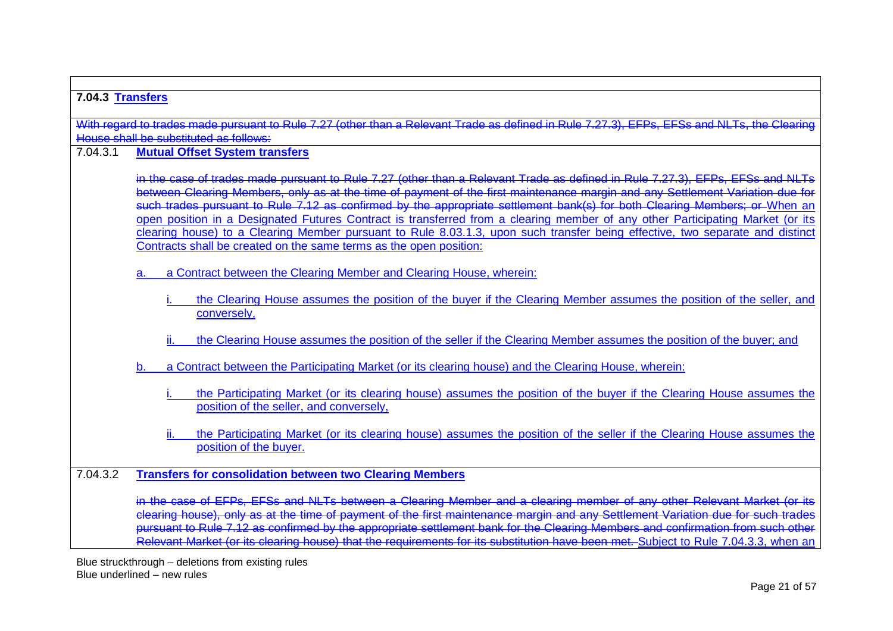| 7.04.3 Transfers |                                                                                                                                                                                                                                                                                                                                                                                                                                                                                                                  |
|------------------|------------------------------------------------------------------------------------------------------------------------------------------------------------------------------------------------------------------------------------------------------------------------------------------------------------------------------------------------------------------------------------------------------------------------------------------------------------------------------------------------------------------|
|                  | With regard to trades made pursuant to Rule 7.27 (other than a Relevant Trade as defined in Rule 7.27.3), EFPs, EFSs and NLTs, the Clearing                                                                                                                                                                                                                                                                                                                                                                      |
|                  | House shall be substituted as follows:                                                                                                                                                                                                                                                                                                                                                                                                                                                                           |
| 7.04.3.1         | <b>Mutual Offset System transfers</b>                                                                                                                                                                                                                                                                                                                                                                                                                                                                            |
|                  |                                                                                                                                                                                                                                                                                                                                                                                                                                                                                                                  |
|                  | in the case of trades made pursuant to Rule 7.27 (other than a Relevant Trade as defined in Rule 7.27.3). EFPs, EFSs and NLTs                                                                                                                                                                                                                                                                                                                                                                                    |
|                  | between Clearing Members, only as at the time of payment of the first maintenance margin and any Settlement Variation due for<br>such trades pursuant to Rule 7.12 as confirmed by the appropriate settlement bank(s) for both Cl                                                                                                                                                                                                                                                                                |
|                  | open position in a Designated Futures Contract is transferred from a clearing member of any other Participating Market (or its                                                                                                                                                                                                                                                                                                                                                                                   |
|                  | clearing house) to a Clearing Member pursuant to Rule 8.03.1.3, upon such transfer being effective, two separate and distinct                                                                                                                                                                                                                                                                                                                                                                                    |
|                  | Contracts shall be created on the same terms as the open position:                                                                                                                                                                                                                                                                                                                                                                                                                                               |
|                  | a Contract between the Clearing Member and Clearing House, wherein:<br>a.                                                                                                                                                                                                                                                                                                                                                                                                                                        |
|                  |                                                                                                                                                                                                                                                                                                                                                                                                                                                                                                                  |
|                  | the Clearing House assumes the position of the buyer if the Clearing Member assumes the position of the seller, and                                                                                                                                                                                                                                                                                                                                                                                              |
|                  | conversely,                                                                                                                                                                                                                                                                                                                                                                                                                                                                                                      |
|                  | ii.<br>the Clearing House assumes the position of the seller if the Clearing Member assumes the position of the buyer; and                                                                                                                                                                                                                                                                                                                                                                                       |
|                  | a Contract between the Participating Market (or its clearing house) and the Clearing House, wherein:<br>b.                                                                                                                                                                                                                                                                                                                                                                                                       |
|                  | the Participating Market (or its clearing house) assumes the position of the buyer if the Clearing House assumes the                                                                                                                                                                                                                                                                                                                                                                                             |
|                  | position of the seller, and conversely,                                                                                                                                                                                                                                                                                                                                                                                                                                                                          |
|                  |                                                                                                                                                                                                                                                                                                                                                                                                                                                                                                                  |
|                  | the Participating Market (or its clearing house) assumes the position of the seller if the Clearing House assumes the<br>position of the buyer.                                                                                                                                                                                                                                                                                                                                                                  |
|                  |                                                                                                                                                                                                                                                                                                                                                                                                                                                                                                                  |
| 7.04.32          | <b>Transfers for consolidation between two Clearing Members</b>                                                                                                                                                                                                                                                                                                                                                                                                                                                  |
|                  | EFSs and NLTs between a Clearing Member and a clearing member of any other Relevant Market (or its<br>clearing house), only as at the time of payment of the first maintenance margin and any Settlement Variation due for such trades<br>pursuant to Rule 7.12 as confirmed by the appropriate settlement bank for the Clearing Members and confirmation from such other<br>Relevant Market (or its clearing house) that the requirements for its substitution have been met. Subject to Rule 7.04.3.3, when an |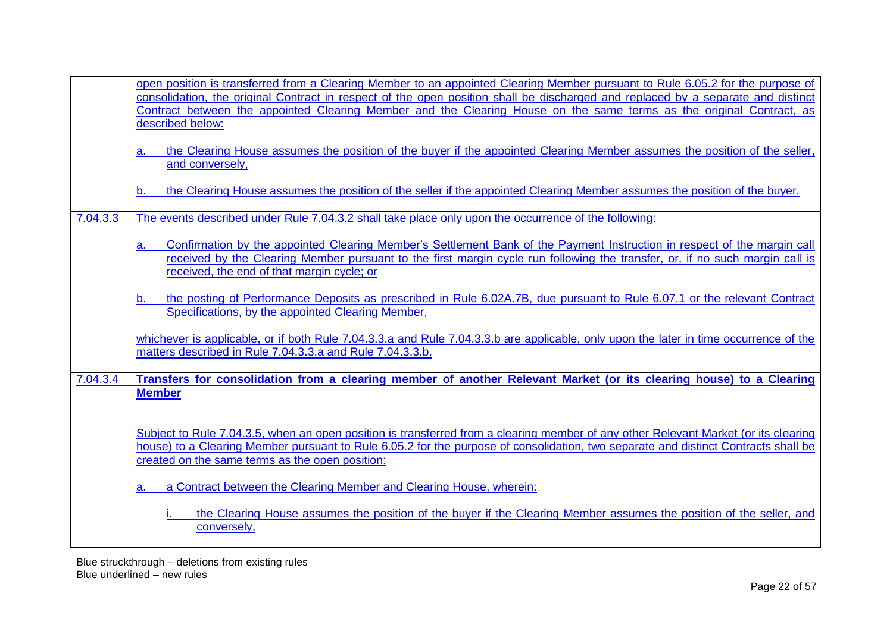| open position is transferred from a Clearing Member to an appointed Clearing Member pursuant to Rule 6.05.2 for the purpose of   |  |  |
|----------------------------------------------------------------------------------------------------------------------------------|--|--|
| consolidation, the original Contract in respect of the open position shall be discharged and replaced by a separate and distinct |  |  |
| Contract between the appointed Clearing Member and the Clearing House on the same terms as the original Contract, as             |  |  |
| described below:                                                                                                                 |  |  |

- a. the Clearing House assumes the position of the buyer if the appointed Clearing Member assumes the position of the seller, and conversely,
- the Clearing House assumes the position of the seller if the appointed Clearing Member assumes the position of the buyer.
- 7.04.3.3 The events described under Rule 7.04.3.2 shall take place only upon the occurrence of the following:
	- a. Confirmation by the appointed Clearing Member's Settlement Bank of the Payment Instruction in respect of the margin call received by the Clearing Member pursuant to the first margin cycle run following the transfer, or, if no such margin call is received, the end of that margin cycle; or
	- b. the posting of Performance Deposits as prescribed in Rule 6.02A.7B, due pursuant to Rule 6.07.1 or the relevant Contract Specifications, by the appointed Clearing Member,

whichever is applicable, or if both Rule 7.04.3.3.a and Rule 7.04.3.3.b are applicable, only upon the later in time occurrence of the matters described in Rule 7.04.3.3.a and Rule 7.04.3.3.b.

7.04.3.4 **Transfers for consolidation from a clearing member of another Relevant Market (or its clearing house) to a Clearing Member**

Subject to Rule 7.04.3.5, when an open position is transferred from a clearing member of any other Relevant Market (or its clearing house) to a Clearing Member pursuant to Rule 6.05.2 for the purpose of consolidation, two separate and distinct Contracts shall be created on the same terms as the open position:

a Contract between the Clearing Member and Clearing House, wherein:

the Clearing House assumes the position of the buyer if the Clearing Member assumes the position of the seller, and conversely,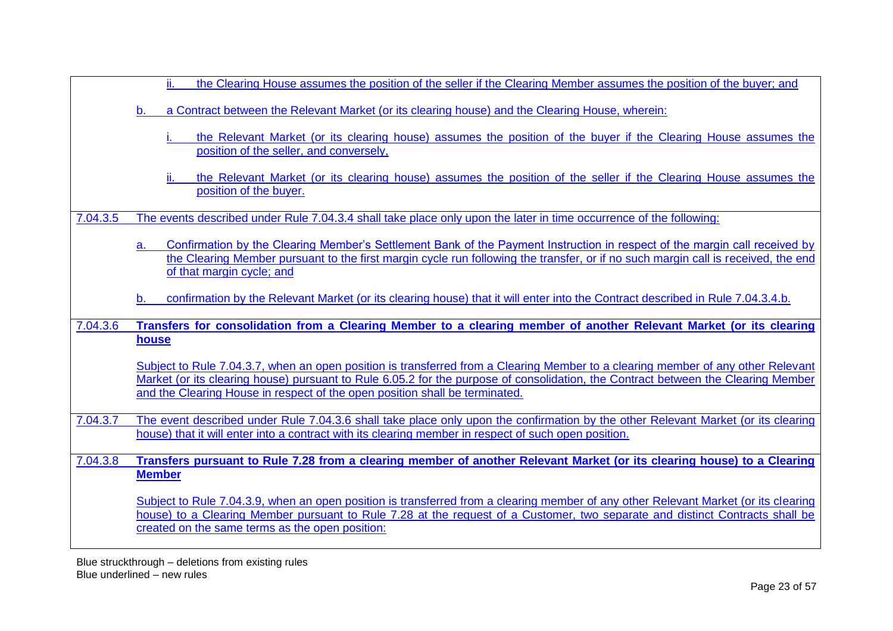|          | the Clearing House assumes the position of the seller if the Clearing Member assumes the position of the buyer; and                                                                                                                                                                                                                                                  |
|----------|----------------------------------------------------------------------------------------------------------------------------------------------------------------------------------------------------------------------------------------------------------------------------------------------------------------------------------------------------------------------|
|          | a Contract between the Relevant Market (or its clearing house) and the Clearing House, wherein:<br>b.                                                                                                                                                                                                                                                                |
|          | the Relevant Market (or its clearing house) assumes the position of the buyer if the Clearing House assumes the<br>position of the seller, and conversely,                                                                                                                                                                                                           |
|          | the Relevant Market (or its clearing house) assumes the position of the seller if the Clearing House assumes the<br>н.<br>position of the buyer.                                                                                                                                                                                                                     |
| 7.04.3.5 | The events described under Rule 7.04.3.4 shall take place only upon the later in time occurrence of the following:                                                                                                                                                                                                                                                   |
|          | Confirmation by the Clearing Member's Settlement Bank of the Payment Instruction in respect of the margin call received by<br>a.<br>the Clearing Member pursuant to the first margin cycle run following the transfer, or if no such margin call is received, the end<br>of that margin cycle; and                                                                   |
|          | confirmation by the Relevant Market (or its clearing house) that it will enter into the Contract described in Rule 7.04.3.4.b.<br>b <sub>1</sub>                                                                                                                                                                                                                     |
| 7.04.3.6 | Transfers for consolidation from a Clearing Member to a clearing member of another Relevant Market (or its clearing                                                                                                                                                                                                                                                  |
|          |                                                                                                                                                                                                                                                                                                                                                                      |
|          | <u>house</u><br>Subject to Rule 7.04.3.7, when an open position is transferred from a Clearing Member to a clearing member of any other Relevant<br>Market (or its clearing house) pursuant to Rule 6.05.2 for the purpose of consolidation, the Contract between the Clearing Member<br>and the Clearing House in respect of the open position shall be terminated. |
| 7.04.3.7 | The event described under Rule 7.04.3.6 shall take place only upon the confirmation by the other Relevant Market (or its clearing<br>house) that it will enter into a contract with its clearing member in respect of such open position.                                                                                                                            |
| 7.04.3.8 | Transfers pursuant to Rule 7.28 from a clearing member of another Relevant Market (or its clearing house) to a Clearing<br><b>Member</b>                                                                                                                                                                                                                             |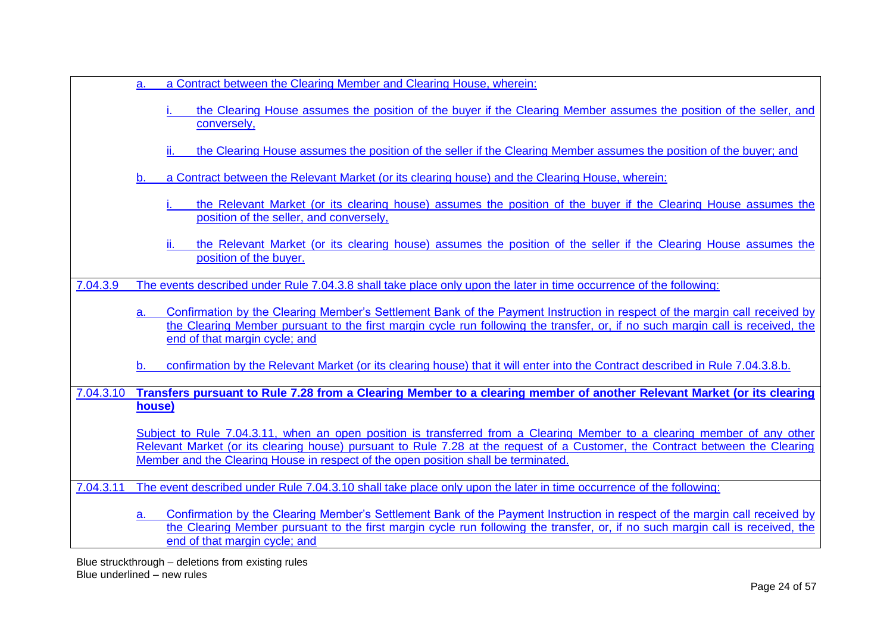| a Contract between the Clearing Member and Clearing House, wherein: |
|---------------------------------------------------------------------|
|---------------------------------------------------------------------|

the Clearing House assumes the position of the buyer if the Clearing Member assumes the position of the seller, and conversely,

the Clearing House assumes the position of the seller if the Clearing Member assumes the position of the buyer; and

- a Contract between the Relevant Market (or its clearing house) and the Clearing House, wherein:
	- the Relevant Market (or its clearing house) assumes the position of the buyer if the Clearing House assumes the position of the seller, and conversely,
	- the Relevant Market (or its clearing house) assumes the position of the seller if the Clearing House assumes the position of the buyer.
- 7.04.3.9 The events described under Rule 7.04.3.8 shall take place only upon the later in time occurrence of the following:
	- a. Confirmation by the Clearing Member's Settlement Bank of the Payment Instruction in respect of the margin call received by the Clearing Member pursuant to the first margin cycle run following the transfer, or, if no such margin call is received, the end of that margin cycle; and
	- b. confirmation by the Relevant Market (or its clearing house) that it will enter into the Contract described in Rule 7.04.3.8.b.
- 7.04.3.10 **Transfers pursuant to Rule 7.28 from a Clearing Member to a clearing member of another Relevant Market (or its clearing house)**

Subject to Rule 7.04.3.11, when an open position is transferred from a Clearing Member to a clearing member of any other Relevant Market (or its clearing house) pursuant to Rule 7.28 at the request of a Customer, the Contract between the Clearing Member and the Clearing House in respect of the open position shall be terminated.

7.04.3.11 The event described under Rule 7.04.3.10 shall take place only upon the later in time occurrence of the following:

a. Confirmation by the Clearing Member's Settlement Bank of the Payment Instruction in respect of the margin call received by the Clearing Member pursuant to the first margin cycle run following the transfer, or, if no such margin call is received, the end of that margin cycle; and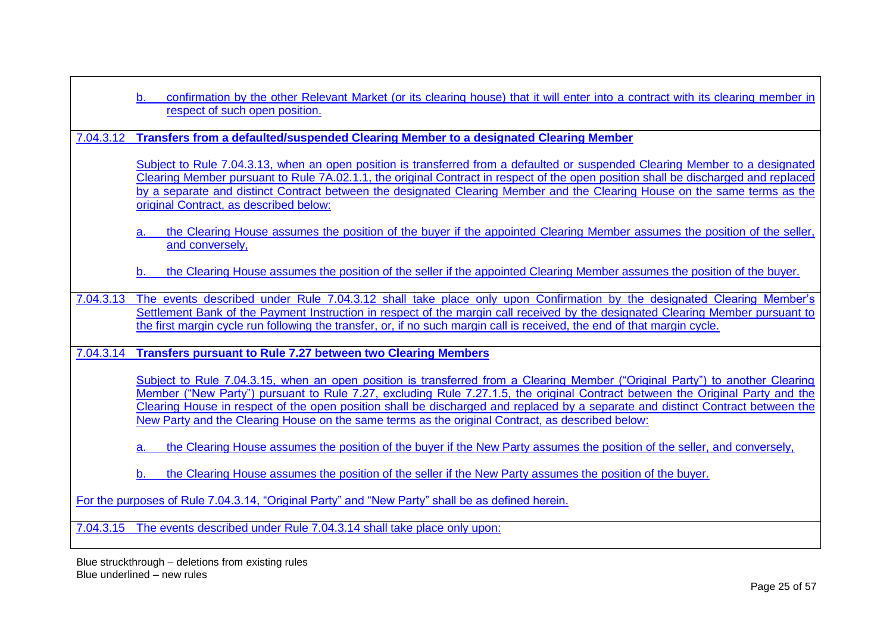|           | confirmation by the other Relevant Market (or its clearing house) that it will enter into a contract with its clearing member in<br>respect of such open position.                                                                                                                                                                                                                                                                                                                                    |
|-----------|-------------------------------------------------------------------------------------------------------------------------------------------------------------------------------------------------------------------------------------------------------------------------------------------------------------------------------------------------------------------------------------------------------------------------------------------------------------------------------------------------------|
| 7.04.3.12 | <b>Transfers from a defaulted/suspended Clearing Member to a designated Clearing Member</b>                                                                                                                                                                                                                                                                                                                                                                                                           |
|           | Subject to Rule 7.04.3.13, when an open position is transferred from a defaulted or suspended Clearing Member to a designated<br>Clearing Member pursuant to Rule 7A.02.1.1, the original Contract in respect of the open position shall be discharged and replaced<br>by a separate and distinct Contract between the designated Clearing Member and the Clearing House on the same terms as the<br>original Contract, as described below:                                                           |
|           | the Clearing House assumes the position of the buyer if the appointed Clearing Member assumes the position of the seller,<br>а.<br>and conversely,                                                                                                                                                                                                                                                                                                                                                    |
|           | the Clearing House assumes the position of the seller if the appointed Clearing Member assumes the position of the buyer.<br>$\mathbf b$ .                                                                                                                                                                                                                                                                                                                                                            |
| 7.04.3.13 | The events described under Rule 7.04.3.12 shall take place only upon Confirmation by the designated Clearing Member's<br>Settlement Bank of the Payment Instruction in respect of the margin call received by the designated Clearing Member pursuant to<br>the first margin cycle run following the transfer, or, if no such margin call is received, the end of that margin cycle.                                                                                                                  |
| 7.04.3.14 | <b>Transfers pursuant to Rule 7.27 between two Clearing Members</b>                                                                                                                                                                                                                                                                                                                                                                                                                                   |
|           | Subject to Rule 7.04.3.15, when an open position is transferred from a Clearing Member ("Original Party") to another Clearing<br>Member ("New Party") pursuant to Rule 7.27, excluding Rule 7.27.1.5, the original Contract between the Original Party and the<br>Clearing House in respect of the open position shall be discharged and replaced by a separate and distinct Contract between the<br>New Party and the Clearing House on the same terms as the original Contract, as described below: |
|           | the Clearing House assumes the position of the buyer if the New Party assumes the position of the seller, and conversely,<br>а.                                                                                                                                                                                                                                                                                                                                                                       |
|           | the Clearing House assumes the position of the seller if the New Party assumes the position of the buyer.<br>b.                                                                                                                                                                                                                                                                                                                                                                                       |
|           | For the purposes of Rule 7.04.3.14, "Original Party" and "New Party" shall be as defined herein.                                                                                                                                                                                                                                                                                                                                                                                                      |
|           | 7.04.3.15 The events described under Rule 7.04.3.14 shall take place only upon:                                                                                                                                                                                                                                                                                                                                                                                                                       |

 $\mathsf{r}$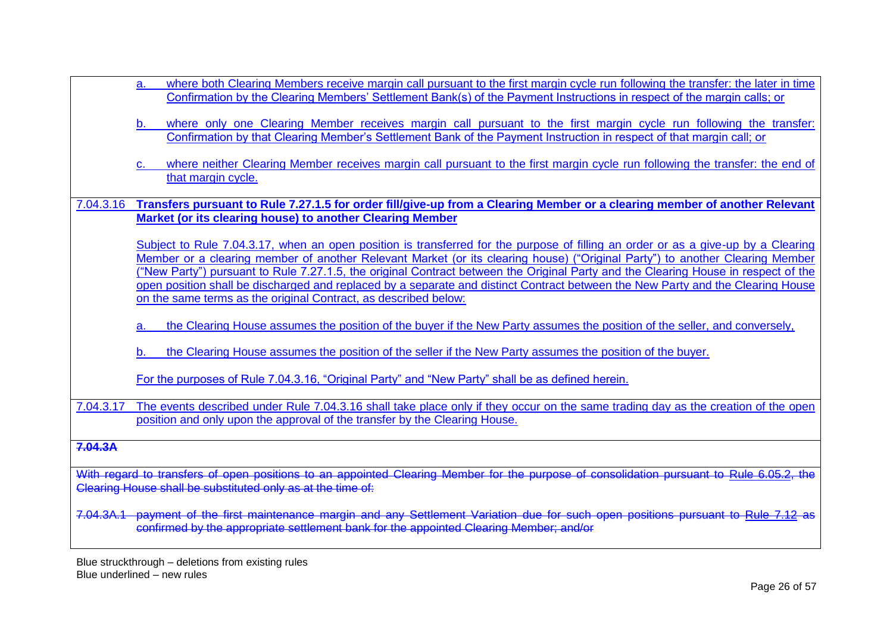a. where both Clearing Members receive margin call pursuant to the first margin cycle run following the transfer: the later in time Confirmation by the Clearing Members' Settlement Bank(s) of the Payment Instructions in respect of the margin calls; or where only one Clearing Member receives margin call pursuant to the first margin cycle run following the transfer: Confirmation by that Clearing Member's Settlement Bank of the Payment Instruction in respect of that margin call; or where neither Clearing Member receives margin call pursuant to the first margin cycle run following the transfer: the end of that margin cycle. 7.04.3.16 **Transfers pursuant to Rule 7.27.1.5 for order fill/give-up from a Clearing Member or a clearing member of another Relevant Market (or its clearing house) to another Clearing Member** Subject to Rule 7.04.3.17, when an open position is transferred for the purpose of filling an order or as a give-up by a Clearing Member or a clearing member of another Relevant Market (or its clearing house) ("Original Party") to another Clearing Member ("New Party") pursuant to Rule 7.27.1.5, the original Contract between the Original Party and the Clearing House in respect of the open position shall be discharged and replaced by a separate and distinct Contract between the New Party and the Clearing House on the same terms as the original Contract, as described below: a. the Clearing House assumes the position of the buyer if the New Party assumes the position of the seller, and conversely, the Clearing House assumes the position of the seller if the New Party assumes the position of the buyer. For the purposes of Rule 7.04.3.16, "Original Party" and "New Party" shall be as defined herein. 7.04.3.17 The events described under Rule 7.04.3.16 shall take place only if they occur on the same trading day as the creation of the open position and only upon the approval of the transfer by the Clearing House. **7.04.3A** With regard to transfers of open positions to an appointed Clearing Member for the purpose of consolidation pursuant to [Rule 6.05.2,](http://rulebook.sgx.com/en/display/display.html?rbid=3271&element_id=2296) the Clearing House shall be substituted only as at the time of: 7.04.3A.1 payment of the first maintenance margin and any Settlement Variation due for such open positions pursuant to [Rule 7.12](http://rulebook.sgx.com/en/display/display.html?rbid=3271&element_id=2411) as confirmed by the appropriate settlement bank for the appointed Clearing Member; and/or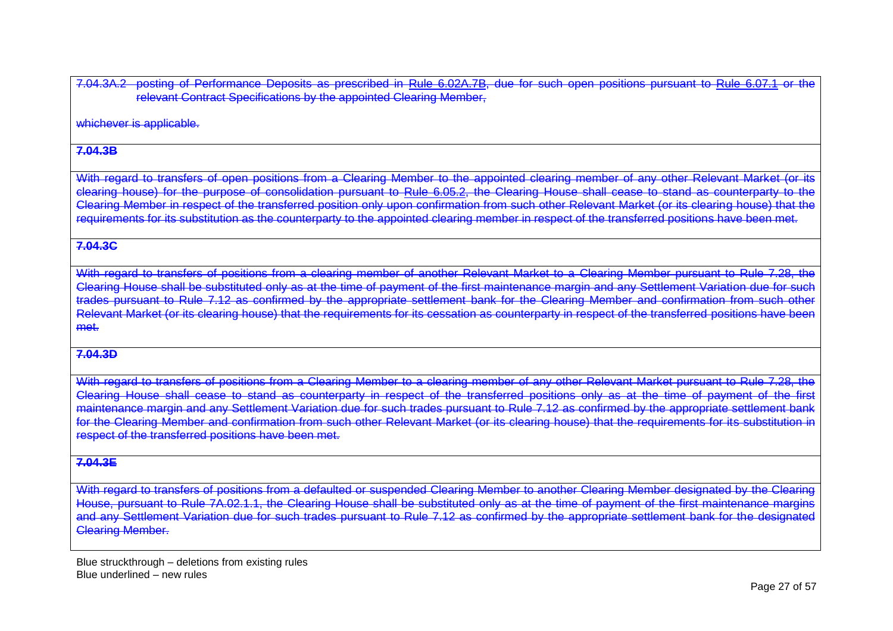7.04.3A.2 posting of Performance Deposits as prescribed in [Rule 6.02A.7B,](http://rulebook.sgx.com/en/display/display.html?rbid=3271&element_id=2278) due for such open positions pursuant to [Rule 6.07.1](http://rulebook.sgx.com/en/display/display.html?rbid=3271&element_id=2301) or the relevant Contract Specifications by the appointed Clearing Member,

whichever is applicable.

### **7.04.3B**

With regard to transfers of open positions from a Clearing Member to the appointed clearing member of any other Relevant Market (or its clearing house) for the purpose of consolidation pursuant to [Rule 6.05.2,](http://rulebook.sgx.com/en/display/display.html?rbid=3271&element_id=2296) the Clearing House shall cease to stand as counterparty Clearing Member in respect of the transferred position only upon confirmation from such other Relevant Market (or its clearing house) that the requirements for its substitution as the counterparty to the appointed clearing member in respect of the transferred positions have been met.

#### **7.04.3C**

With regard to transfers of positions from a clearing member of another Relevant Market to a Clearing Member pursuant to Rule 7.28, the Clearing House shall be substituted only as at the time of payment of the first maintenance margin and any Settlement Variation due for such trades pursuant to Rule 7.12 as confirmed by the appropriate settlement bank for the Clearing Member and confirmation from such other Relevant Market (or its clearing house) that the requirements for its cessation as counterparty in respect of the transferred positions have been met.

#### **7.04.3D**

With regard to transfers of positions from a Clearing Member to a clearing member of any other Relevant Market pursuant to Rule 7.28, the Clearing House shall cease to stand as counterparty in respect of the transferred positions only as at the time of payment of the first maintenance margin and any Settlement Variation due for such trades pursuant to Rule 7.12 as confirmed by the appropriate settlement bank For the Clearing Member and confirmation from such other Relevant Market (or its clearing house) that the requirements for its substitution in respect of the transferred positions have been met.

#### **7.04.3E**

With regard to transfers of positions from a defaulted or suspended Clearing Member to another Clearing Member designated by the Clearing House, pursuant to Rule 7A.02.1.1, the Clearing House shall be substituted only as at the time of payment of the first maintenance and any Settlement Variation due for such trades pursuant to Rule 7.12 as confirmed by the appropriate settlement bank for the designated Clearing Member.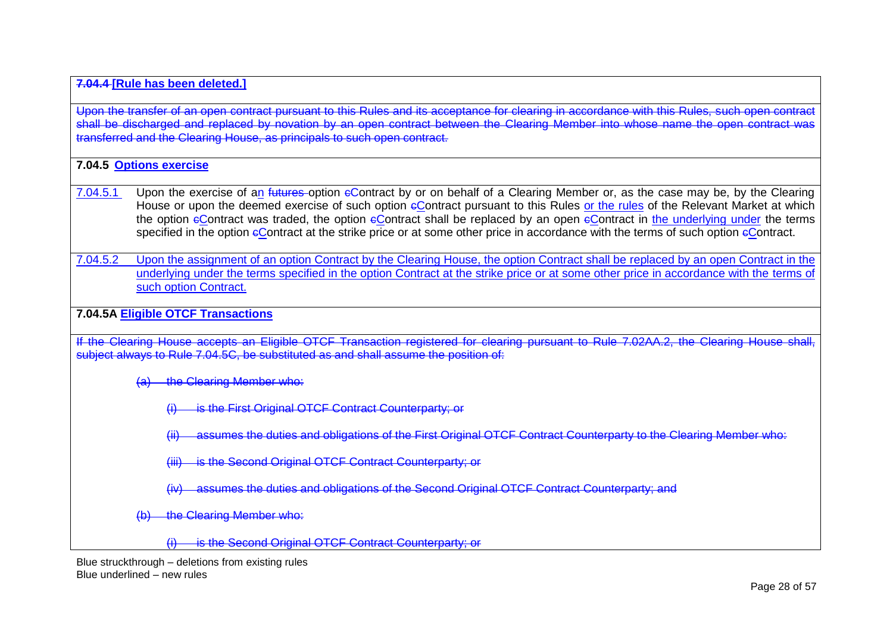#### **7.04.4 [Rule has been deleted.]**

Upon the transfer of an open contract pursuant to this Rules and its acceptance for clearing in accordance with this Rules, such open contract shall be discharged and replaced by novation by an open contract between the Clearing Member into whose name the open contract wa transferred and the Clearing House, as principals to such open contract.

**7.04.5 Options exercise**

- 7.04.5.1 Upon the exercise of an futures-option eContract by or on behalf of a Clearing Member or, as the case may be, by the Clearing House or upon the deemed exercise of such option eContract pursuant to this Rules or the rules of the Relevant Market at which the option  $\epsilon$ Contract was traded, the option  $\epsilon$ Contract shall be replaced by an open  $\epsilon$ Contract in the underlying under the terms specified in the option eContract at the strike price or at some other price in accordance with the terms of such option eContract.
- 7.04.5.2 Upon the assignment of an option Contract by the Clearing House, the option Contract shall be replaced by an open Contract in the underlying under the terms specified in the option Contract at the strike price or at some other price in accordance with the terms of such option Contract.

### **7.04.5A Eligible OTCF Transactions**

If the Clearing House accepts an Eligible OTCF Transaction registered for clearing pursuant to Rule 7.02AA.2, the Clearing House shall, subject always to Rule 7.04.5C, be substituted as and shall assume the position of:

the Clearing Member who:

- is the First Original OTCF Contract Counterparty; or
- assumes the duties and obligations of the First Original OTCF Contract Counterparty to the Clearing Member who:
- (iii) is the Second Original OTCF Contract Counterparty; or
- (iv) assumes the duties and obligations of the Second Original OTCF Contract Counterparty; and
- the Clearing Member who:
	- is the Second Original OTCF Contract Counterparty; or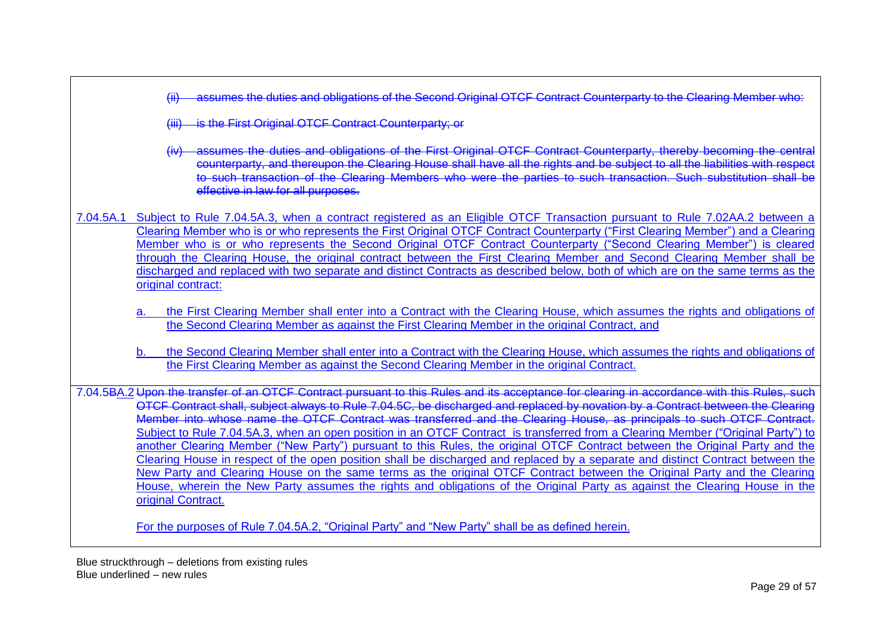(ii) assumes the duties and obligations of the Second Original OTCF Contract Counterparty to the Clearing Member who:

- (iii) is the First Original OTCF Contract Counterparty; or
- (iv) assumes the duties and obligations of the First Original OTCF Contract Counterparty, thereby becoming the central counterparty, and thereupon the Clearing House shall have all the rights and be subject to all the liabilities with respect to such transaction of the Clearing Members who were the parties to such transaction. Such substitution shall be effective in law for all purposes.
- 7.04.5A.1 Subject to Rule 7.04.5A.3, when a contract registered as an Eligible OTCF Transaction pursuant to Rule 7.02AA.2 between a Clearing Member who is or who represents the First Original OTCF Contract Counterparty ("First Clearing Member") and a Clearing Member who is or who represents the Second Original OTCF Contract Counterparty ("Second Clearing Member") is cleared through the Clearing House, the original contract between the First Clearing Member and Second Clearing Member shall be discharged and replaced with two separate and distinct Contracts as described below, both of which are on the same terms as the original contract:
	- a. the First Clearing Member shall enter into a Contract with the Clearing House, which assumes the rights and obligations of the Second Clearing Member as against the First Clearing Member in the original Contract, and
	- the Second Clearing Member shall enter into a Contract with the Clearing House, which assumes the rights and obligations of the First Clearing Member as against the Second Clearing Member in the original Contract.

7.04.5BA.2 Upon the transfer of an OTCF Contract pursuant to this Rules and its acceptance for clearing in accordance with this Rules, such OTCF Contract shall, subject always to Rule 7.04.5C, be discharged and replaced by novation by a Contract between the Clearing Member into whose name the OTCF Contract was transferred and the Clearing House, as principals to such OTCF Contract. Subject to Rule 7.04.5A.3, when an open position in an OTCF Contract is transferred from a Clearing Member ("Original Party") to another Clearing Member ("New Party") pursuant to this Rules, the original OTCF Contract between the Original Party and the Clearing House in respect of the open position shall be discharged and replaced by a separate and distinct Contract between the New Party and Clearing House on the same terms as the original OTCF Contract between the Original Party and the Clearing House, wherein the New Party assumes the rights and obligations of the Original Party as against the Clearing House in the original Contract.

For the purposes of Rule 7.04.5A.2, "Original Party" and "New Party" shall be as defined herein.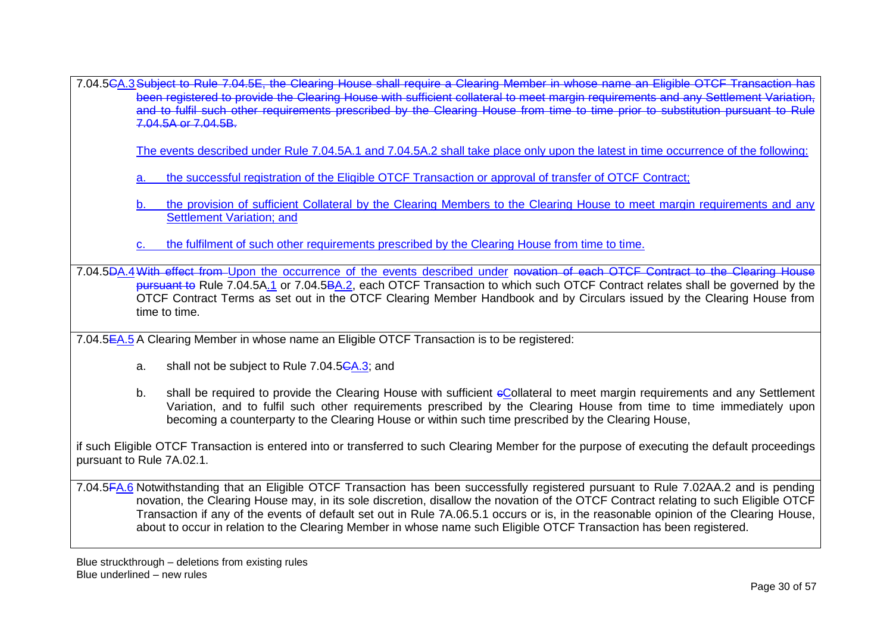7.04.5CA.3Subject to Rule 7.04.5E, the Clearing House shall require a Clearing Member in whose name an Eligible OTCF Transaction has been registered to provide the Clearing House with sufficient collateral to meet margin requirements and any Settlement Variation, and to fulfil such other requirements prescribed by the Clearing House from time to time prior to substitution pursuant to Rule 7.04.5A or 7.04.5B.

The events described under Rule 7.04.5A.1 and 7.04.5A.2 shall take place only upon the latest in time occurrence of the following:

- a. the successful registration of the Eligible OTCF Transaction or approval of transfer of OTCF Contract;
- b. the provision of sufficient Collateral by the Clearing Members to the Clearing House to meet margin requirements and any Settlement Variation; and
- the fulfilment of such other requirements prescribed by the Clearing House from time to time.

7.04.5DA.4With effect from Upon the occurrence of the events described under novation of each OTCF Contract to the Clearing House pursuant to Rule 7.04.5A.1 or 7.04.5BA.2, each OTCF Transaction to which such OTCF Contract relates shall be governed by the OTCF Contract Terms as set out in the OTCF Clearing Member Handbook and by Circulars issued by the Clearing House from time to time.

7.04.5EA.5 A Clearing Member in whose name an Eligible OTCF Transaction is to be registered:

- a. shall not be subject to Rule 7.04.5CA.3; and
- b. shall be required to provide the Clearing House with sufficient eCollateral to meet margin requirements and any Settlement Variation, and to fulfil such other requirements prescribed by the Clearing House from time to time immediately upon becoming a counterparty to the Clearing House or within such time prescribed by the Clearing House,

if such Eligible OTCF Transaction is entered into or transferred to such Clearing Member for the purpose of executing the default proceedings pursuant to Rule 7A.02.1.

7.04.5FA.6 Notwithstanding that an Eligible OTCF Transaction has been successfully registered pursuant to Rule 7.02AA.2 and is pending novation, the Clearing House may, in its sole discretion, disallow the novation of the OTCF Contract relating to such Eligible OTCF Transaction if any of the events of default set out in Rule 7A.06.5.1 occurs or is, in the reasonable opinion of the Clearing House, about to occur in relation to the Clearing Member in whose name such Eligible OTCF Transaction has been registered.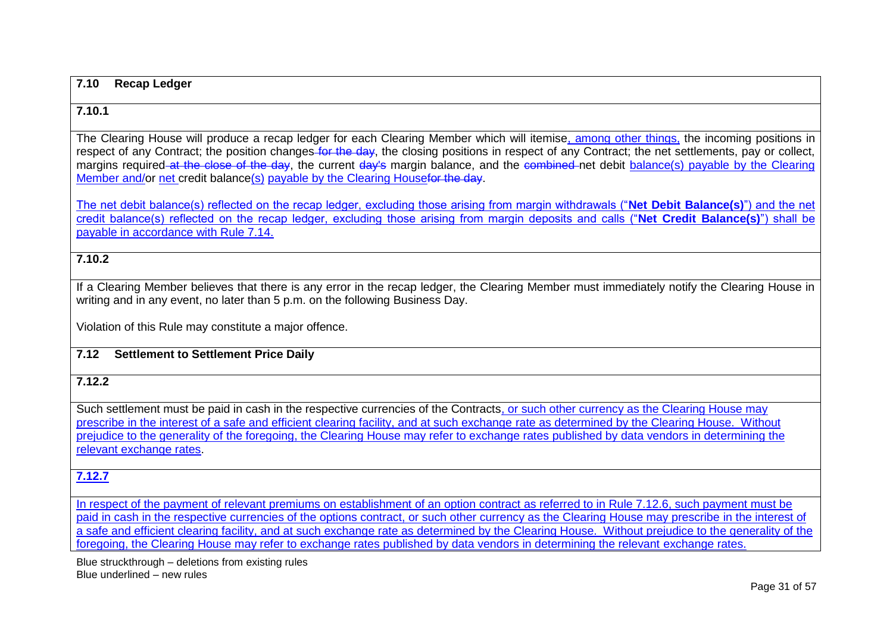#### **7.10 Recap Ledger**

#### **7.10.1**

The Clearing House will produce a recap ledger for each Clearing Member which will itemise, among other things, the incoming positions in respect of any Contract; the position changes for the day, the closing positions in respect of any Contract; the net settlements, pay or collect, margins required at the close of the day, the current day's margin balance, and the combined net debit balance(s) payable by the Clearing Member and/or net credit balance(s) payable by the Clearing Housefor the day.

The net debit balance(s) reflected on the recap ledger, excluding those arising from margin withdrawals ("**Net Debit Balance(s)**") and the net credit balance(s) reflected on the recap ledger, excluding those arising from margin deposits and calls ("**Net Credit Balance(s)**") shall be payable in accordance with Rule 7.14.

#### **7.10.2**

If a Clearing Member believes that there is any error in the recap ledger, the Clearing Member must immediately notify the Clearing House in writing and in any event, no later than 5 p.m. on the following Business Day.

Violation of this Rule may constitute a major offence.

#### **7.12 Settlement to Settlement Price Daily**

#### **7.12.2**

Such settlement must be paid in cash in the respective currencies of the Contracts, or such other currency as the Clearing House may prescribe in the interest of a safe and efficient clearing facility, and at such exchange rate as determined by the Clearing House. Without prejudice to the generality of the foregoing, the Clearing House may refer to exchange rates published by data vendors in determining the relevant exchange rates.

# **7.12.7**

In respect of the payment of relevant premiums on establishment of an option contract as referred to in Rule 7.12.6, such payment must be paid in cash in the respective currencies of the options contract, or such other currency as the Clearing House may prescribe in the interest of a safe and efficient clearing facility, and at such exchange rate as determined by the Clearing House. Without prejudice to the generality of the foregoing, the Clearing House may refer to exchange rates published by data vendors in determining the relevant exchange rates.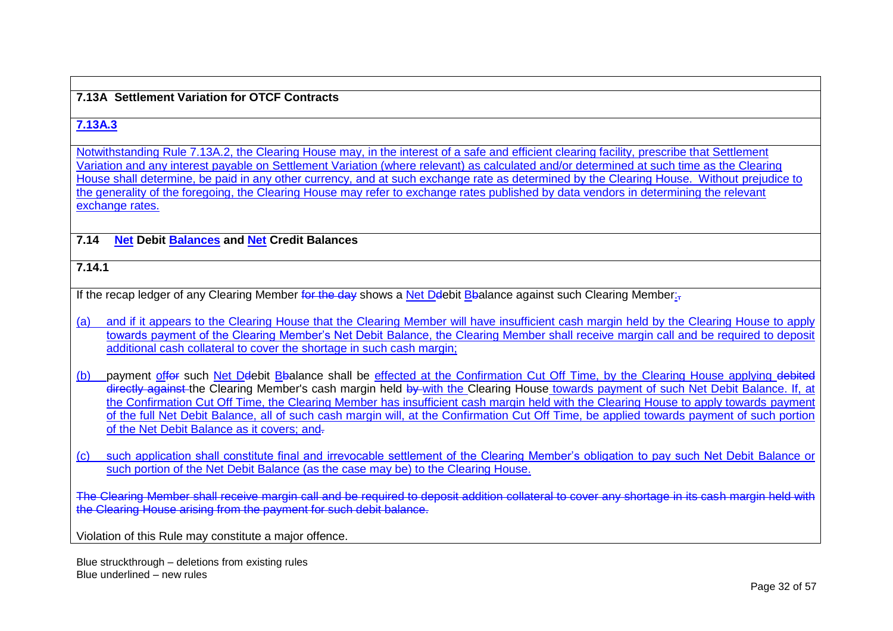#### **7.13A Settlement Variation for OTCF Contracts**

## **7.13A.3**

Notwithstanding Rule 7.13A.2, the Clearing House may, in the interest of a safe and efficient clearing facility, prescribe that Settlement Variation and any interest payable on Settlement Variation (where relevant) as calculated and/or determined at such time as the Clearing House shall determine, be paid in any other currency, and at such exchange rate as determined by the Clearing House. Without prejudice to the generality of the foregoing, the Clearing House may refer to exchange rates published by data vendors in determining the relevant exchange rates.

### **7.14 Net Debit Balances and Net Credit Balances**

**7.14.1**

If the recap ledger of any Clearing Member for the day shows a Net Ddebit Bbalance against such Clearing Member:

- (a) and if it appears to the Clearing House that the Clearing Member will have insufficient cash margin held by the Clearing House to apply towards payment of the Clearing Member's Net Debit Balance, the Clearing Member shall receive margin call and be required to deposit additional cash collateral to cover the shortage in such cash margin;
- (b) payment offer such Net Delebit Bbalance shall be effected at the Confirmation Cut Off Time, by the Clearing House applying debited directly against the Clearing Member's cash margin held by with the Clearing House towards payment of such Net Debit Balance. If, at the Confirmation Cut Off Time, the Clearing Member has insufficient cash margin held with the Clearing House to apply towards payment of the full Net Debit Balance, all of such cash margin will, at the Confirmation Cut Off Time, be applied towards payment of such portion of the Net Debit Balance as it covers; and-
- (c) such application shall constitute final and irrevocable settlement of the Clearing Member's obligation to pay such Net Debit Balance or such portion of the Net Debit Balance (as the case may be) to the Clearing House.

The Clearing Member shall receive margin call and be required to deposit addition collateral to cover any shortage in its cash margin held with the Clearing House arising from the payment for such debit balance.

Violation of this Rule may constitute a major offence.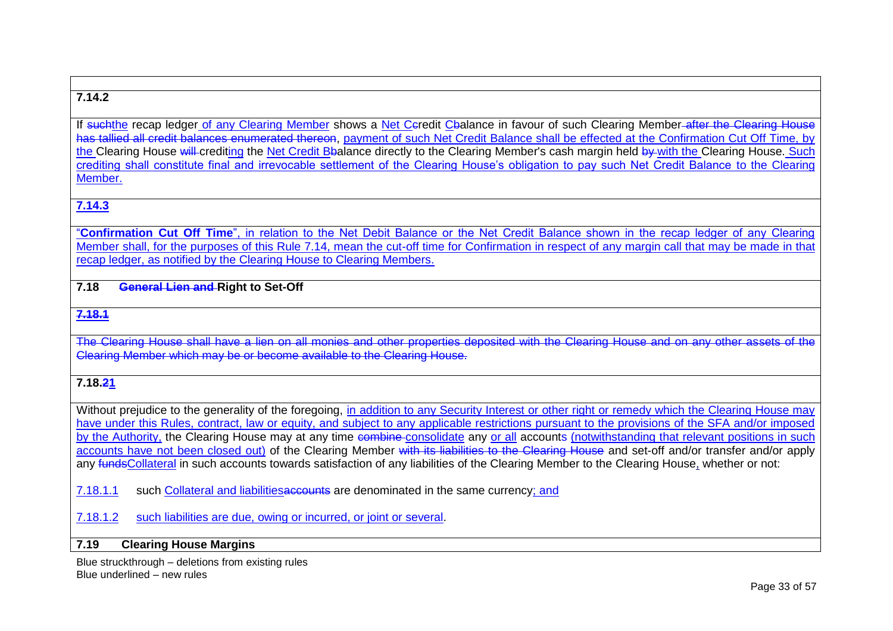# **7.14.2**

If suchthe recap ledger of any Clearing Member shows a Net Ceredit Cbalance in favour of such Clearing Member-after the Clearing House has tallied all credit balances enumerated thereon, payment of such Net Credit Balance shall be effected at the Confirmation Cut Off Time, by the Clearing House will crediting the Net Credit Bbalance directly to the Clearing Member's cash margin held by with the Clearing House. Such crediting shall constitute final and irrevocable settlement of the Clearing House's obligation to pay such Net Credit Balance to the Clearing Member.

# **7.14.3**

"**Confirmation Cut Off Time**", in relation to the Net Debit Balance or the Net Credit Balance shown in the recap ledger of any Clearing Member shall, for the purposes of this Rule 7.14, mean the cut-off time for Confirmation in respect of any margin call that may be made in that recap ledger, as notified by the Clearing House to Clearing Members.

## **7.18 General Lien and Right to Set-Off**

**7.18.1**

The Clearing House shall have a lien on all monies and other properties deposited with the Clearing House and on any other assets of the Clearing Member which may be or become available to the Clearing House.

# **7.18.21**

Without prejudice to the generality of the foregoing, in addition to any Security Interest or other right or remedy which the Clearing House may have under this Rules, contract, law or equity, and subject to any applicable restrictions pursuant to the provisions of the SFA and/or imposed by the Authority, the Clearing House may at any time combine consolidate any or all accounts (notwithstanding that relevant positions in such accounts have not been closed out) of the Clearing Member with its liabilities to the Clearing House and set-off and/or transfer and/or apply any fundsCollateral in such accounts towards satisfaction of any liabilities of the Clearing Member to the Clearing House, whether or not:

7.18.1.1 such Collateral and liabilities accounts are denominated in the same currency; and

7.18.1.2 such liabilities are due, owing or incurred, or joint or several.

#### **7.19 Clearing House Margins**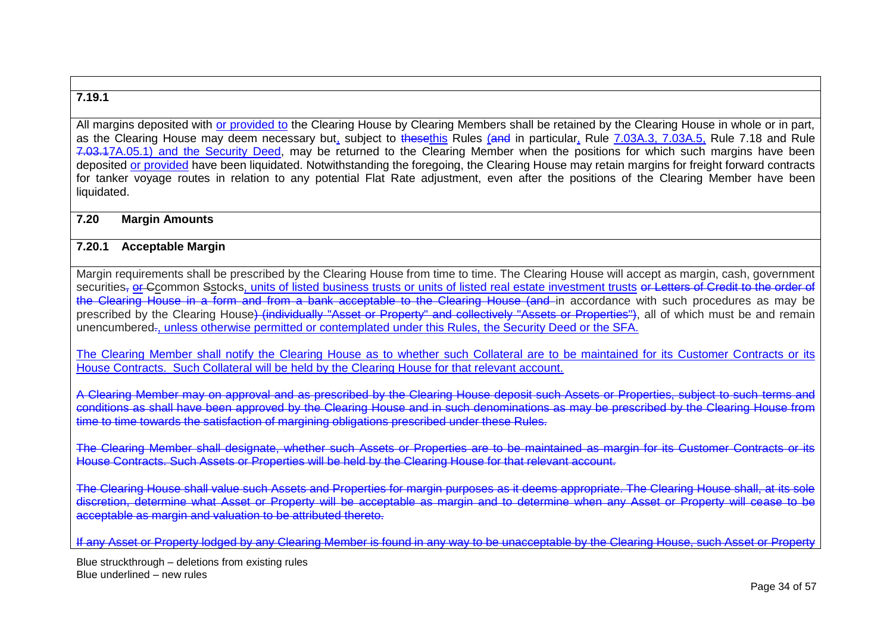### **7.19.1**

All margins deposited with or provided to the Clearing House by Clearing Members shall be retained by the Clearing House in whole or in part. as the Clearing House may deem necessary but, subject to thesethis Rules (and in particular, Rule 7.03A.3, 7.03A.5, Rule 7.18 and Rule 7.03.17A.05.1) and the Security Deed, may be returned to the Clearing Member when the positions for which such margins have been deposited or provided have been liquidated. Notwithstanding the foregoing, the Clearing House may retain margins for freight forward contracts for tanker voyage routes in relation to any potential Flat Rate adjustment, even after the positions of the Clearing Member have been liquidated.

#### **7.20 Margin Amounts**

### **7.20.1 Acceptable Margin**

Margin requirements shall be prescribed by the Clearing House from time to time. The Clearing House will accept as margin, cash, government securities, or Ccommon Sstocks, units of listed business trusts or units of listed real estate investment trusts or Letters of Credit to the order of the Clearing House in a form and from a bank acceptable to the Clearing House (and in accordance with such procedures as may be prescribed by the Clearing House) (individually "Asset or Property" and collectively "Assets or Properties"), all of which must be and remain unencumbered., unless otherwise permitted or contemplated under this Rules, the Security Deed or the SFA.

The Clearing Member shall notify the Clearing House as to whether such Collateral are to be maintained for its Customer Contracts or its House Contracts. Such Collateral will be held by the Clearing House for that relevant account.

A Clearing Member may on approval and as prescribed by the Clearing House deposit such Assets or Properties, subject to such terms and conditions as shall have been approved by the Clearing House and in such denominations as may be prescribed by the Clearing House from time to time towards the satisfaction of margining obligations prescribed under these Rules.

The Clearing Member shall designate, whether such Assets or Properties are to be maintained as margin for its Customer Contracts or its House Contracts. Such Assets or Properties will be held by the Clearing House for that relevant account.

The Clearing House shall value such Assets and Properties for margin purposes as it deems appropriate. The Clearing House shall, at its sole discretion, determine what Asset or Property will be acceptable as margin and to determine when any Asset or Property will cease to be acceptable as margin and valuation to be attributed thereto.

If any Asset or Property lodged by any Clearing Member is found in any way to be unacceptable by the Clearing House, such Asset or Property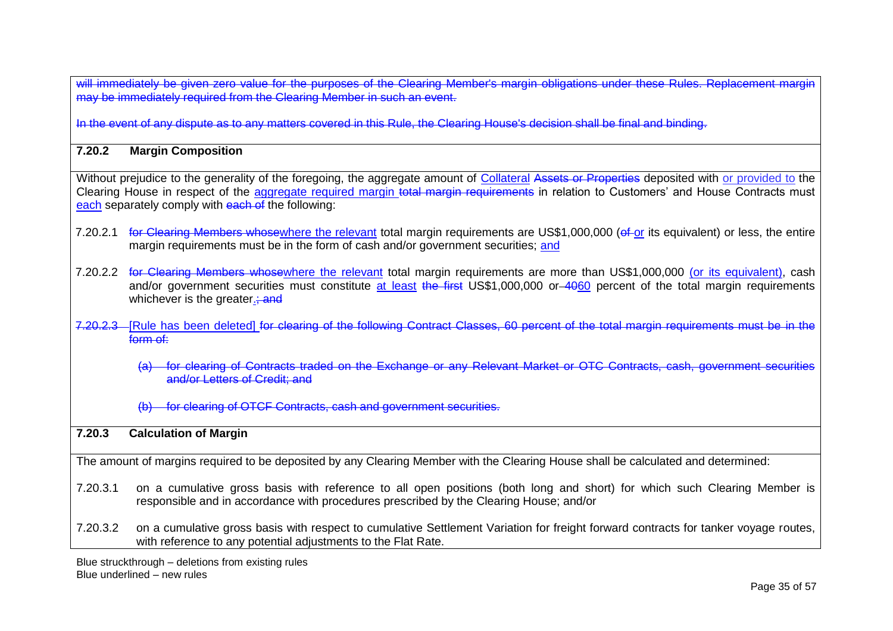will immediately be given zero value for the purposes of the Clearing Member's margin obligations under these Rules. Replacement margin may be immediately set given zero reasoned from the purposed of the event.

In the event of any dispute as to any matters covered in this Rule, the Clearing House's decision shall be final and binding.

### **7.20.2 Margin Composition**

Without prejudice to the generality of the foregoing, the aggregate amount of Collateral Assets or Properties deposited with or provided to the Clearing House in respect of the aggregate required margin total margin requirements in relation to Customers' and House Contracts must each separately comply with each of the following:

- 7.20.2.1 for Clearing Members whosewhere the relevant total margin requirements are US\$1,000,000 (of or its equivalent) or less, the entire margin requirements must be in the form of cash and/or government securities; and
- 7.20.2.2 for Clearing Members whosewhere the relevant total margin requirements are more than US\$1,000,000 (or its equivalent), cash and/or government securities must constitute at least the first US\$1,000,000 or 4060 percent of the total margin requirements whichever is the greater.; and
- 7.20.2.3 [Rule has been deleted] for clearing of the following Contract Classes, 60 percent of the total margin requirements must be in the form of:
	- (a) for clearing of Contracts traded on the Exchange or any Relevant Market or OTC Contracts, cash, government securities and/or Letters of Credit; and
	- (b) for clearing of OTCF Contracts, cash and government securities.

### **7.20.3 Calculation of Margin**

The amount of margins required to be deposited by any Clearing Member with the Clearing House shall be calculated and determined:

- 7.20.3.1 on a cumulative gross basis with reference to all open positions (both long and short) for which such Clearing Member is responsible and in accordance with procedures prescribed by the Clearing House; and/or
- 7.20.3.2 on a cumulative gross basis with respect to cumulative Settlement Variation for freight forward contracts for tanker voyage routes, with reference to any potential adjustments to the Flat Rate.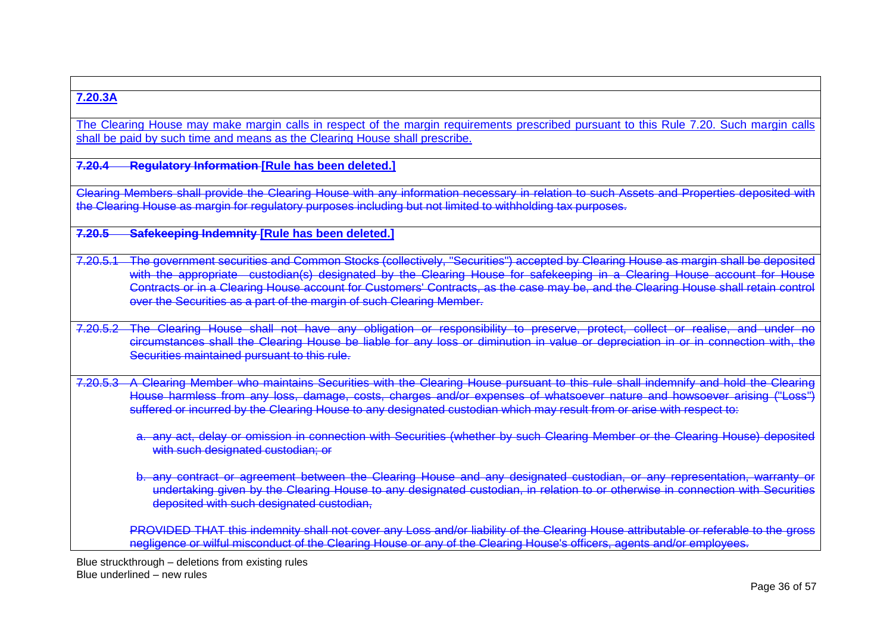# **7.20.3A**

The Clearing House may make margin calls in respect of the margin requirements prescribed pursuant to this Rule 7.20. Such margin calls shall be paid by such time and means as the Clearing House shall prescribe.

**7.20.4 Regulatory Information [Rule has been deleted.]**

Clearing Members shall provide the Clearing House with any information necessary in relation to such Assets and Properties deposited with the Clearing House as margin for regulatory purposes including but not limited to withholding tax purposes.

**7.20.5 Safekeeping Indemnity [Rule has been deleted.]**

7.20.5.1 The government securities and Common Stocks (collectively, "Securities") accepted by Clearing House as margin shall be deposited with the appropriate custodian(s) designated by the Clearing House for safekeeping in a Clearing House account for House Contracts or in a Clearing House account for Customers' Contracts, as the case may be, and the Clearing House shall retain control over the Securities as a part of the margin of such Clearing Member.

7.20.5.2 The Clearing House shall not have any obligation or responsibility to preserve, protect, collect or realise, and under no circumstances shall the Clearing House be liable for any loss or diminution in value or depreciation in or in connection with, the Securities maintained pursuant to this rule.

7.20.5.3 A Clearing Member who maintains Securities with the Clearing House pursuant to this rule shall indemnify and hold the Clearing House harmless from any loss, damage, costs, charges and/or expenses of whatsoever nature and howsoever arising ("Loss") suffered or incurred by the Clearing House to any designated custodian which may result from or arise with respect to:

a. any act, delay or omission in connection with Securities (whether by such Clearing Member or the Clearing House) deposited with such designated custodian; or

b. any contract or agreement between the Clearing House and any designated custodian, or any representation, warranty or undertaking given by the Clearing House to any designated custodian, in relation to or otherwise in connection with Securities deposited with such designated custodian.

PROVIDED THAT this indemnity shall not cover any Loss and/or liability of the Clearing House attributable or referable to the gross negligence or wilful misconduct of the Clearing House or any of the Clearing House's officers, agents and/or employees.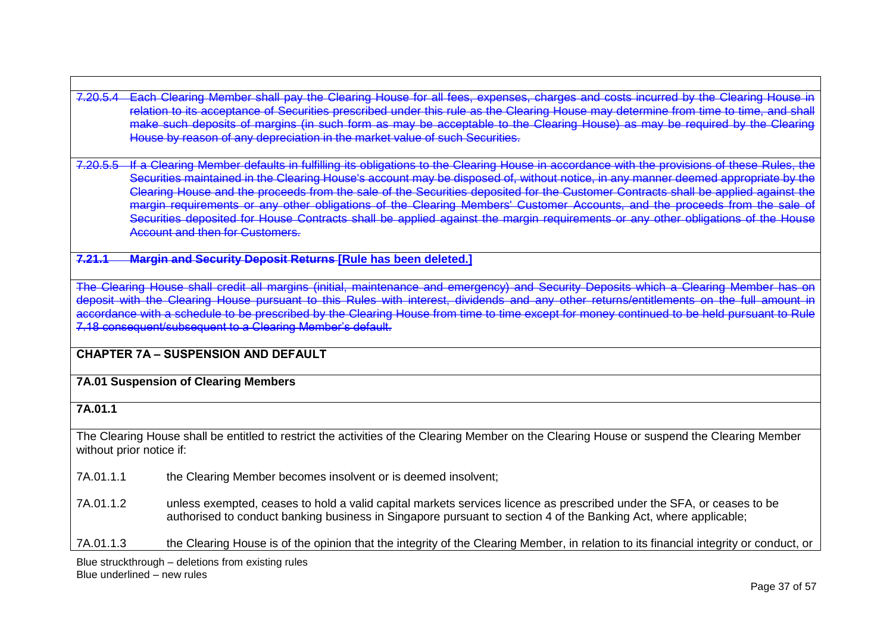7.20.5.4 Each Clearing Member shall pay the Clearing House for all fees, expenses, charges and costs incurred by the Clearing House in relation to its acceptance of Securities prescribed under this rule as the Clearing House may determine from time to time, and shall make such deposits of margins (in such form as may be acceptable to the Clearing House) as may be required by the Clea House by reason of any depreciation in the market value of such Securities.

7.20.5.5 If a Clearing Member defaults in fulfilling its obligations to the Clearing House in accordance with the provisions of these Rule Securities maintained in the Clearing House's account may be disposed of, without notice, in any manner deemed appropriate by the Clearing House and the proceeds from the sale of the Securities deposited for the Customer Contracts shall be applied against the margin requirements or any other obligations of the Clearing Members' Customer Accounts, and the proceeds from the sale of Securities deposited for House Contracts shall be applied against the margin requirements or any other obligations of the House **Account and then for Customers.** 

**7.21.1 Margin and Security Deposit Returns [Rule has been deleted.]**

The Clearing House shall credit all margins (initial, maintenance and emergency) and Security Deposits which a Clearing Member has on deposit with the Clearing House pursuant to this Rules with interest, dividends and any other returns/entitlements on the full amount in accordance with a schedule to be prescribed by the Clearing House from time to time except for money continued to be held pursuant to Rule 7.18 consequent/subsequent to a Clearing Member's default.

**CHAPTER 7A – SUSPENSION AND DEFAULT**

**7A.01 Suspension of Clearing Members**

**7A.01.1**

The Clearing House shall be entitled to restrict the activities of the Clearing Member on the Clearing House or suspend the Clearing Member without prior notice if:

7A.01.1.1 the Clearing Member becomes insolvent or is deemed insolvent;

7A.01.1.2 unless exempted, ceases to hold a valid capital markets services licence as prescribed under the SFA, or ceases to be authorised to conduct banking business in Singapore pursuant to section 4 of the Banking Act, where applicable;

7A.01.1.3 the Clearing House is of the opinion that the integrity of the Clearing Member, in relation to its financial integrity or conduct, or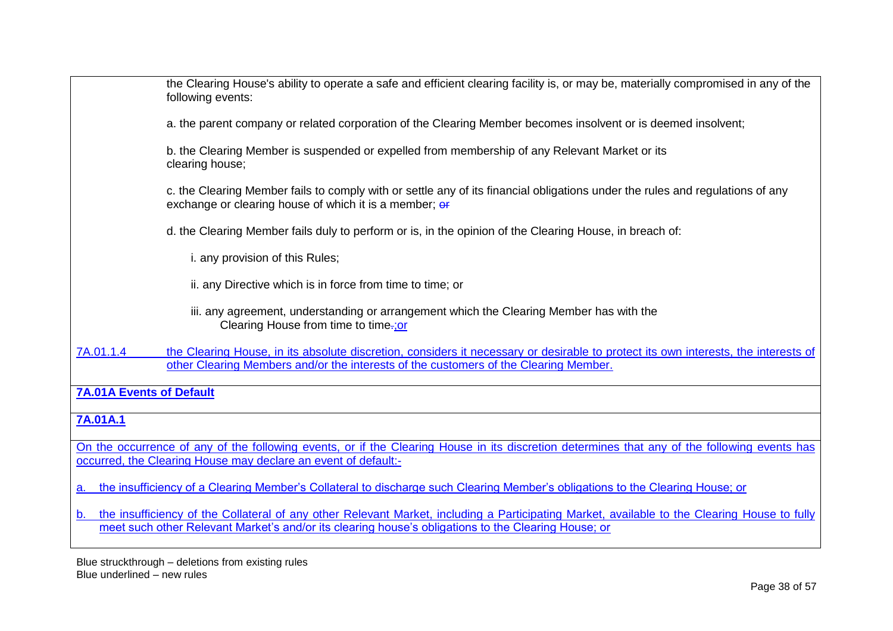| the Clearing House's ability to operate a safe and efficient clearing facility is, or may be, materially compromised in any of the<br>following events:                                                                                 |
|-----------------------------------------------------------------------------------------------------------------------------------------------------------------------------------------------------------------------------------------|
| a. the parent company or related corporation of the Clearing Member becomes insolvent or is deemed insolvent;                                                                                                                           |
| b. the Clearing Member is suspended or expelled from membership of any Relevant Market or its<br>clearing house;                                                                                                                        |
| c. the Clearing Member fails to comply with or settle any of its financial obligations under the rules and regulations of any<br>exchange or clearing house of which it is a member; or                                                 |
| d. the Clearing Member fails duly to perform or is, in the opinion of the Clearing House, in breach of:                                                                                                                                 |
| i. any provision of this Rules;                                                                                                                                                                                                         |
| ii. any Directive which is in force from time to time; or                                                                                                                                                                               |
| iii. any agreement, understanding or arrangement which the Clearing Member has with the<br>Clearing House from time to time-; or                                                                                                        |
| 7A.01.1.4<br>the Clearing House, in its absolute discretion, considers it necessary or desirable to protect its own interests, the interests of<br>other Clearing Members and/or the interests of the customers of the Clearing Member. |
| <b>7A.01A Events of Default</b>                                                                                                                                                                                                         |
| 7A.01A.1                                                                                                                                                                                                                                |
| On the occurrence of any of the following events, or if the Clearing House in its discretion determines that any of the following events has<br>occurred, the Clearing House may declare an event of default:-                          |
| the insufficiency of a Clearing Member's Collateral to discharge such Clearing Member's obligations to the Clearing House; or<br>a.                                                                                                     |
| b. the insufficiency of the Collateral of any other Relevant Market, including a Participating Market, available to the Clearing House to fully                                                                                         |

meet such other Relevant Market's and/or its clearing house's obligations to the Clearing House; or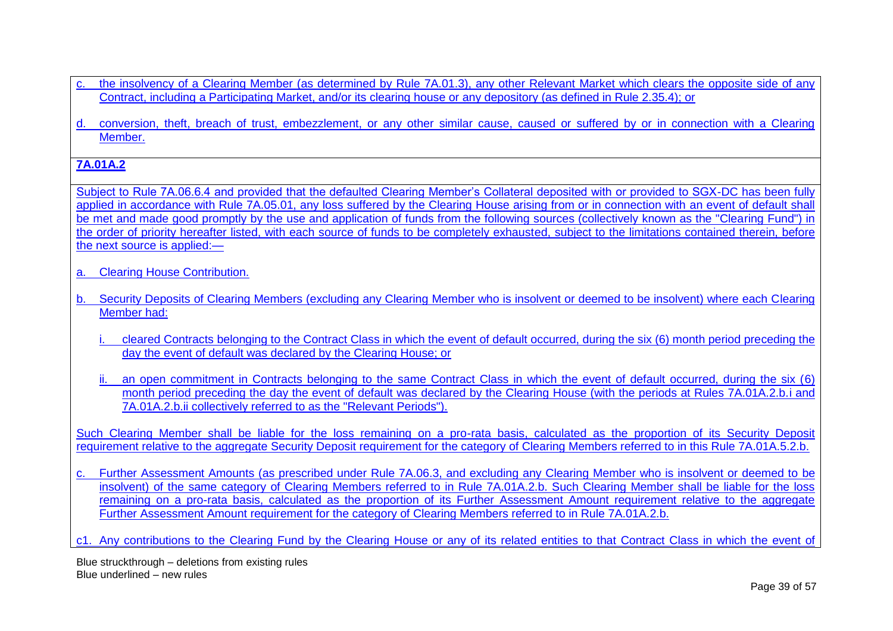- the insolvency of a Clearing Member (as determined by Rule 7A.01.3), any other Relevant Market which clears the opposite side of any Contract, including a Participating Market, and/or its clearing house or any depository (as defined in Rule 2.35.4); or
- d. conversion, theft, breach of trust, embezzlement, or any other similar cause, caused or suffered by or in connection with a Clearing Member.

# **7A.01A.2**

Subject to Rule 7A.06.6.4 and provided that the defaulted Clearing Member's Collateral deposited with or provided to SGX-DC has been fully applied in accordance with Rule 7A.05.01, any loss suffered by the Clearing House arising from or in connection with an event of default shall be met and made good promptly by the use and application of funds from the following sources (collectively known as the "Clearing Fund") in the order of priority hereafter listed, with each source of funds to be completely exhausted, subject to the limitations contained therein, before the next source is applied:—

- a. Clearing House Contribution.
- b. Security Deposits of Clearing Members (excluding any Clearing Member who is insolvent or deemed to be insolvent) where each Clearing Member had:
	- i. cleared Contracts belonging to the Contract Class in which the event of default occurred, during the six (6) month period preceding the day the event of default was declared by the Clearing House; or
	- ii. an open commitment in Contracts belonging to the same Contract Class in which the event of default occurred, during the six (6) month period preceding the day the event of default was declared by the Clearing House (with the periods at Rules 7A.01A.2.b.i and 7A.01A.2.b.ii collectively referred to as the "Relevant Periods").

Such Clearing Member shall be liable for the loss remaining on a pro-rata basis, calculated as the proportion of its Security Deposit requirement relative to the aggregate Security Deposit requirement for the category of Clearing Members referred to in this Rule 7A.01A.5.2.b.

c. Further Assessment Amounts (as prescribed under Rule 7A.06.3, and excluding any Clearing Member who is insolvent or deemed to be insolvent) of the same category of Clearing Members referred to in Rule 7A.01A.2.b. Such Clearing Member shall be liable for the loss remaining on a pro-rata basis, calculated as the proportion of its Further Assessment Amount requirement relative to the aggregate Further Assessment Amount requirement for the category of Clearing Members referred to in Rule 7A.01A.2.b.

c1. Any contributions to the Clearing Fund by the Clearing House or any of its related entities to that Contract Class in which the event of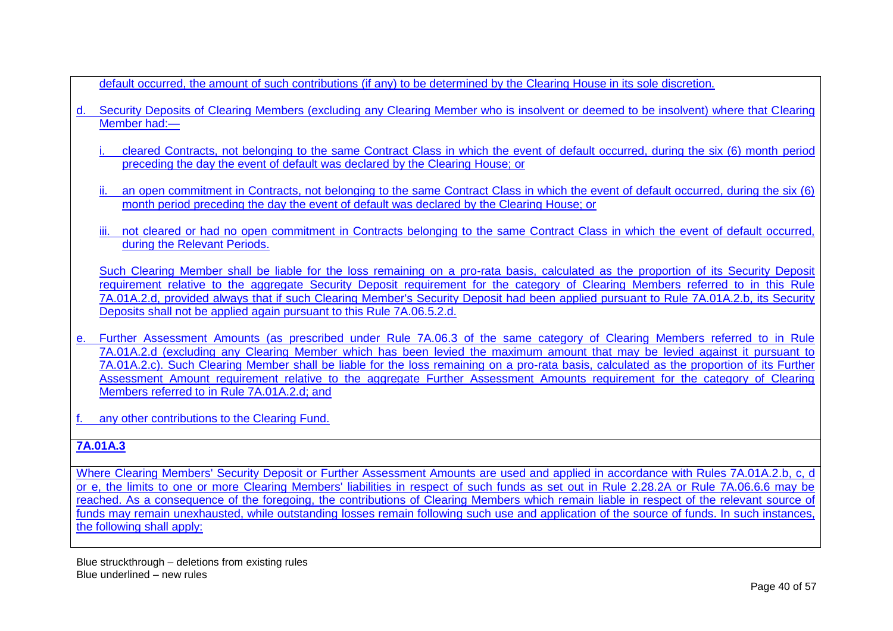default occurred, the amount of such contributions (if any) to be determined by the Clearing House in its sole discretion.

- d. Security Deposits of Clearing Members (excluding any Clearing Member who is insolvent or deemed to be insolvent) where that Clearing Member had:
	- i. cleared Contracts, not belonging to the same Contract Class in which the event of default occurred, during the six (6) month period preceding the day the event of default was declared by the Clearing House; or
	- ii. an open commitment in Contracts, not belonging to the same Contract Class in which the event of default occurred, during the six (6) month period preceding the day the event of default was declared by the Clearing House; or
	- iii. not cleared or had no open commitment in Contracts belonging to the same Contract Class in which the event of default occurred. during the Relevant Periods.

Such Clearing Member shall be liable for the loss remaining on a pro-rata basis, calculated as the proportion of its Security Deposit requirement relative to the aggregate Security Deposit requirement for the category of Clearing Members referred to in this Rule 7A.01A.2.d, provided always that if such Clearing Member's Security Deposit had been applied pursuant to Rule 7A.01A.2.b, its Security Deposits shall not be applied again pursuant to this Rule 7A.06.5.2.d.

e. Further Assessment Amounts (as prescribed under Rule 7A.06.3 of the same category of Clearing Members referred to in Rule 7A.01A.2.d (excluding any Clearing Member which has been levied the maximum amount that may be levied against it pursuant to 7A.01A.2.c). Such Clearing Member shall be liable for the loss remaining on a pro-rata basis, calculated as the proportion of its Further Assessment Amount requirement relative to the aggregate Further Assessment Amounts requirement for the category of Clearing Members referred to in Rule 7A.01A.2.d; and

any other contributions to the Clearing Fund.

# **7A.01A.3**

Where Clearing Members' Security Deposit or Further Assessment Amounts are used and applied in accordance with Rules 7A.01A.2.b, c, d or e, the limits to one or more Clearing Members' liabilities in respect of such funds as set out in Rule 2.28.2A or Rule 7A.06.6.6 may be reached. As a consequence of the foregoing, the contributions of Clearing Members which remain liable in respect of the relevant source of funds may remain unexhausted, while outstanding losses remain following such use and application of the source of funds. In such instances, the following shall apply: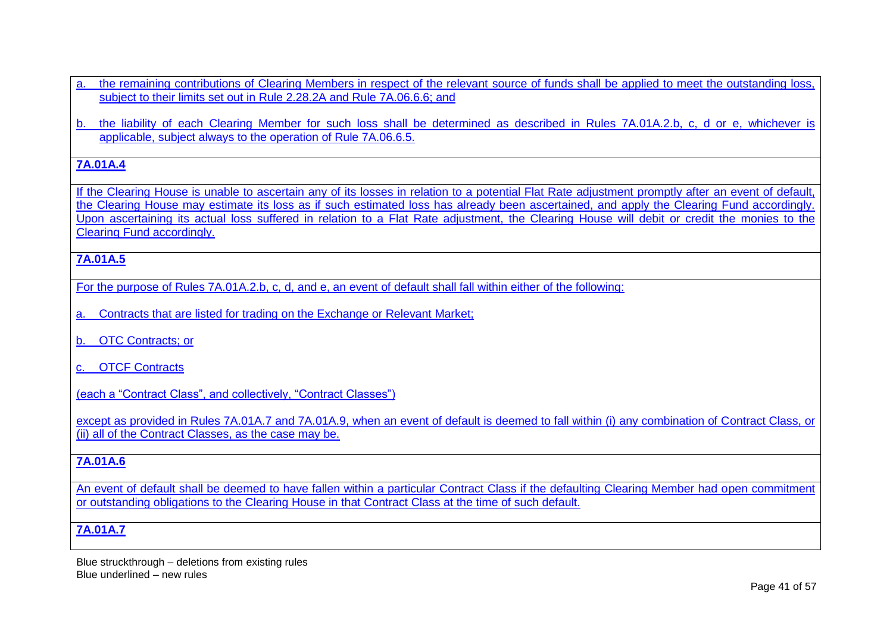a. the remaining contributions of Clearing Members in respect of the relevant source of funds shall be applied to meet the outstanding loss, subject to their limits set out in Rule 2.28.2A and Rule 7A.06.6.6; and

b. the liability of each Clearing Member for such loss shall be determined as described in Rules 7A.01A.2.b, c, d or e, whichever is applicable, subject always to the operation of Rule 7A.06.6.5.

# **7A.01A.4**

If the Clearing House is unable to ascertain any of its losses in relation to a potential Flat Rate adjustment promptly after an event of default, the Clearing House may estimate its loss as if such estimated loss has already been ascertained, and apply the Clearing Fund accordingly. Upon ascertaining its actual loss suffered in relation to a Flat Rate adjustment, the Clearing House will debit or credit the monies to the Clearing Fund accordingly.

# **7A.01A.5**

For the purpose of Rules 7A.01A.2.b, c, d, and e, an event of default shall fall within either of the following:

- a. Contracts that are listed for trading on the Exchange or Relevant Market;
- b. OTC Contracts; or
- c. OTCF Contracts

(each a "Contract Class", and collectively, "Contract Classes")

except as provided in Rules 7A.01A.7 and 7A.01A.9, when an event of default is deemed to fall within (i) any combination of Contract Class, or (ii) all of the Contract Classes, as the case may be.

# **7A.01A.6**

An event of default shall be deemed to have fallen within a particular Contract Class if the defaulting Clearing Member had open commitment or outstanding obligations to the Clearing House in that Contract Class at the time of such default.

# **7A.01A.7**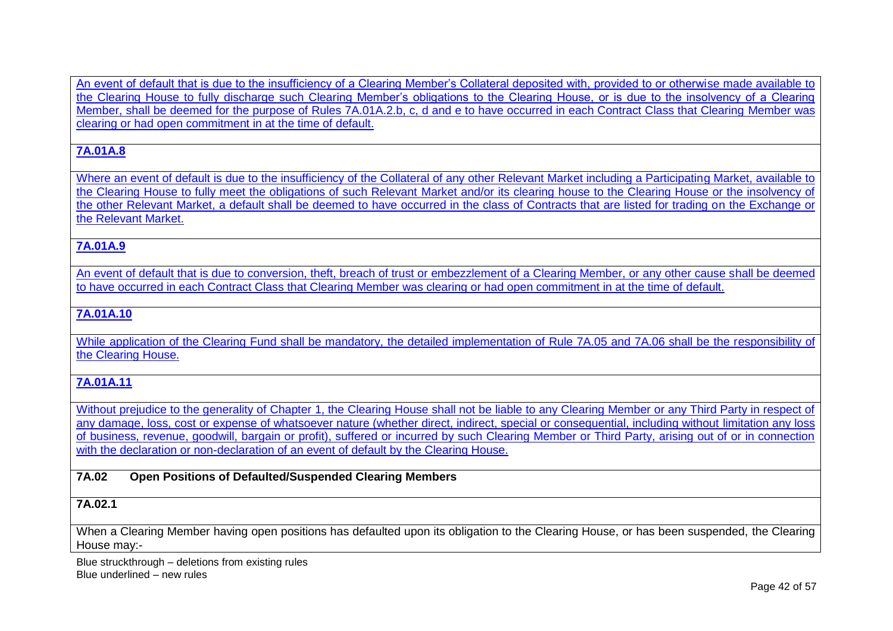An event of default that is due to the insufficiency of a Clearing Member's Collateral deposited with, provided to or otherwise made available to the Clearing House to fully discharge such Clearing Member's obligations to the Clearing House, or is due to the insolvency of a Clearing Member, shall be deemed for the purpose of Rules 7A.01A.2.b, c, d and e to have occurred in each Contract Class that Clearing Member was clearing or had open commitment in at the time of default.

# **7A.01A.8**

Where an event of default is due to the insufficiency of the Collateral of any other Relevant Market including a Participating Market, available to the Clearing House to fully meet the obligations of such Relevant Market and/or its clearing house to the Clearing House or the insolvency of the other Relevant Market, a default shall be deemed to have occurred in the class of Contracts that are listed for trading on the Exchange or the Relevant Market.

# **7A.01A.9**

An event of default that is due to conversion, theft, breach of trust or embezzlement of a Clearing Member, or any other cause shall be deemed to have occurred in each Contract Class that Clearing Member was clearing or had open commitment in at the time of default.

# **7A.01A.10**

While application of the Clearing Fund shall be mandatory, the detailed implementation of Rule 7A.05 and 7A.06 shall be the responsibility of the Clearing House.

## **7A.01A.11**

Without prejudice to the generality of Chapter 1, the Clearing House shall not be liable to any Clearing Member or any Third Party in respect of any damage, loss, cost or expense of whatsoever nature (whether direct, indirect, special or consequential, including without limitation any loss of business, revenue, goodwill, bargain or profit), suffered or incurred by such Clearing Member or Third Party, arising out of or in connection with the declaration or non-declaration of an event of default by the Clearing House.

### **7A.02 Open Positions of Defaulted/Suspended Clearing Members**

# **7A.02.1**

When a Clearing Member having open positions has defaulted upon its obligation to the Clearing House, or has been suspended, the Clearing House may:-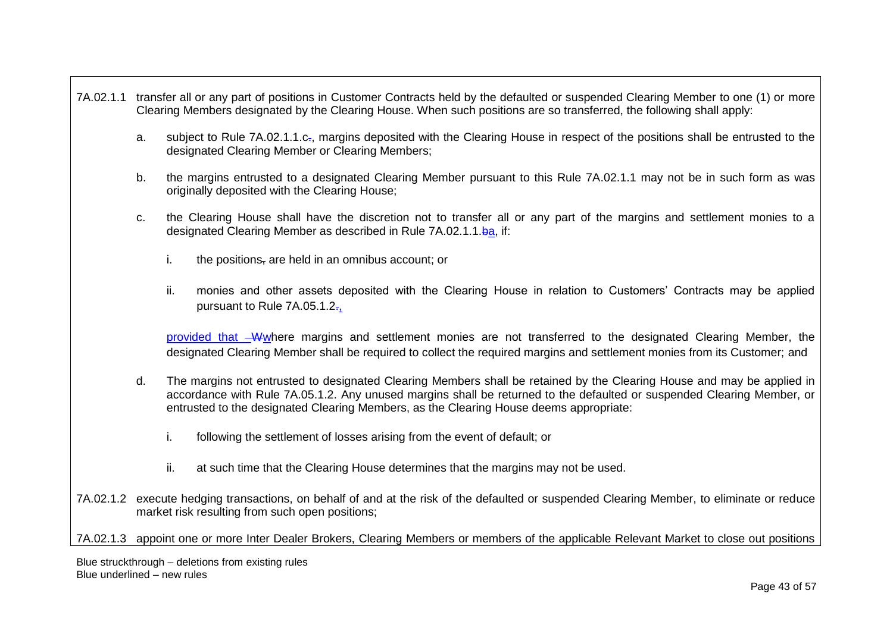- 7A.02.1.1 transfer all or any part of positions in Customer Contracts held by the defaulted or suspended Clearing Member to one (1) or more Clearing Members designated by the Clearing House. When such positions are so transferred, the following shall apply:
	- a. subject to Rule 7A.02.1.1.c<sub>r</sub>, margins deposited with the Clearing House in respect of the positions shall be entrusted to the designated Clearing Member or Clearing Members;
	- b. the margins entrusted to a designated Clearing Member pursuant to this Rule 7A.02.1.1 may not be in such form as was originally deposited with the Clearing House;
	- c. the Clearing House shall have the discretion not to transfer all or any part of the margins and settlement monies to a designated Clearing Member as described in Rule 7A.02.1.1.ba, if:
		- i. the positions, are held in an omnibus account; or
		- ii. monies and other assets deposited with the Clearing House in relation to Customers' Contracts may be applied pursuant to Rule 7A.05.1.2.,

provided that Wwhere margins and settlement monies are not transferred to the designated Clearing Member, the designated Clearing Member shall be required to collect the required margins and settlement monies from its Customer; and

- d. The margins not entrusted to designated Clearing Members shall be retained by the Clearing House and may be applied in accordance with Rule 7A.05.1.2. Any unused margins shall be returned to the defaulted or suspended Clearing Member, or entrusted to the designated Clearing Members, as the Clearing House deems appropriate:
	- i. following the settlement of losses arising from the event of default; or
	- ii. at such time that the Clearing House determines that the margins may not be used.
- 7A.02.1.2 execute hedging transactions, on behalf of and at the risk of the defaulted or suspended Clearing Member, to eliminate or reduce market risk resulting from such open positions;

7A.02.1.3 appoint one or more Inter Dealer Brokers, Clearing Members or members of the applicable Relevant Market to close out positions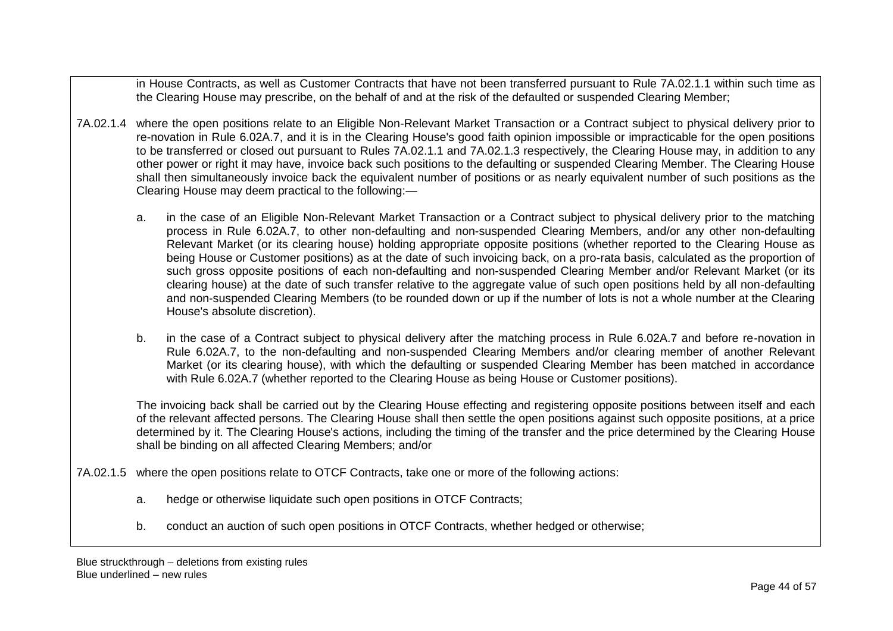in House Contracts, as well as Customer Contracts that have not been transferred pursuant to Rule 7A.02.1.1 within such time as the Clearing House may prescribe, on the behalf of and at the risk of the defaulted or suspended Clearing Member;

- 7A.02.1.4 where the open positions relate to an Eligible Non-Relevant Market Transaction or a Contract subject to physical delivery prior to re-novation in Rule 6.02A.7, and it is in the Clearing House's good faith opinion impossible or impracticable for the open positions to be transferred or closed out pursuant to Rules 7A.02.1.1 and 7A.02.1.3 respectively, the Clearing House may, in addition to any other power or right it may have, invoice back such positions to the defaulting or suspended Clearing Member. The Clearing House shall then simultaneously invoice back the equivalent number of positions or as nearly equivalent number of such positions as the Clearing House may deem practical to the following:
	- a. in the case of an Eligible Non-Relevant Market Transaction or a Contract subject to physical delivery prior to the matching process in Rule 6.02A.7, to other non-defaulting and non-suspended Clearing Members, and/or any other non-defaulting Relevant Market (or its clearing house) holding appropriate opposite positions (whether reported to the Clearing House as being House or Customer positions) as at the date of such invoicing back, on a pro-rata basis, calculated as the proportion of such gross opposite positions of each non-defaulting and non-suspended Clearing Member and/or Relevant Market (or its clearing house) at the date of such transfer relative to the aggregate value of such open positions held by all non-defaulting and non-suspended Clearing Members (to be rounded down or up if the number of lots is not a whole number at the Clearing House's absolute discretion).
	- b. in the case of a Contract subject to physical delivery after the matching process in Rule 6.02A.7 and before re-novation in Rule 6.02A.7, to the non-defaulting and non-suspended Clearing Members and/or clearing member of another Relevant Market (or its clearing house), with which the defaulting or suspended Clearing Member has been matched in accordance with Rule 6.02A.7 (whether reported to the Clearing House as being House or Customer positions).

The invoicing back shall be carried out by the Clearing House effecting and registering opposite positions between itself and each of the relevant affected persons. The Clearing House shall then settle the open positions against such opposite positions, at a price determined by it. The Clearing House's actions, including the timing of the transfer and the price determined by the Clearing House shall be binding on all affected Clearing Members; and/or

7A.02.1.5 where the open positions relate to OTCF Contracts, take one or more of the following actions:

- a. hedge or otherwise liquidate such open positions in OTCF Contracts;
- b. conduct an auction of such open positions in OTCF Contracts, whether hedged or otherwise;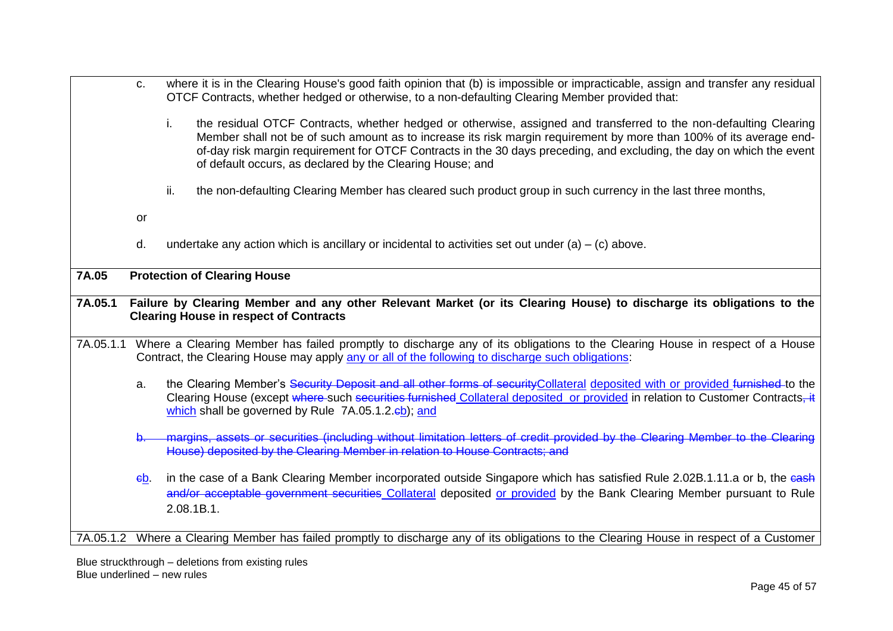c. where it is in the Clearing House's good faith opinion that (b) is impossible or impracticable, assign and transfer any residual OTCF Contracts, whether hedged or otherwise, to a non-defaulting Clearing Member provided that: i. the residual OTCF Contracts, whether hedged or otherwise, assigned and transferred to the non-defaulting Clearing Member shall not be of such amount as to increase its risk margin requirement by more than 100% of its average endof-day risk margin requirement for OTCF Contracts in the 30 days preceding, and excluding, the day on which the event of default occurs, as declared by the Clearing House; and ii. the non-defaulting Clearing Member has cleared such product group in such currency in the last three months, or d. undertake any action which is ancillary or incidental to activities set out under  $(a) - (c)$  above. **7A.05 Protection of Clearing House 7A.05.1 Failure by Clearing Member and any other Relevant Market (or its Clearing House) to discharge its obligations to the Clearing House in respect of Contracts** 7A.05.1.1 Where a Clearing Member has failed promptly to discharge any of its obligations to the Clearing House in respect of a House Contract, the Clearing House may apply any or all of the following to discharge such obligations: a. the Clearing Member's Security Deposit and all other forms of security Collateral deposited with or provided furnished to the Clearing House (except where such securities furnished Collateral deposited or provided in relation to Customer Contracts, it which shall be governed by Rule 7A.05.1.2.<sup>cb</sup>); and b. margins, assets or securities (including without limitation letters of credit provided by the Clearing Member to the Clearing House) deposited by the Clearing Member in relation to House Contracts; and cb. in the case of a Bank Clearing Member incorporated outside Singapore which has satisfied Rule 2.02B.1.11.a or b, the cash and/or acceptable government securities Collateral deposited or provided by the Bank Clearing Member pursuant to Rule 2.08.1B.1. 7A.05.1.2 Where a Clearing Member has failed promptly to discharge any of its obligations to the Clearing House in respect of a Customer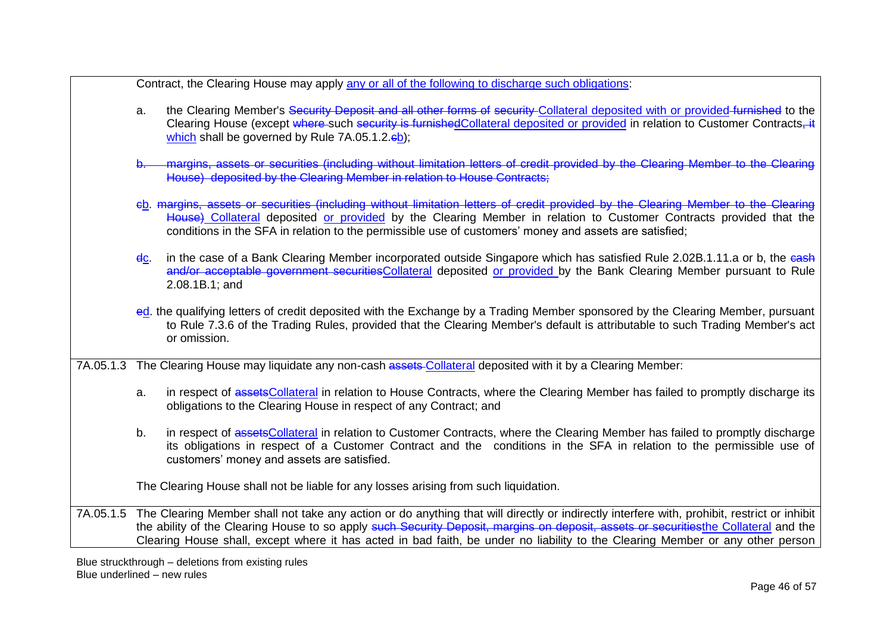Contract, the Clearing House may apply any or all of the following to discharge such obligations:

- a. the Clearing Member's Security Deposit and all other forms of security Collateral deposited with or provided furnished to the Clearing House (except where such security is furnishedCollateral deposited or provided in relation to Customer Contracts, it which shall be governed by Rule  $7A.05.1.2.\text{eb}$ );
- b. margins, assets or securities (including without limitation letters of credit provided by the Clearing Member to the Clearing House) deposited by the Clearing Member in relation to House Contracts;
- cb. margins, assets or securities (including without limitation letters of credit provided by the Clearing Member to the Clearing House) Collateral deposited or provided by the Clearing Member in relation to Customer Contracts provided that the conditions in the SFA in relation to the permissible use of customers' money and assets are satisfied;
- dc. in the case of a Bank Clearing Member incorporated outside Singapore which has satisfied Rule 2.02B.1.11.a or b, the eash and/or acceptable government securitiesCollateral deposited or provided by the Bank Clearing Member pursuant to Rule 2.08.1B.1; and
- ed. the qualifying letters of credit deposited with the Exchange by a Trading Member sponsored by the Clearing Member, pursuant to Rule 7.3.6 of the Trading Rules, provided that the Clearing Member's default is attributable to such Trading Member's act or omission.

7A.05.1.3 The Clearing House may liquidate any non-cash assets-Collateral deposited with it by a Clearing Member:

- a. in respect of assetsCollateral in relation to House Contracts, where the Clearing Member has failed to promptly discharge its obligations to the Clearing House in respect of any Contract; and
- b. in respect of assetsCollateral in relation to Customer Contracts, where the Clearing Member has failed to promptly discharge its obligations in respect of a Customer Contract and the conditions in the SFA in relation to the permissible use of customers' money and assets are satisfied.

The Clearing House shall not be liable for any losses arising from such liquidation.

7A.05.1.5 The Clearing Member shall not take any action or do anything that will directly or indirectly interfere with, prohibit, restrict or inhibit the ability of the Clearing House to so apply such Security Deposit, margins on deposit, assets or securitiesthe Collateral and the Clearing House shall, except where it has acted in bad faith, be under no liability to the Clearing Member or any other person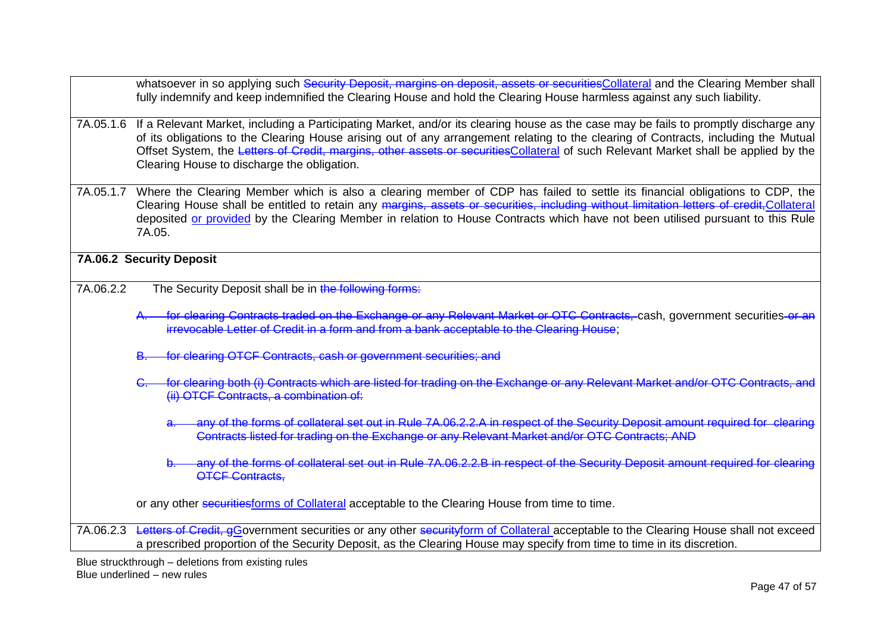|           | whatsoever in so applying such Security Deposit, margins on deposit, assets or securitiesCollateral and the Clearing Member shall<br>fully indemnify and keep indemnified the Clearing House and hold the Clearing House harmless against any such liability.                                                                                                                                                                                                      |
|-----------|--------------------------------------------------------------------------------------------------------------------------------------------------------------------------------------------------------------------------------------------------------------------------------------------------------------------------------------------------------------------------------------------------------------------------------------------------------------------|
| 7A.05.1.6 | If a Relevant Market, including a Participating Market, and/or its clearing house as the case may be fails to promptly discharge any<br>of its obligations to the Clearing House arising out of any arrangement relating to the clearing of Contracts, including the Mutual<br>Offset System, the Letters of Credit, margins, other assets or securities Collateral of such Relevant Market shall be applied by the<br>Clearing House to discharge the obligation. |
| 7A.05.1.7 | Where the Clearing Member which is also a clearing member of CDP has failed to settle its financial obligations to CDP, the<br>Clearing House shall be entitled to retain any margins, assets or securities, including without limitation letters of credit, Collateral<br>deposited or provided by the Clearing Member in relation to House Contracts which have not been utilised pursuant to this Rule<br>7A.05.                                                |
|           | 7A.06.2 Security Deposit                                                                                                                                                                                                                                                                                                                                                                                                                                           |
| 7A.06.2.2 | The Security Deposit shall be in the following forms:                                                                                                                                                                                                                                                                                                                                                                                                              |
|           | for clearing Contracts traded on the Exchange or any Relevant Market or OTC Contracts, cash, government securities or an<br>irrevocable Letter of Credit in a form and from a bank acceptable to the Clearing House;                                                                                                                                                                                                                                               |
|           | for clearing OTCF Contracts, cash or government securities; and                                                                                                                                                                                                                                                                                                                                                                                                    |
|           | for clearing both (i) Contracts which are listed for trading on the Exchange or any Relevant Market and/or OTC Contracts, and<br>(ii) OTCF Contracts, a combination of:                                                                                                                                                                                                                                                                                            |
|           | any of the forms of collateral set out in Rule 7A.06.2.2.A in respect of the Security Deposit amount required for clearing<br>Contracts listed for trading on the Exchange or any Relevant Market and/or OTC Contracts; AND                                                                                                                                                                                                                                        |
|           | any of the forms of collateral set out in Rule 7A.06.2.2.B in respect of the Security Deposit amount required for clearing<br><b>OTCF Contracts,</b>                                                                                                                                                                                                                                                                                                               |
|           | or any other securities forms of Collateral acceptable to the Clearing House from time to time.                                                                                                                                                                                                                                                                                                                                                                    |
| 7A.06.2.3 | Letters of Credit, gGovernment securities or any other securityform of Collateral acceptable to the Clearing House shall not exceed<br>a prescribed proportion of the Security Deposit, as the Clearing House may specify from time to time in its discretion.                                                                                                                                                                                                     |
|           | Blue struckthrough – deletions from existing rules                                                                                                                                                                                                                                                                                                                                                                                                                 |

Blue underlined – new rules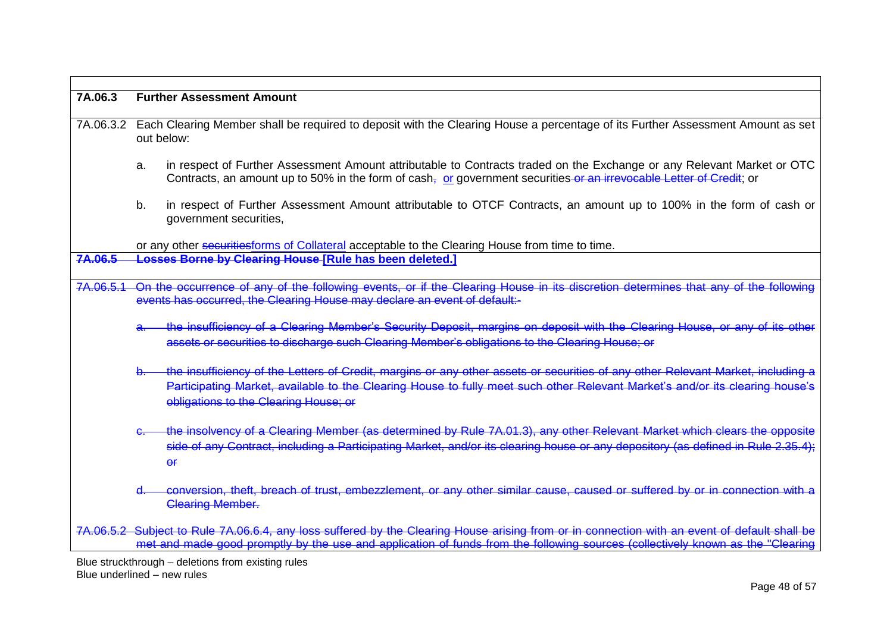| 7A.06.3   | <b>Further Assessment Amount</b>                                                                                                                                                                                                                                                                         |
|-----------|----------------------------------------------------------------------------------------------------------------------------------------------------------------------------------------------------------------------------------------------------------------------------------------------------------|
| 7A.06.3.2 | Each Clearing Member shall be required to deposit with the Clearing House a percentage of its Further Assessment Amount as set<br>out below:                                                                                                                                                             |
|           | in respect of Further Assessment Amount attributable to Contracts traded on the Exchange or any Relevant Market or OTC<br>a.<br>Contracts, an amount up to 50% in the form of $cash_{\tau}$ or government securities or an irrevocable Letter of Credit; or                                              |
|           | in respect of Further Assessment Amount attributable to OTCF Contracts, an amount up to 100% in the form of cash or<br>b.<br>government securities,                                                                                                                                                      |
|           | or any other securities forms of Collateral acceptable to the Clearing House from time to time.                                                                                                                                                                                                          |
| 7A.06.5   | <b>Losses Borne by Clearing House [Rule has been deleted.]</b>                                                                                                                                                                                                                                           |
| 7A.06.5.1 | On the occurrence of any of the following events, or if the Clearing House in its discretion determines that any of the following<br>events has occurred, the Clearing House may declare an event of default:-                                                                                           |
|           | the insufficiency of a Clearing Member's Security Deposit, margins on deposit with the Clearing House, or any of its other<br>assets or securities to discharge such Clearing Member's obligations to the Clearing House; or                                                                             |
|           | the insufficiency of the Letters of Credit, margins or any other assets or securities of any other Relevant Market, including a<br>Participating Market, available to the Clearing House to fully meet such other Relevant Market's and/or its clearing house's<br>obligations to the Clearing House; or |
|           | the insolvency of a Clearing Member (as determined by Rule 7A.01.3), any other Relevant Market which clears the opposite<br>side of any Contract, including a Participating Market, and/or its clearing house or any depository (as defined in Rule 2.35.4);<br>$\overline{f}$                           |
|           | conversion, theft, breach of trust, embezzlement, or any other similar cause, caused or suffered by or in connection with a<br><b>Clearing Member.</b>                                                                                                                                                   |
|           | 7A.06.5.2 Subject to Rule 7A.06.6.4, any loss suffered by the Clearing House arising from or in connection with an event of default shall be<br>met and made good promptly by the use and application of funds from the following sources (collectively known as the "Clearing                           |

٦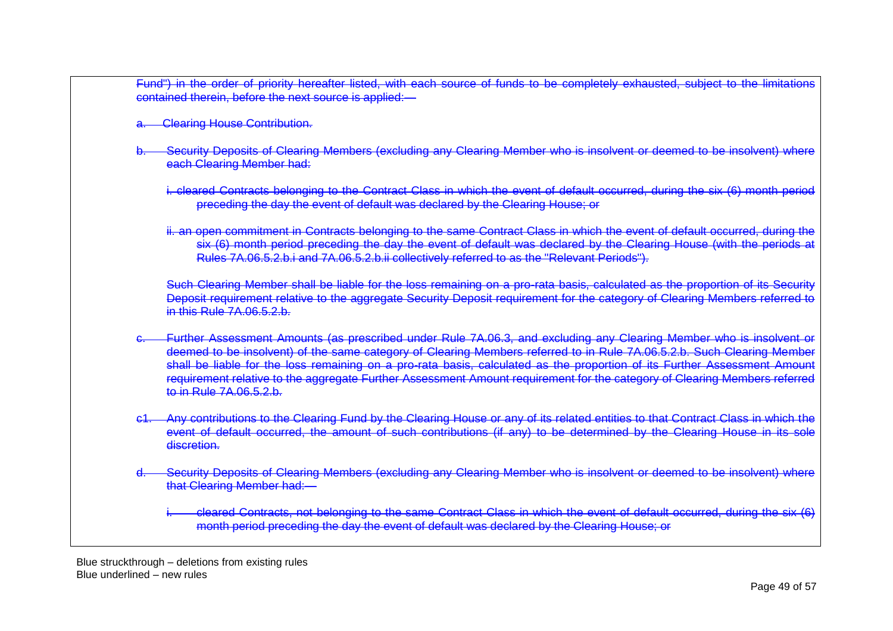Fund") in the order of priority hereafter listed, with each source of funds to be completely exhausted, subject to the limitations contained therein, before the next source is applied:—

- **Clearing House Contribution.**
- Security Deposits of Clearing Members (excluding any Clearing Member who is insolvent or deemed to be insolvent) where each Clearing Member had:
	- i. cleared Contracts belonging to the Contract Class in which the event of default occurred, during the six (6) month period preceding the day the event of default was declared by the Clearing House; or
	- ii. an open commitment in Contracts belonging to the same Contract Class in which the event of default occurred, during the six (6) month period preceding the day the event of default was declared by the Clearing House (with the periods Rules 7A.06.5.2.b.i and 7A.06.5.2.b.ii collectively referred to as the "Relevant Periods").

Such Clearing Member shall be liable for the loss remaining on a pro-rata basis, calculated as the proportion of its Security Deposit requirement relative to the aggregate Security Deposit requirement for the category of Clearing Members referred to  $in$  this Rule 7A.06.5.2.b.

- c. Further Assessment Amounts (as prescribed under Rule 7A.06.3, and excluding any Clearing Member who is insolvent or deemed to be insolvent) of the same category of Clearing Members referred to in Rule 7A.06.5.2.b. Such Clearing Member shall be liable for the loss remaining on a pro-rata basis, calculated as the proportion of its Further Assessment Amount requirement relative to the aggregate Further Assessment Amount requirement for the category of Clearing Members referred to in Rule 7A.06.5.2.b.
- Any contributions to the Clearing Fund by the Clearing House or any of its related entities to that Contract Class in which the event of default occurred, the amount of such contributions (if any) to be determined by the Clearing House in its sole discretion.
- Security Deposits of Clearing Members (excluding any Clearing Member who is insolvent or deemed to be insolvent) where that Clearing Member had:
	- cleared Contracts, not belonging to the same Contract Class in which the event of default occurred, during the six (6) month period preceding the day the event of default was declared by the Clearing House; or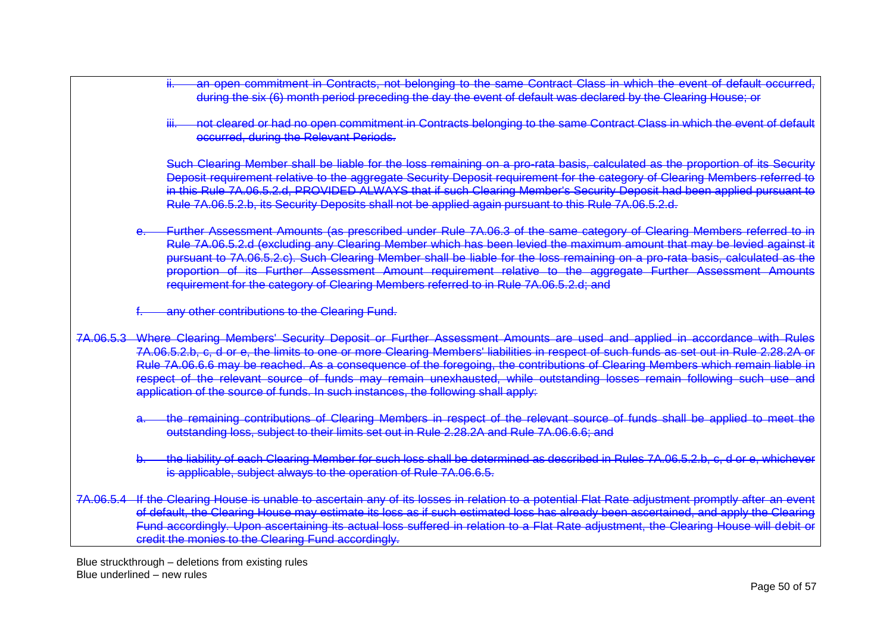during the six (6) month period preceding the day the event of default was declared by the Clearing House; or not cleared or had no open commitment in Contracts belonging to the same Contract Class in which the event of default occurred, during the Relevant Periods. Such Clearing Member shall be liable for the loss remaining on a pro-rata basis, calculated as the proportion of its Security Deposit requirement relative to the aggregate Security Deposit requirement for the category of Clearing Members referred to in this Rule 7A.06.5.2.d, PROVIDED ALWAYS that if such Clearing Member's Security Deposit had been applied pursuant to Rule 7A.06.5.2.b, its Security Deposits shall not be applied again pursuant to this Rule 7A.06.5.2.d. e. Further Assessment Amounts (as prescribed under Rule 7A.06.3 of the same category of Clearing Members referred to in Rule 7A.06.5.2.d (excluding any Clearing Member which has been levied the maximum amount that may be levied against it pursuant to 7A.06.5.2.c). Such Clearing Member shall be liable for the loss remaining on a pro-rata basis, calculated as the proportion of its Further Assessment Amount requirement relative to the aggregate Further Assessment Amounts requirement for the category of Clearing Members referred to in Rule 7A.06.5.2.d; and any other contributions to the Clearing Fund. 7A.06.5.3 Where Clearing Members' Security Deposit or Further Assessment Amounts are used and applied in accordance with Rules 7A.06.5.2.b, c, d or e, the limits to one or more Clearing Members' liabilities in respect of such funds as set out in Rule 2.28.2A or Rule 7A.06.6.6 may be reached. As a consequence of the foregoing, the contributions of Clearing Members which remain liable in respect of the relevant source of funds may remain unexhausted, while outstanding losses remain following such use and application of the source of funds. In such instances, the following shall apply: a. the remaining contributions of Clearing Members in respect of the relevant source of funds shall be applied to meet the outstanding loss, subject to their limits set out in Rule 2.28.2A and Rule 7A.06.6.6; and the liability of each Clearing Member for such loss shall be determined as described in Rules 7A.06.5.2.b, c, d or e, whichever is applicable, subject always to the operation of Rule 7A.06.6.5. 7A.06.5.4 If the Clearing House is unable to ascertain any of its losses in relation to a potential Flat Rate adjustment promptly after an event of default, the Clearing House may estimate its loss as if such estimated loss has already been ascertained, and apply the Clearing Fund accordingly. Upon ascertaining its actual loss suffered in relation to a Flat Rate adjustment, the Clearing House will debit or credit the monies to the Clearing Fund accordingly.

an open commitment in Contracts, not belonging to the same Contract Class in which the event of default occurred,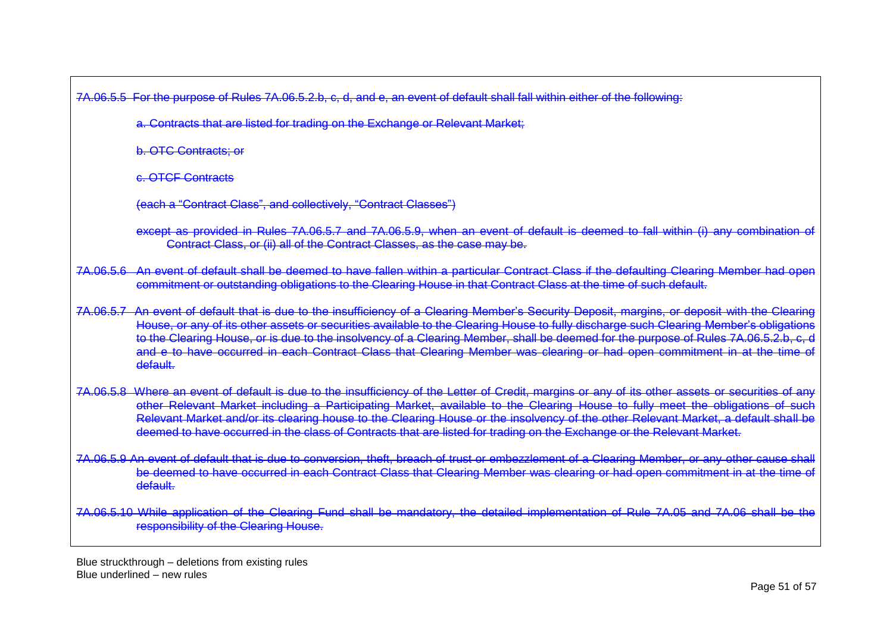7A.06.5.5 For the purpose of Rules 7A.06.5.2.b, c, d, and e, an event of default shall fall within either of the following:

a. Contracts that are listed for trading on the Exchange or Relevant Market;

b. OTC Contracts; or

c. OTCF Contracts

(each a "Contract Class", and collectively, "Contract Classes")

except as provided in Rules 7A.06.5.7 and 7A.06.5.9, when an event of default is deemed to fall within (i) any combination of Contract Class, or (ii) all of the Contract Classes, as the case may be.

7A.06.5.6 An event of default shall be deemed to have fallen within a particular Contract Class if the defaulting Clearing Member had open commitment or outstanding obligations to the Clearing House in that Contract Class at the time of such default.

7A.06.5.7 An event of default that is due to the insufficiency of a Clearing Member's Security Deposit, margins, or deposit with the Clearing House, or any of its other assets or securities available to the Clearing House to fully discharge such Clearing Member's obligations to the Clearing House, or is due to the insolvency of a Clearing Member, shall be deemed for the purpose of Rules 7A.06.5.2.b, c, district in the Clearing Member, shall be deemed for the purpose of Rules 7A.06.5.2.b, and e to have occurred in each Contract Class that Clearing Member was clearing or had open commitment in at the time of default.

- 7A.06.5.8 Where an event of default is due to the insufficiency of the Letter of Credit, margins or any of its other assets or securities of any other Relevant Market including a Participating Market, available to the Clearing House to fully meet the obligations of such Relevant Market and/or its clearing house to the Clearing House or the insolvency of the other Relevant Market, a default shall be deemed to have occurred in the class of Contracts that are listed for trading on the Exchange or the Relevant Market.
- 7A.06.5.9 An event of default that is due to conversion, theft, breach of trust or embezzlement of a Clearing Member, or any other cause shall be deemed to have occurred in each Contract Class that Clearing Member was clearing or had open commitment in at the time of default.

7A.06.5.10 While application of the Clearing Fund shall be mandatory, the detailed implementation of Rule 7A.05 and 7A.06 shall be the responsibility of the Clearing House.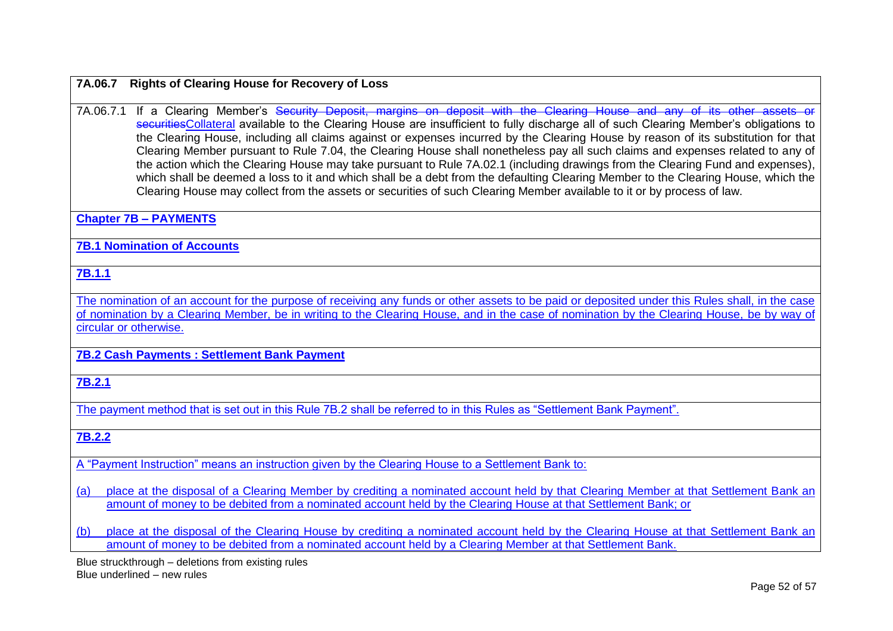### **7A.06.7 Rights of Clearing House for Recovery of Loss**

7A.06.7.1 If a Clearing Member's Security Deposit, margins on deposit with the Clearing House and any of its other assets or securitiesCollateral available to the Clearing House are insufficient to fully discharge all of such Clearing Member's obligations to the Clearing House, including all claims against or expenses incurred by the Clearing House by reason of its substitution for that Clearing Member pursuant to Rule 7.04, the Clearing House shall nonetheless pay all such claims and expenses related to any of the action which the Clearing House may take pursuant to Rule 7A.02.1 (including drawings from the Clearing Fund and expenses), which shall be deemed a loss to it and which shall be a debt from the defaulting Clearing Member to the Clearing House, which the Clearing House may collect from the assets or securities of such Clearing Member available to it or by process of law.

**Chapter 7B – PAYMENTS** 

**7B.1 Nomination of Accounts**

**7B.1.1**

The nomination of an account for the purpose of receiving any funds or other assets to be paid or deposited under this Rules shall, in the case of nomination by a Clearing Member, be in writing to the Clearing House, and in the case of nomination by the Clearing House, be by way of circular or otherwise.

**7B.2 Cash Payments : Settlement Bank Payment**

**7B.2.1** 

The payment method that is set out in this Rule 7B.2 shall be referred to in this Rules as "Settlement Bank Payment".

**7B.2.2**

A "Payment Instruction" means an instruction given by the Clearing House to a Settlement Bank to:

(a) place at the disposal of a Clearing Member by crediting a nominated account held by that Clearing Member at that Settlement Bank an amount of money to be debited from a nominated account held by the Clearing House at that Settlement Bank; or

(b) place at the disposal of the Clearing House by crediting a nominated account held by the Clearing House at that Settlement Bank an amount of money to be debited from a nominated account held by a Clearing Member at that Settlement Bank.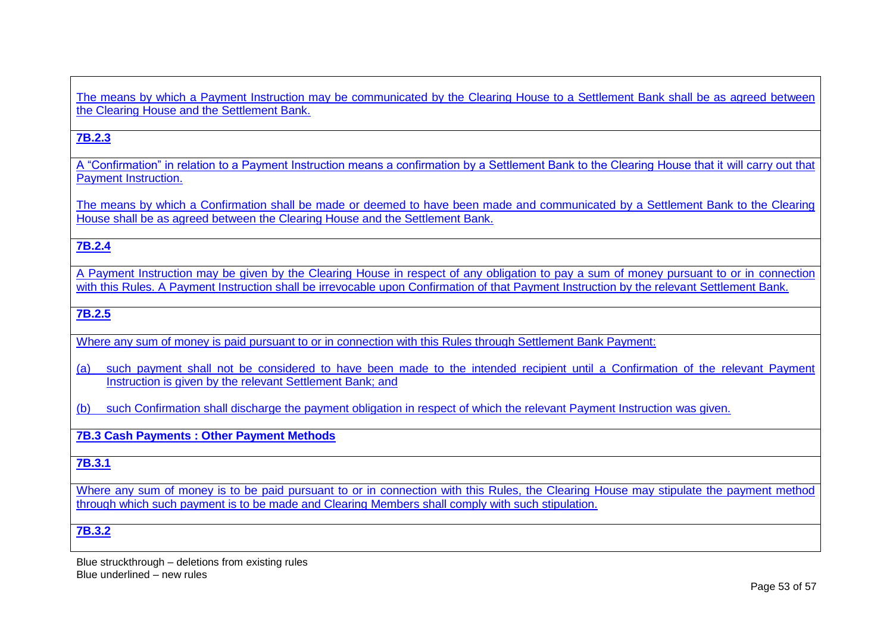The means by which a Payment Instruction may be communicated by the Clearing House to a Settlement Bank shall be as agreed between the Clearing House and the Settlement Bank.

### **7B.2.3**

A "Confirmation" in relation to a Payment Instruction means a confirmation by a Settlement Bank to the Clearing House that it will carry out that Payment Instruction.

The means by which a Confirmation shall be made or deemed to have been made and communicated by a Settlement Bank to the Clearing House shall be as agreed between the Clearing House and the Settlement Bank.

### **7B.2.4**

A Payment Instruction may be given by the Clearing House in respect of any obligation to pay a sum of money pursuant to or in connection with this Rules. A Payment Instruction shall be irrevocable upon Confirmation of that Payment Instruction by the relevant Settlement Bank.

### **7B.2.5**

Where any sum of money is paid pursuant to or in connection with this Rules through Settlement Bank Payment:

(a) such payment shall not be considered to have been made to the intended recipient until a Confirmation of the relevant Payment Instruction is given by the relevant Settlement Bank; and

(b) such Confirmation shall discharge the payment obligation in respect of which the relevant Payment Instruction was given.

#### **7B.3 Cash Payments : Other Payment Methods**

### **7B.3.1**

Where any sum of money is to be paid pursuant to or in connection with this Rules, the Clearing House may stipulate the payment method through which such payment is to be made and Clearing Members shall comply with such stipulation.

#### **7B.3.2**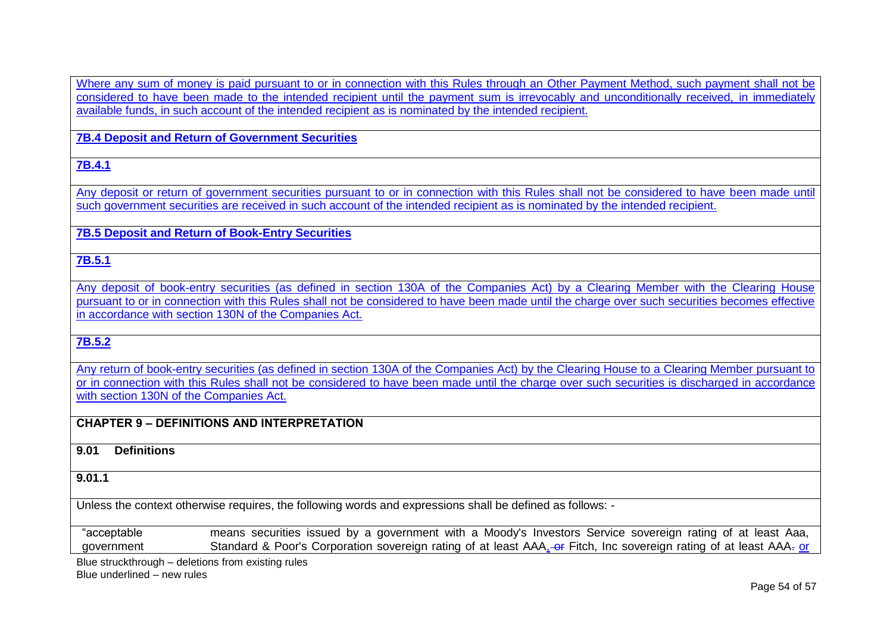Where any sum of money is paid pursuant to or in connection with this Rules through an Other Payment Method, such payment shall not be considered to have been made to the intended recipient until the payment sum is irrevocably and unconditionally received, in immediately available funds, in such account of the intended recipient as is nominated by the intended recipient.

**7B.4 Deposit and Return of Government Securities** 

**7B.4.1**

Any deposit or return of government securities pursuant to or in connection with this Rules shall not be considered to have been made until such government securities are received in such account of the intended recipient as is nominated by the intended recipient.

**7B.5 Deposit and Return of Book-Entry Securities**

**7B.5.1**

Any deposit of book-entry securities (as defined in section 130A of the Companies Act) by a Clearing Member with the Clearing House pursuant to or in connection with this Rules shall not be considered to have been made until the charge over such securities becomes effective in accordance with section 130N of the Companies Act.

**7B.5.2**

Any return of book-entry securities (as defined in section 130A of the Companies Act) by the Clearing House to a Clearing Member pursuant to or in connection with this Rules shall not be considered to have been made until the charge over such securities is discharged in accordance with section 130N of the Companies Act.

# **CHAPTER 9 – DEFINITIONS AND INTERPRETATION**

**9.01 Definitions**

**9.01.1**

Unless the context otherwise requires, the following words and expressions shall be defined as follows: -

"acceptable government means securities issued by a government with a Moody's Investors Service sovereign rating of at least Aaa, Standard & Poor's Corporation sovereign rating of at least AAA<sub>1</sub>-or Fitch, Inc sovereign rating of at least AAA- or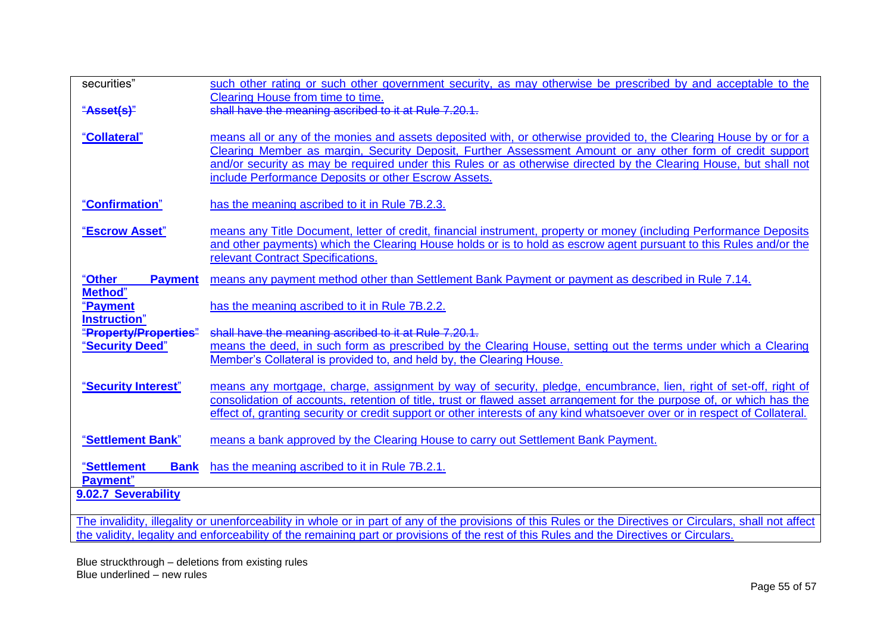| securities"                                                                                                                                                | such other rating or such other government security, as may otherwise be prescribed by and acceptable to the                                                                                                                                        |
|------------------------------------------------------------------------------------------------------------------------------------------------------------|-----------------------------------------------------------------------------------------------------------------------------------------------------------------------------------------------------------------------------------------------------|
| "Asset(s)"                                                                                                                                                 | Clearing House from time to time.<br>shall have the meaning ascribed to it at Rule 7.20.1.                                                                                                                                                          |
|                                                                                                                                                            |                                                                                                                                                                                                                                                     |
| "Collateral"                                                                                                                                               | means all or any of the monies and assets deposited with, or otherwise provided to, the Clearing House by or for a                                                                                                                                  |
|                                                                                                                                                            | Clearing Member as margin, Security Deposit, Further Assessment Amount or any other form of credit support                                                                                                                                          |
|                                                                                                                                                            | and/or security as may be required under this Rules or as otherwise directed by the Clearing House, but shall not                                                                                                                                   |
|                                                                                                                                                            | include Performance Deposits or other Escrow Assets.                                                                                                                                                                                                |
| "Confirmation"                                                                                                                                             | has the meaning ascribed to it in Rule 7B.2.3.                                                                                                                                                                                                      |
|                                                                                                                                                            |                                                                                                                                                                                                                                                     |
| "Escrow Asset"                                                                                                                                             | means any Title Document, letter of credit, financial instrument, property or money (including Performance Deposits                                                                                                                                 |
|                                                                                                                                                            | and other payments) which the Clearing House holds or is to hold as escrow agent pursuant to this Rules and/or the                                                                                                                                  |
|                                                                                                                                                            | relevant Contract Specifications.                                                                                                                                                                                                                   |
| "Other<br><b>Payment</b>                                                                                                                                   | means any payment method other than Settlement Bank Payment or payment as described in Rule 7.14.                                                                                                                                                   |
| Method"                                                                                                                                                    |                                                                                                                                                                                                                                                     |
| "Payment<br><b>Instruction</b> "                                                                                                                           | has the meaning ascribed to it in Rule 7B.2.2.                                                                                                                                                                                                      |
| "Property/Properties"                                                                                                                                      | shall have the meaning ascribed to it at Rule 7.20.1.                                                                                                                                                                                               |
| "Security Deed"                                                                                                                                            | means the deed, in such form as prescribed by the Clearing House, setting out the terms under which a Clearing                                                                                                                                      |
|                                                                                                                                                            | Member's Collateral is provided to, and held by, the Clearing House.                                                                                                                                                                                |
|                                                                                                                                                            |                                                                                                                                                                                                                                                     |
| "Security Interest"                                                                                                                                        | means any mortgage, charge, assignment by way of security, pledge, encumbrance, lien, right of set-off, right of                                                                                                                                    |
|                                                                                                                                                            | consolidation of accounts, retention of title, trust or flawed asset arrangement for the purpose of, or which has the<br>effect of, granting security or credit support or other interests of any kind whatsoever over or in respect of Collateral. |
|                                                                                                                                                            |                                                                                                                                                                                                                                                     |
| "Settlement Bank"                                                                                                                                          | means a bank approved by the Clearing House to carry out Settlement Bank Payment.                                                                                                                                                                   |
|                                                                                                                                                            |                                                                                                                                                                                                                                                     |
| "Settlement<br><b>Bank</b>                                                                                                                                 | has the meaning ascribed to it in Rule 7B.2.1.                                                                                                                                                                                                      |
| Payment"<br>9.02.7 Severability                                                                                                                            |                                                                                                                                                                                                                                                     |
|                                                                                                                                                            |                                                                                                                                                                                                                                                     |
| The invalidity, illegality or unenforceability in whole or in part of any of the provisions of this Rules or the Directives or Circulars, shall not affect |                                                                                                                                                                                                                                                     |
| the validity, legality and enforceability of the remaining part or provisions of the rest of this Rules and the Directives or Circulars.                   |                                                                                                                                                                                                                                                     |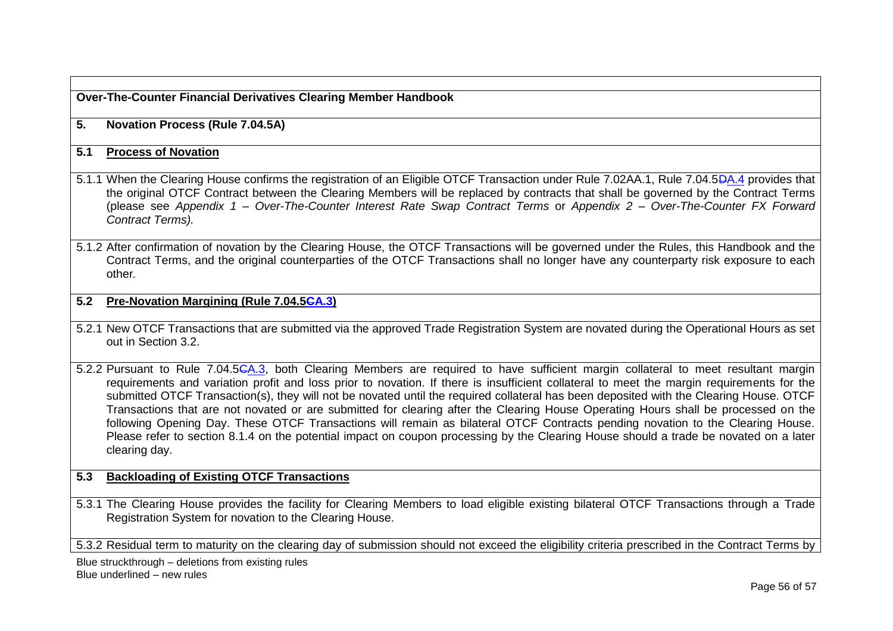**Over-The-Counter Financial Derivatives Clearing Member Handbook**

### **5. Novation Process (Rule 7.04.5A)**

### **5.1 Process of Novation**

- 5.1.1 When the Clearing House confirms the registration of an Eligible OTCF Transaction under Rule 7.02AA.1, Rule 7.04.5DA.4 provides that the original OTCF Contract between the Clearing Members will be replaced by contracts that shall be governed by the Contract Terms (please see *Appendix 1 – Over-The-Counter Interest Rate Swap Contract Terms* or *Appendix 2 – Over-The-Counter FX Forward Contract Terms).*
- 5.1.2 After confirmation of novation by the Clearing House, the OTCF Transactions will be governed under the Rules, this Handbook and the Contract Terms, and the original counterparties of the OTCF Transactions shall no longer have any counterparty risk exposure to each other*.*

### **5.2 Pre-Novation Margining (Rule 7.04.5CA.3)**

- 5.2.1 New OTCF Transactions that are submitted via the approved Trade Registration System are novated during the Operational Hours as set out in Section 3.2.
- 5.2.2 Pursuant to Rule 7.04.5CA.3, both Clearing Members are required to have sufficient margin collateral to meet resultant margin requirements and variation profit and loss prior to novation. If there is insufficient collateral to meet the margin requirements for the submitted OTCF Transaction(s), they will not be novated until the required collateral has been deposited with the Clearing House. OTCF Transactions that are not novated or are submitted for clearing after the Clearing House Operating Hours shall be processed on the following Opening Day. These OTCF Transactions will remain as bilateral OTCF Contracts pending novation to the Clearing House. Please refer to section 8.1.4 on the potential impact on coupon processing by the Clearing House should a trade be novated on a later clearing day.

## **5.3 Backloading of Existing OTCF Transactions**

5.3.1 The Clearing House provides the facility for Clearing Members to load eligible existing bilateral OTCF Transactions through a Trade Registration System for novation to the Clearing House.

5.3.2 Residual term to maturity on the clearing day of submission should not exceed the eligibility criteria prescribed in the Contract Terms by